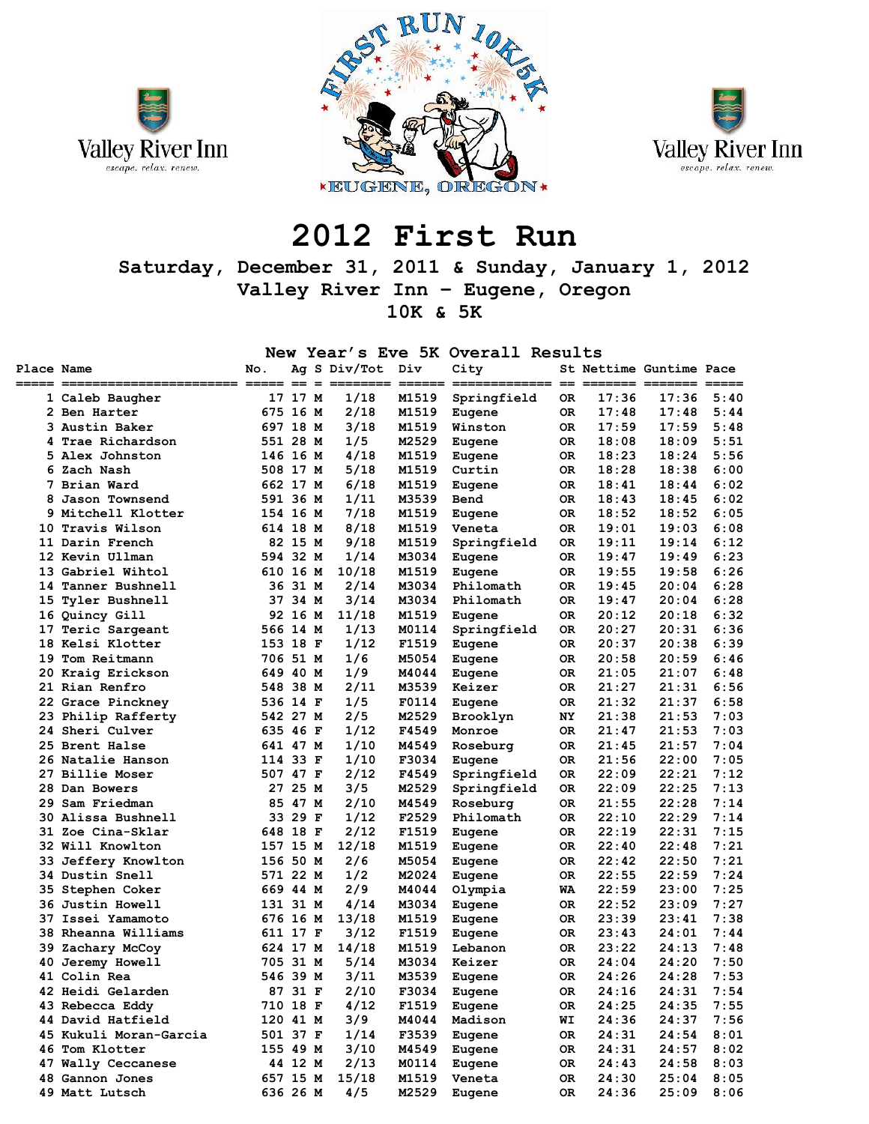





# **2012 First Run**

# **Saturday, December 31, 2011 & Sunday, January 1, 2012 Valley River Inn – Eugene, Oregon 10K & 5K**

### **New Year's Eve 5K Overall Results**

|            |                        |          |         |                              | ັ້    | 1.11         |     |       |                         |      |
|------------|------------------------|----------|---------|------------------------------|-------|--------------|-----|-------|-------------------------|------|
| Place Name |                        | No.      |         | Ag S Div/Tot Div<br>===== == | $==$  | City         |     |       | St Nettime Guntime Pace | ==== |
|            | 1 Caleb Baugher        |          | 17 17 M | 1/18                         | M1519 | Springfield  | OR. | 17:36 | 17:36                   | 5:40 |
|            | 2 Ben Harter           | 675 16 M |         | 2/18                         | M1519 | Eugene       | 0R  | 17:48 | 17:48                   | 5:44 |
|            | 3 Austin Baker         | 697 18 M |         | 3/18                         | M1519 | Winston      | 0R. | 17:59 | 17:59                   | 5:48 |
|            | 4 Trae Richardson      | 551 28 M |         | 1/5                          | M2529 | Eugene       | 0R. | 18:08 | 18:09                   | 5:51 |
|            | 5 Alex Johnston        | 146 16 M |         | 4/18                         | M1519 | Eugene       | 0R  | 18:23 | 18:24                   | 5:56 |
|            | 6 Zach Nash            | 508 17 M |         | 5/18                         | M1519 | Curtin       | 0R. | 18:28 | 18:38                   | 6:00 |
|            | 7 Brian Ward           | 662 17 M |         | 6/18                         | M1519 | Eugene       | 0R. | 18:41 | 18:44                   | 6:02 |
|            | 8 Jason Townsend       | 591 36 M |         | 1/11                         | M3539 | Bend         | OR. | 18:43 | 18:45                   | 6:02 |
|            | 9 Mitchell Klotter     | 154 16 M |         | 7/18                         | M1519 | Eugene       | OR  | 18:52 | 18:52                   | 6:05 |
|            | 10 Travis Wilson       | 614 18 M |         | 8/18                         | M1519 | Veneta       | 0R  | 19:01 | 19:03                   | 6:08 |
|            | 11 Darin French        |          | 82 15 M | 9/18                         | M1519 | Springfield  | 0R  | 19:11 | 19:14                   | 6:12 |
|            | 12 Kevin Ullman        | 594 32 M |         | 1/14                         | M3034 | Eugene       | 0R. | 19:47 | 19:49                   | 6:23 |
|            | 13 Gabriel Wihtol      | 610 16 M |         | 10/18                        | M1519 | Eugene       | 0R  | 19:55 | 19:58                   | 6:26 |
|            | 14 Tanner Bushnell     |          | 36 31 M | 2/14                         | M3034 | Philomath    | 0R. | 19:45 | 20:04                   | 6:28 |
|            | 15 Tyler Bushnell      |          | 37 34 M | 3/14                         | M3034 | Philomath    | OR  | 19:47 | 20:04                   | 6:28 |
|            | 16 Quincy Gill         |          | 92 16 M | 11/18                        | M1519 | Eugene       | 0R. | 20:12 | 20:18                   | 6:32 |
|            | 17 Teric Sargeant      | 566 14 M |         | 1/13                         | M0114 | Springfield  | OR  | 20:27 | 20:31                   | 6:36 |
|            | 18 Kelsi Klotter       | 153 18 F |         | 1/12                         | F1519 | Eugene       | OR. | 20:37 | 20:38                   | 6:39 |
|            | 19 Tom Reitmann        | 706 51 M |         | 1/6                          | M5054 | Eugene       | 0R. | 20:58 | 20:59                   | 6:46 |
|            | 20 Kraig Erickson      | 649 40 M |         | 1/9                          | M4044 | Eugene       | 0R  | 21:05 | 21:07                   | 6:48 |
|            | 21 Rian Renfro         | 548 38 M |         | 2/11                         | M3539 | Keizer       | OR. | 21:27 | 21:31                   | 6:56 |
|            | 22 Grace Pinckney      | 536 14 F |         | 1/5                          | F0114 | Eugene       | 0R. | 21:32 | 21:37                   | 6:58 |
|            | 23 Philip Rafferty     | 542 27 M |         | 2/5                          | M2529 | Brooklyn     | NY  | 21:38 | 21:53                   | 7:03 |
|            | 24 Sheri Culver        | 635 46 F |         | 1/12                         | F4549 | Monroe       | OR  | 21:47 | 21:53                   | 7:03 |
|            | 25 Brent Halse         | 641 47 M |         | 1/10                         | M4549 | Roseburg     | 0R. | 21:45 | 21:57                   | 7:04 |
|            | 26 Natalie Hanson      | 114 33 F |         | 1/10                         | F3034 | Eugene       | 0R  | 21:56 | 22:00                   | 7:05 |
|            | 27 Billie Moser        | 507 47 F |         | 2/12                         | F4549 | Springfield  | 0R. | 22:09 | 22:21                   | 7:12 |
|            | 28 Dan Bowers          |          | 27 25 M | 3/5                          | M2529 | Springfield  | OR  | 22:09 | 22:25                   | 7:13 |
|            | 29 Sam Friedman        |          | 85 47 M | 2/10                         | M4549 | Roseburg     | OR  | 21:55 | 22:28                   | 7:14 |
|            | 30 Alissa Bushnell     |          | 33 29 F | 1/12                         | F2529 | Philomath    | 0R  | 22:10 | 22:29                   | 7:14 |
|            | 31 Zoe Cina-Sklar      | 648 18 F |         | 2/12                         | F1519 | Eugene       | OR. | 22:19 | 22:31                   | 7:15 |
|            | 32 Will Knowlton       | 157 15 M |         | 12/18                        | M1519 | Eugene       | 0R. | 22:40 | 22:48                   | 7:21 |
|            | 33 Jeffery Knowlton    | 156 50 M |         | 2/6                          | M5054 | Eugene       | 0R. | 22:42 | 22:50                   | 7:21 |
|            | 34 Dustin Snell        | 571 22 M |         | 1/2                          | M2024 | Eugene       | 0R  | 22:55 | 22:59                   | 7:24 |
|            | 35 Stephen Coker       | 669 44 M |         | 2/9                          | M4044 | Olympia      | WA  | 22:59 | 23:00                   | 7:25 |
|            | 36 Justin Howell       | 131 31 M |         | 4/14                         | M3034 | Eugene       | 0R. | 22:52 | 23:09                   | 7:27 |
|            | 37 Issei Yamamoto      | 676 16 M |         | 13/18                        | M1519 | Eugene       | 0R. | 23:39 | 23:41                   | 7:38 |
|            | 38 Rheanna Williams    | 611 17 F |         | 3/12                         | F1519 | Eugene       | OR  | 23:43 | 24:01                   | 7:44 |
|            | 39 Zachary McCoy       | 624 17 M |         | 14/18                        | M1519 | Lebanon      | 0R  | 23:22 | 24:13                   | 7:48 |
|            | 40 Jeremy Howell       | 705 31 M |         | 5/14                         | M3034 | Keizer       | 0R. | 24:04 | 24:20                   | 7:50 |
|            | 41 Colin Rea           | 546 39 M |         | 3/11                         | M3539 | Eugene       | OR. | 24:26 | 24:28                   | 7:53 |
|            | 42 Heidi Gelarden      |          | 87 31 F | 2/10                         |       | F3034 Eugene | OR  | 24:16 | 24:31                   | 7:54 |
|            | 43 Rebecca Eddy        | 710 18 F |         | 4/12                         |       | F1519 Eugene | 0R  | 24:25 | 24:35                   | 7:55 |
|            | 44 David Hatfield      | 120 41 M |         | 3/9                          | M4044 | Madison      | WI  | 24:36 | 24:37                   | 7:56 |
|            | 45 Kukuli Moran-Garcia | 501 37 F |         | 1/14                         | F3539 | Eugene       | 0R  | 24:31 | 24:54                   | 8:01 |
|            | 46 Tom Klotter         | 155 49 M |         | 3/10                         | M4549 | Eugene       | OR. | 24:31 | 24:57                   | 8:02 |
|            | 47 Wally Ceccanese     |          | 44 12 M | 2/13                         | M0114 | Eugene       | OR. | 24:43 | 24:58                   | 8:03 |
|            | 48 Gannon Jones        | 657 15 M |         | 15/18                        | M1519 | Veneta       | OR. | 24:30 | 25:04                   | 8:05 |
|            | 49 Matt Lutsch         | 636 26 M |         | 4/5                          | M2529 | Eugene       | 0R  | 24:36 | 25:09                   | 8:06 |
|            |                        |          |         |                              |       |              |     |       |                         |      |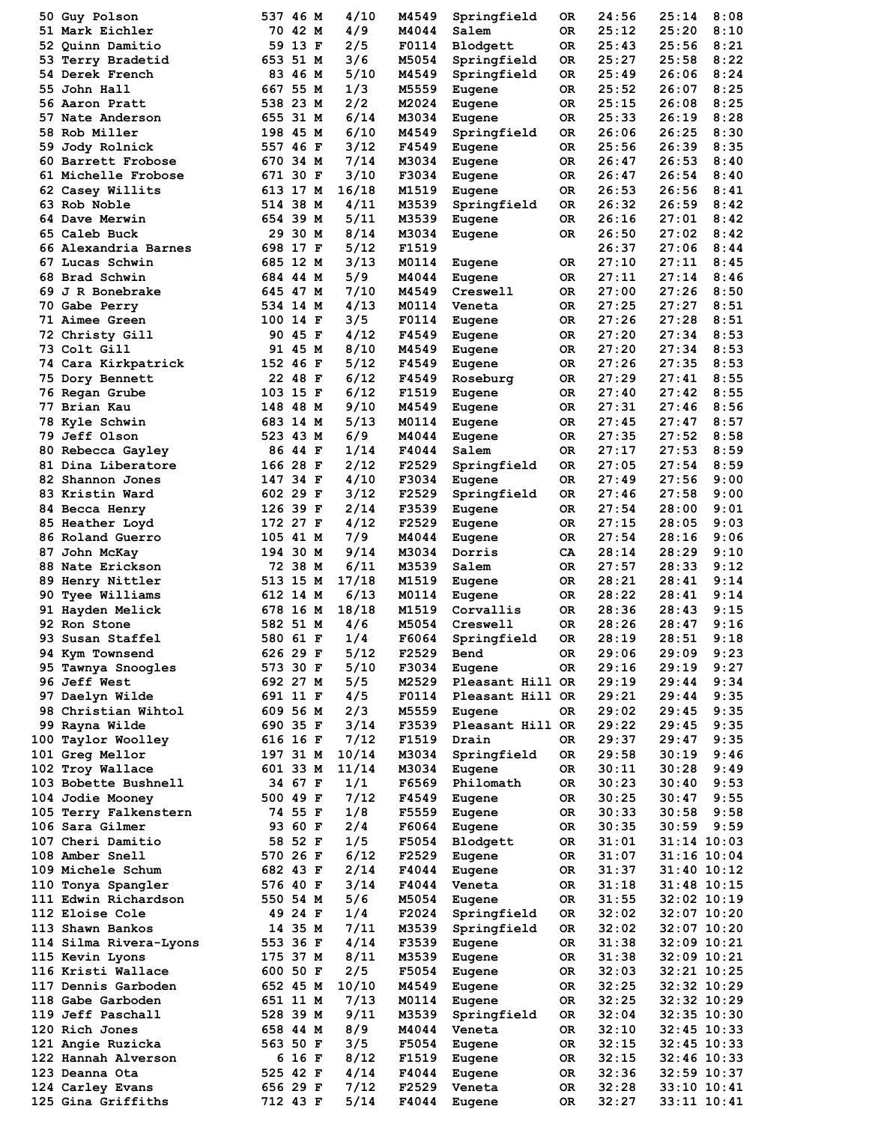|     | 50 Guy Polson            | 537 46 M |         | 4/10  | M4549 | Springfield      | 0R  | 24:56 | 25:14           | 8:08 |
|-----|--------------------------|----------|---------|-------|-------|------------------|-----|-------|-----------------|------|
|     | 51 Mark Eichler          |          | 70 42 M | 4/9   | M4044 | Salem            | 0R  | 25:12 | 25:20           | 8:10 |
|     | 52 Quinn Damitio         |          | 59 13 F | 2/5   | F0114 | Blodgett         | 0R  | 25:43 | 25:56           | 8:21 |
| 53. | Terry Bradetid           | 653 51 M |         | 3/6   | M5054 | Springfield      | 0R  | 25:27 | 25:58           | 8:22 |
|     | <b>54 Derek French</b>   |          | 83 46 M | 5/10  | M4549 | Springfield      | 0R  | 25:49 | 26:06           | 8:24 |
| 55. | John Hall                | 667 55 M |         | 1/3   | M5559 | Eugene           | 0R  | 25:52 | 26:07           | 8:25 |
|     | 56 Aaron Pratt           | 538 23 M |         | 2/2   | M2024 | Eugene           | OR  | 25:15 | 26:08           | 8:25 |
| 57. | Nate Anderson            | 655 31 M |         | 6/14  | M3034 | Eugene           | 0R  | 25:33 | 26:19           | 8:28 |
|     | <b>58 Rob Miller</b>     | 198 45 M |         | 6/10  | M4549 | Springfield      | 0R  | 26:06 | 26:25           | 8:30 |
|     |                          |          |         | 3/12  |       |                  |     |       |                 |      |
| 59. | Jody Rolnick             | 557 46 F |         |       | F4549 | Eugene           | 0R  | 25:56 | 26:39           | 8:35 |
|     | 60 Barrett Frobose       | 670 34 M |         | 7/14  | M3034 | Eugene           | OR  | 26:47 | 26:53           | 8:40 |
|     | 61 Michelle Frobose      | 671 30 F |         | 3/10  | F3034 | Eugene           | 0R  | 26:47 | 26:54           | 8:40 |
|     | 62 Casey Willits         | 613 17 M |         | 16/18 | M1519 | Eugene           | 0R  | 26:53 | 26:56           | 8:41 |
|     | 63 Rob Noble             | 514 38 M |         | 4/11  | M3539 | Springfield      | 0R  | 26:32 | 26:59           | 8:42 |
|     | 64 Dave Merwin           | 654 39 M |         | 5/11  | M3539 | Eugene           | OR  | 26:16 | 27:01           | 8:42 |
|     | 65 Caleb Buck            |          | 29 30 M | 8/14  | M3034 | Eugene           | 0R  | 26:50 | 27:02           | 8:42 |
|     | 66 Alexandria Barnes     | 698 17 F |         | 5/12  | F1519 |                  |     | 26:37 | 27:06           | 8:44 |
|     | 67 Lucas Schwin          | 685 12 M |         | 3/13  | M0114 | Eugene           | 0R  | 27:10 | 27:11           | 8:45 |
|     | 68 Brad Schwin           | 684 44 M |         | 5/9   | M4044 | Eugene           | 0R  | 27:11 | 27:14           | 8:46 |
|     | 69 J R Bonebrake         | 645 47 M |         | 7/10  | M4549 | Creswell         | 0R  | 27:00 | 27:26           | 8:50 |
| 70. | Gabe Perry               | 534 14 M |         | 4/13  | M0114 | Veneta           | 0R  | 27:25 | 27:27           | 8:51 |
|     |                          |          |         |       |       |                  |     |       |                 |      |
|     | <b>71 Aimee Green</b>    | 100 14 F |         | 3/5   | F0114 | Eugene           | 0R  | 27:26 | 27:28           | 8:51 |
|     | 72 Christy Gill          |          | 90 45 F | 4/12  | F4549 | Eugene           | 0R  | 27:20 | 27:34           | 8:53 |
|     | 73 Colt Gill             |          | 91 45 M | 8/10  | M4549 | Eugene           | 0R  | 27:20 | 27:34           | 8:53 |
|     | 74 Cara Kirkpatrick      | 152 46 F |         | 5/12  | F4549 | Eugene           | 0R  | 27:26 | 27:35           | 8:53 |
|     | <b>75 Dory Bennett</b>   |          | 22 48 F | 6/12  | F4549 | Roseburg         | 0R  | 27:29 | 27:41           | 8:55 |
|     | 76 Regan Grube           | 103 15 F |         | 6/12  | F1519 | Eugene           | 0R  | 27:40 | 27:42           | 8:55 |
|     | 77 Brian Kau             | 148 48 M |         | 9/10  | M4549 | Eugene           | 0R  | 27:31 | 27:46           | 8:56 |
|     | 78 Kyle Schwin           | 683 14 M |         | 5/13  | M0114 | Eugene           | 0R  | 27:45 | 27:47           | 8:57 |
|     | <b>79 Jeff Olson</b>     | 523 43 M |         | 6/9   | M4044 | Eugene           | 0R  | 27:35 | 27:52           | 8:58 |
|     | 80 Rebecca Gayley        |          | 86 44 F | 1/14  | F4044 | Salem            | 0R  | 27:17 | 27:53           | 8:59 |
|     | 81 Dina Liberatore       | 166 28 F |         | 2/12  | F2529 |                  | 0R  | 27:05 | 27:54           | 8:59 |
|     |                          |          |         |       |       | Springfield      |     |       |                 |      |
|     | 82 Shannon Jones         | 147 34 F |         | 4/10  | F3034 | Eugene           | 0R  | 27:49 | 27:56           | 9:00 |
|     | 83 Kristin Ward          | 602 29 F |         | 3/12  | F2529 | Springfield      | 0R  | 27:46 | 27:58           | 9:00 |
|     | 84 Becca Henry           | 126 39 F |         | 2/14  | F3539 | Eugene           | 0R  | 27:54 | 28:00           | 9:01 |
|     | 85 Heather Loyd          | 172 27 F |         | 4/12  | F2529 | Eugene           | 0R  | 27:15 | 28:05           | 9:03 |
|     | 86 Roland Guerro         | 105 41 M |         | 7/9   | M4044 | Eugene           | OR  | 27:54 | 28:16           | 9:06 |
| 87  | John McKay               | 194 30 M |         | 9/14  | M3034 | Dorris           | CA  | 28:14 | 28:29           | 9:10 |
|     | 88 Nate Erickson         |          | 72 38 M | 6/11  | M3539 | Salem            | 0R  | 27:57 | 28:33           | 9:12 |
|     | 89 Henry Nittler         | 513 15 M |         | 17/18 | M1519 | Eugene           | OR  | 28:21 | 28:41           | 9:14 |
| 90  | Tyee Williams            | 612 14 M |         | 6/13  | M0114 | Eugene           | OR  | 28:22 | 28:41           | 9:14 |
|     | 91 Hayden Melick         | 678 16 M |         | 18/18 | M1519 | Corvallis        | OR  | 28:36 | 28:43           | 9:15 |
|     | 92 Ron Stone             | 582 51 M |         | 4/6   | M5054 | Creswell         | 0R  | 28:26 | 28:47           | 9:16 |
|     | 93 Susan Staffel         | 580 61 F |         | 1/4   | F6064 | Springfield      | 0R  | 28:19 | 28:51           | 9:18 |
|     |                          |          |         |       |       |                  |     |       |                 |      |
|     | 94 Kym Townsend          | 626 29 F |         | 5/12  | F2529 | Bend             | OR  | 29:06 | 29:09           | 9:23 |
|     | 95 Tawnya Snoogles       | 573 30 F |         | 5/10  | F3034 | Eugene           | 0R  | 29:16 | 29:19           | 9:27 |
|     | 96 Jeff West             | 692 27 M |         | 5/5   | M2529 | Pleasant Hill OR |     | 29:19 | 29:44           | 9:34 |
|     | 97 Daelyn Wilde          | 691 11 F |         | 4/5   | F0114 | Pleasant Hill OR |     | 29:21 | 29:44           | 9:35 |
|     | 98 Christian Wihtol      | 609 56 M |         | 2/3   | M5559 | Eugene           | OR. | 29:02 | 29:45           | 9:35 |
|     | 99 Rayna Wilde           | 690 35 F |         | 3/14  | F3539 | Pleasant Hill OR |     | 29:22 | 29:45           | 9:35 |
|     | 100 Taylor Woolley       | 616 16 F |         | 7/12  | F1519 | Drain            | 0R  | 29:37 | 29:47           | 9:35 |
|     | 101 Greg Mellor          | 197 31 M |         | 10/14 | M3034 | Springfield      | OR  | 29:58 | 30:19           | 9:46 |
|     | 102 Troy Wallace         | 601 33 M |         | 11/14 | M3034 | Eugene           | OR  | 30:11 | 30:28           | 9:49 |
|     | 103 Bobette Bushnell     |          | 34 67 F | 1/1   | F6569 | Philomath        | OR  | 30:23 | 30:40           | 9:53 |
|     | 104 Jodie Mooney         | 500 49 F |         | 7/12  | F4549 | Eugene           | OR  | 30:25 | 30:47           | 9:55 |
|     | 105 Terry Falkenstern    |          | 74 55 F | 1/8   | F5559 | Eugene           | OR  | 30:33 | 30:58           | 9:58 |
|     | 106 Sara Gilmer          |          | 93 60 F | 2/4   | F6064 | Eugene           | OR  | 30:35 | 30:59           | 9:59 |
|     |                          |          |         |       |       |                  |     |       |                 |      |
|     | 107 Cheri Damitio        |          | 58 52 F | 1/5   | F5054 | Blodgett         | OR  | 31:01 | $31:14$ $10:03$ |      |
|     | <b>108 Amber Snell</b>   | 570 26 F |         | 6/12  | F2529 | Eugene           | OR  | 31:07 | $31:16$ $10:04$ |      |
|     | <b>109 Michele Schum</b> | 682 43 F |         | 2/14  | F4044 | Eugene           | OR  | 31:37 | $31:40$ $10:12$ |      |
|     | 110 Tonya Spangler       | 576 40 F |         | 3/14  | F4044 | Veneta           | OR  | 31:18 | $31:48$ $10:15$ |      |
|     | 111 Edwin Richardson     | 550 54 M |         | 5/6   | M5054 | Eugene           | OR  | 31:55 | 32:02 10:19     |      |
|     | 112 Eloise Cole          |          | 49 24 F | 1/4   | F2024 | Springfield      | OR  | 32:02 | $32:07$ 10:20   |      |
|     | 113 Shawn Bankos         |          | 14 35 M | 7/11  | M3539 | Springfield      | OR  | 32:02 | $32:07$ 10:20   |      |
|     | 114 Silma Rivera-Lyons   | 553 36 F |         | 4/14  | F3539 | Eugene           | OR  | 31:38 | $32:09$ $10:21$ |      |
|     | 115 Kevin Lyons          | 175 37 M |         | 8/11  | M3539 | Eugene           | OR  | 31:38 | $32:09$ $10:21$ |      |
|     | 116 Kristi Wallace       | 600 50 F |         | 2/5   | F5054 | Eugene           | OR  | 32:03 | $32:21$ $10:25$ |      |
|     | 117 Dennis Garboden      | 652 45 M |         | 10/10 | M4549 |                  |     | 32:25 | 32:32 10:29     |      |
|     |                          |          |         |       |       | Eugene           | 0R  |       |                 |      |
|     | 118 Gabe Garboden        | 651 11 M |         | 7/13  | M0114 | Eugene           | OR  | 32:25 | $32:32$ $10:29$ |      |
|     | 119 Jeff Paschall        | 528 39 M |         | 9/11  | M3539 | Springfield      | OR  | 32:04 | $32:35$ $10:30$ |      |
|     | 120 Rich Jones           | 658 44 M |         | 8/9   | M4044 | Veneta           | OR  | 32:10 | $32:45$ $10:33$ |      |
|     | 121 Angie Ruzicka        | 563 50 F |         | 3/5   | F5054 | Eugene           | OR  | 32:15 | $32:45$ $10:33$ |      |
|     | 122 Hannah Alverson      |          | 6 16 F  | 8/12  | F1519 | Eugene           | OR  | 32:15 | $32:46$ 10:33   |      |
|     | 123 Deanna Ota           | 525 42 F |         | 4/14  | F4044 | Eugene           | 0R  | 32:36 | 32:59 10:37     |      |
|     | 124 Carley Evans         | 656 29 F |         | 7/12  | F2529 | Veneta           | OR  | 32:28 | $33:10$ $10:41$ |      |
|     | 125 Gina Griffiths       | 712 43 F |         | 5/14  | F4044 | Eugene           | OR  | 32:27 | $33:11$ $10:41$ |      |
|     |                          |          |         |       |       |                  |     |       |                 |      |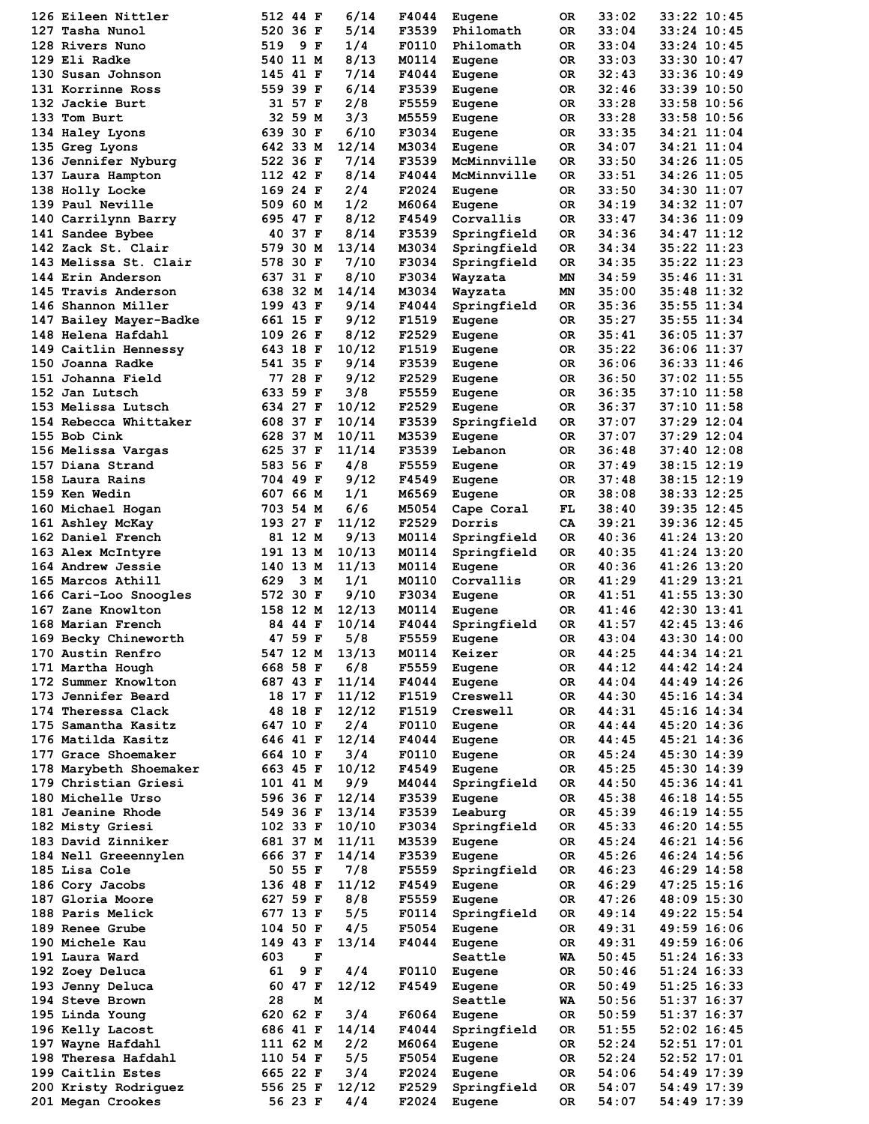| 126 Eileen Nittler                        |          | 512 44 F             |   | 6/14  | F4044 | Eugene           | 0R       | 33:02          | 33:22 10:45                |  |
|-------------------------------------------|----------|----------------------|---|-------|-------|------------------|----------|----------------|----------------------------|--|
| 127 Tasha Nunol                           |          | 520 36 F             |   | 5/14  | F3539 | Philomath        | 0R       | 33:04          | 33:24 10:45                |  |
| 128 Rivers Nuno                           | 519      | 9 F                  |   | 1/4   | F0110 | Philomath        | 0R       | 33:04          | 33:24 10:45                |  |
| 129 Eli Radke                             |          | 540 11 M             |   | 8/13  | M0114 | Eugene           | 0R       | 33:03          | 33:30 10:47                |  |
| 130 Susan Johnson                         | 145 41 F |                      |   | 7/14  | F4044 | Eugene           | 0R       | 32:43          | 33:36 10:49                |  |
| 131 Korrinne Ross                         |          | 559 39 F             |   | 6/14  | F3539 | Eugene           | 0R       | 32:46          | 33:39 10:50                |  |
| 132 Jackie Burt                           |          | 31 57 F              |   | 2/8   | F5559 | Eugene           | 0R       | 33:28          | 33:58 10:56                |  |
| 133 Tom Burt                              |          | 32 59 M              |   | 3/3   | M5559 | Eugene           | 0R       | 33:28          | 33:58 10:56                |  |
| 134 Haley Lyons                           |          | 639 30 F             |   | 6/10  | F3034 | Eugene           | 0R       | 33:35          | 34:21 11:04                |  |
| 135 Greg Lyons                            |          | 642 33 M             |   | 12/14 | M3034 | Eugene           | 0R       | 34:07          | 34:21 11:04                |  |
| 136 Jennifer Nyburg                       |          | 522 36 F             |   | 7/14  | F3539 | McMinnville      | 0R       | 33:50          | 34:26 11:05                |  |
| 137 Laura Hampton                         | 112 42 F |                      |   | 8/14  | F4044 | McMinnville      | 0R       | 33:51          | 34:26 11:05                |  |
| 138 Holly Locke                           | 169 24 F |                      |   | 2/4   | F2024 | Eugene           | 0R       | 33:50          | 34:30 11:07                |  |
| 139 Paul Neville                          |          | 509 60 M             |   | 1/2   | M6064 | Eugene           | 0R       | 34:19          | 34:32 11:07                |  |
| 140 Carrilynn Barry                       |          | 695 47 F             |   | 8/12  | F4549 | Corvallis        | 0R       | 33:47          | 34:36 11:09                |  |
| 141 Sandee Bybee                          |          | 40 37 F              |   | 8/14  | F3539 | Springfield      | 0R       | 34:36          | 34:47 11:12                |  |
| 142 Zack St. Clair                        | 579 30 M |                      |   | 13/14 | M3034 | Springfield      | 0R       | 34:34          | 35:22 11:23                |  |
| 143 Melissa St. Clair                     |          | 578 30 F             |   | 7/10  | F3034 | Springfield      | 0R       | 34:35          | 35:22 11:23                |  |
| 144 Erin Anderson                         |          | 637 31 F             |   | 8/10  | F3034 |                  | ΜN       | 34:59          | 35:46 11:31                |  |
| 145 Travis Anderson                       |          |                      |   | 14/14 |       | Wayzata          |          |                | 35:48 11:32                |  |
| 146 Shannon Miller                        | 199 43 F | 638 32 M             |   | 9/14  | M3034 | Wayzata          | ΜN       | 35:00          |                            |  |
|                                           |          |                      |   |       | F4044 | Springfield      | 0R       | 35:36          | 35:55 11:34                |  |
| 147 Bailey Mayer-Badke                    |          | 661 15 F             |   | 9/12  | F1519 | Eugene           | 0R       | 35:27          | 35:55 11:34                |  |
| 148 Helena Hafdahl                        | 109 26 F |                      |   | 8/12  | F2529 | Eugene           | 0R       | 35:41          | 36:05 11:37                |  |
| 149 Caitlin Hennessy                      |          | 643 18 F             |   | 10/12 | F1519 | Eugene           | 0R       | 35:22          | 36:06 11:37                |  |
| 150 Joanna Radke                          |          | 541 35 F             |   | 9/14  | F3539 | Eugene           | 0R       | 36:06          | 36:33 11:46                |  |
| 151 Johanna Field                         |          | 77 28 F              |   | 9/12  | F2529 | Eugene           | 0R       | 36:50          | 37:02 11:55                |  |
| 152 Jan Lutsch                            |          | 633 59 F             |   | 3/8   | F5559 | Eugene           | 0R       | 36:35          | 37:10 11:58                |  |
| 153 Melissa Lutsch                        | 634 27 F |                      |   | 10/12 | F2529 | Eugene           | 0R       | 36:37          | 37:10 11:58                |  |
| 154 Rebecca Whittaker                     |          | 608 37 F             |   | 10/14 | F3539 | Springfield      | 0R       | 37:07          | 37:29 12:04                |  |
| 155 Bob Cink                              |          | 628 37 M             |   | 10/11 | M3539 | Eugene           | 0R       | 37:07          | 37:29 12:04                |  |
| 156 Melissa Vargas                        |          | 625 37 F             |   | 11/14 | F3539 | Lebanon          | 0R       | 36:48          | 37:40 12:08                |  |
| 157 Diana Strand                          |          | 583 56 F             |   | 4/8   | F5559 | Eugene           | 0R       | 37:49          | 38:15 12:19                |  |
| 158 Laura Rains                           |          | 704 49 F             |   | 9/12  | F4549 | Eugene           | 0R       | 37:48          | 38:15 12:19                |  |
| 159 Ken Wedin                             |          | 607 66 M             |   | 1/1   | M6569 | Eugene           | 0R       | 38:08          | 38:33 12:25                |  |
| 160 Michael Hogan                         |          | 703 54 M             |   | 6/6   | M5054 | Cape Coral       | FL       | 38:40          | 39:35 12:45                |  |
| 161 Ashley McKay                          | 193 27 F |                      |   | 11/12 | F2529 | Dorris           | CA       | 39:21          | 39:36 12:45                |  |
| 162 Daniel French                         |          | 81 12 M              |   | 9/13  | M0114 | Springfield      | 0R       | 40:36          | 41:24 13:20                |  |
| 163 Alex McIntyre                         | 191 13 M |                      |   | 10/13 | M0114 | Springfield      | 0R       | 40:35          | 41:24 13:20                |  |
| 164 Andrew Jessie                         | 140 13 M |                      |   | 11/13 | M0114 | Eugene           | 0R       | 40:36          | 41:26 13:20                |  |
| 165 Marcos Athill                         | 629      | 3 M                  |   | 1/1   | M0110 | Corvallis        | 0R       | 41:29          | 41:29 13:21                |  |
| 166 Cari-Loo Snoogles                     | 572 30 F |                      |   | 9/10  | F3034 | Eugene           | 0R       | 41:51          | 41:55 13:30                |  |
| 167 Zane Knowlton                         | 158 12 M |                      |   | 12/13 | M0114 | Eugene           | 0R       | 41:46          | 42:30 13:41                |  |
| 168 Marian French                         |          | 84 44 F              |   | 10/14 | F4044 | Springfield      | 0R       | 41:57          | 42:45 13:46                |  |
| 169 Becky Chineworth                      |          | 47 59 F              |   | 5/8   | F5559 | Eugene           | OR       | 43:04          | 43:30 14:00                |  |
| 170 Austin Renfro                         |          | 547 12 M             |   | 13/13 | M0114 | Keizer           | OR       | 44:25          | 44:34 14:21                |  |
| 171 Martha Hough                          |          | 668 58 F             |   | 6/8   | F5559 | Eugene           | 0R       | 44:12          | 44:42 14:24                |  |
| 172 Summer Knowlton                       |          | 687 43 F             |   | 11/14 | F4044 | Eugene           | OR       | 44:04          | 44:49 14:26                |  |
| 173 Jennifer Beard                        |          | 18 17 F              |   | 11/12 | F1519 | Creswell         | OR       | 44:30          | 45:16 14:34                |  |
| 174 Theressa Clack                        |          | 48 18 F              |   | 12/12 | F1519 | Creswell         | ОR       | 44:31          | 45:16 14:34                |  |
| 175 Samantha Kasitz                       | 647 10 F |                      |   | 2/4   | F0110 |                  | 0R       | 44:44          | 45:20 14:36                |  |
|                                           |          | 646 41 F             |   | 12/14 | F4044 | Eugene           |          |                |                            |  |
| 176 Matilda Kasitz<br>177 Grace Shoemaker |          |                      |   | 3/4   | F0110 | Eugene           | OR       | 44:45<br>45:24 | 45:21 14:36                |  |
| 178 Marybeth Shoemaker                    |          | 664 10 F<br>663 45 F |   | 10/12 | F4549 | Eugene<br>Eugene | OR<br>OR | 45:25          | 45:30 14:39<br>45:30 14:39 |  |
|                                           |          |                      |   |       |       |                  |          |                |                            |  |
| 179 Christian Griesi                      | 101 41 M |                      |   | 9/9   | M4044 | Springfield      | OR       | 44:50          | 45:36 14:41                |  |
| 180 Michelle Urso                         |          | 596 36 F             |   | 12/14 | F3539 | Eugene           | 0R       | 45:38          | 46:18 14:55                |  |
| 181 Jeanine Rhode                         | 549 36 F |                      |   | 13/14 | F3539 | Leaburg          | 0R       | 45:39          | 46:19 14:55                |  |
| 182 Misty Griesi                          | 102 33 F |                      |   | 10/10 | F3034 | Springfield      | OR       | 45:33          | 46:20 14:55                |  |
| 183 David Zinniker                        |          | 681 37 M             |   | 11/11 | M3539 | Eugene           | OR       | 45:24          | 46:21 14:56                |  |
| 184 Nell Greeennylen                      |          | 666 37 F             |   | 14/14 | F3539 | Eugene           | 0R       | 45:26          | 46:24 14:56                |  |
| 185 Lisa Cole                             |          | 50 55 F              |   | 7/8   | F5559 | Springfield      | OR       | 46:23          | 46:29 14:58                |  |
| 186 Cory Jacobs                           | 136 48 F |                      |   | 11/12 | F4549 | Eugene           | OR       | 46:29          | 47:25 15:16                |  |
| 187 Gloria Moore                          |          | 627 59 F             |   | 8/8   | F5559 | Eugene           | OR       | 47:26          | 48:09 15:30                |  |
| 188 Paris Melick                          | 677 13 F |                      |   | 5/5   | F0114 | Springfield      | OR       | 49:14          | 49:22 15:54                |  |
| 189 Renee Grube                           | 104 50 F |                      |   | 4/5   | F5054 | Eugene           | OR       | 49:31          | 49:59 16:06                |  |
| 190 Michele Kau                           |          | 149 43 F             |   | 13/14 | F4044 | Eugene           | OR       | 49:31          | 49:59 16:06                |  |
| 191 Laura Ward                            | 603      |                      | F |       |       | Seattle          | WA       | 50:45          | 51:24 16:33                |  |
| 192 Zoey Deluca                           | 61       | 9 F                  |   | 4/4   | F0110 | Eugene           | OR       | 50:46          | 51:24 16:33                |  |
| 193 Jenny Deluca                          |          | 60 47 F              |   | 12/12 | F4549 | Eugene           | OR       | 50:49          | 51:25 16:33                |  |
| 194 Steve Brown                           | 28       |                      | м |       |       | Seattle          | WA       | 50:56          | 51:37 16:37                |  |
| 195 Linda Young                           | 620 62 F |                      |   | 3/4   | F6064 | Eugene           | 0R       | 50:59          | 51:37 16:37                |  |
| 196 Kelly Lacost                          | 686 41 F |                      |   | 14/14 | F4044 | Springfield      | OR       | 51:55          | 52:02 16:45                |  |
| 197 Wayne Hafdahl                         | 111 62 M |                      |   | 2/2   | M6064 | Eugene           | OR       | 52:24          | 52:51 17:01                |  |
| 198 Theresa Hafdahl                       | 110 54 F |                      |   | 5/5   | F5054 | Eugene           | OR       | 52:24          | 52:52 17:01                |  |
| 199 Caitlin Estes                         | 665 22 F |                      |   | 3/4   | F2024 | Eugene           | OR       | 54:06          | 54:49 17:39                |  |
| 200 Kristy Rodriguez                      |          | 556 25 F             |   | 12/12 | F2529 | Springfield      | OR       | 54:07          | 54:49 17:39                |  |
| 201 Megan Crookes                         |          | 56 23 F              |   | 4/4   | F2024 | Eugene           | 0R       | 54:07          | 54:49 17:39                |  |
|                                           |          |                      |   |       |       |                  |          |                |                            |  |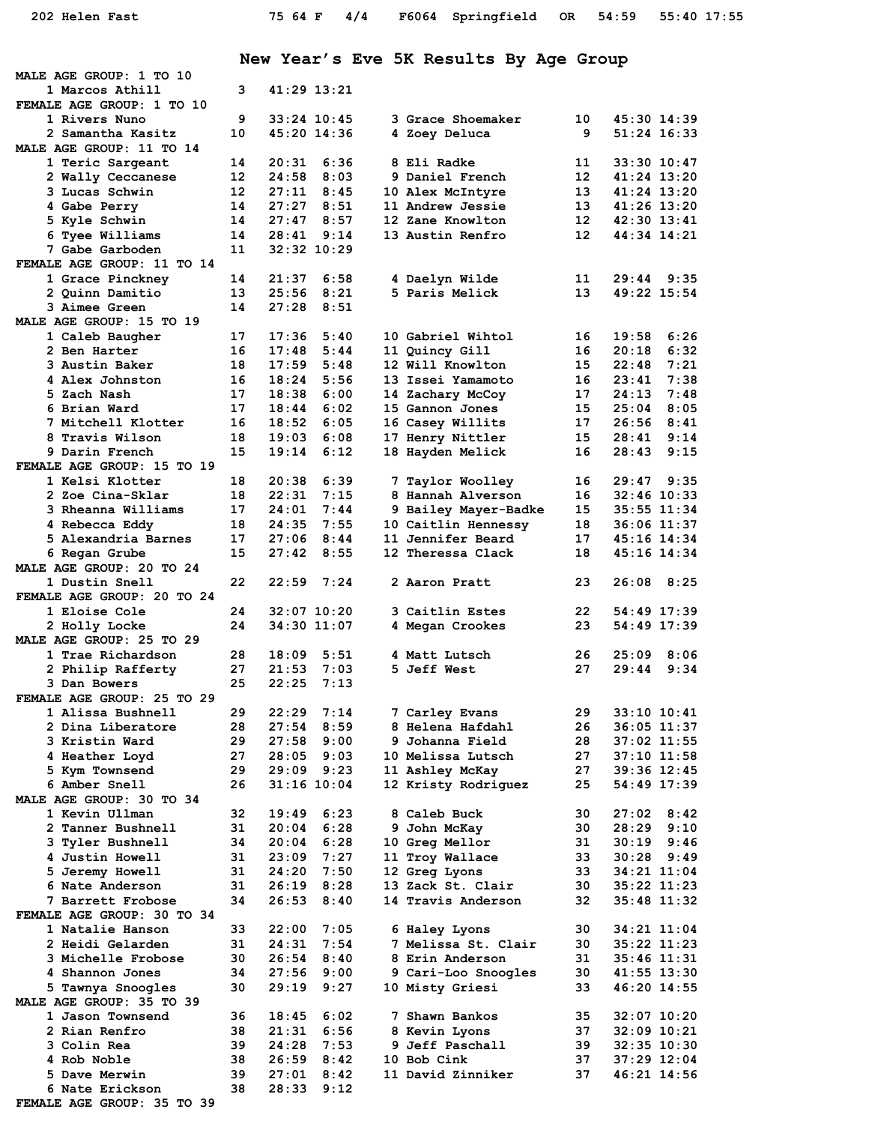**New Year's Eve 5K Results By Age Group**

| 1 Marcos Athill<br>3<br>41:29 13:21<br>FEMALE AGE GROUP: 1 TO 10<br>1 Rivers Nuno<br>9<br>$33:24$ 10:45<br>3 Grace Shoemaker<br>10<br>45:30 14:39<br>2 Samantha Kasitz<br>10<br>45:20 14:36<br>4 Zoey Deluca<br>9<br>51:24 16:33<br>MALE AGE GROUP: 11 TO 14<br>14<br>20:31<br>6:36<br>8 Eli Radke<br>11<br>$33:30$ $10:47$<br>1 Teric Sargeant<br>12<br>12<br>24:58<br>8:03<br>9 Daniel French<br>41:24 13:20<br>2 Wally Ceccanese<br>3 Lucas Schwin<br>12 <sup>1</sup><br>27:11<br>8:45<br>10 Alex McIntyre<br>13<br>41:24 13:20<br>27:27<br>8:51<br>4 Gabe Perry<br>14<br>11 Andrew Jessie<br>13<br>41:26 13:20<br>8:57<br>5 Kyle Schwin<br>14<br>27:47<br>12 Zane Knowlton<br>12<br>42:30 13:41<br>6 Tyee Williams<br>9:14<br>12<br>14<br>28:41<br>13 Austin Renfro<br>44:34 14:21<br>11<br>$32:32$ $10:29$<br>7 Gabe Garboden<br>FEMALE AGE GROUP: 11 TO 14<br>21:37<br>$29:44$ $9:35$<br>1 Grace Pinckney<br>6:58<br>11<br>14<br>4 Daelyn Wilde<br>5 Paris Melick<br>25:56<br>8:21<br>49:22 15:54<br>2 Quinn Damitio<br>13<br>13<br>3 Aimee Green<br>14<br>27:28<br>8:51<br>MALE AGE GROUP: 15 TO 19<br>17<br>17:36<br>5:40<br>10 Gabriel Wihtol<br>19:58<br>6:26<br>1 Caleb Baugher<br>16<br>6:32<br>16<br>17:48<br>5:44<br>11 Quincy Gill<br>20:18<br>2 Ben Harter<br>16<br>3 Austin Baker<br>18<br>17:59<br>5:48<br>12 Will Knowlton<br>15<br>22:48<br>7:21<br>7:38<br>4 Alex Johnston<br>18:24<br>5:56<br>13 Issei Yamamoto<br>16<br>23:41<br>16<br>5 Zach Nash<br>17<br>18:38<br>6:00<br>17<br>24:13<br>7:48<br>14 Zachary McCoy<br>18:44<br>6:02<br>6 Brian Ward<br>17<br>15 Gannon Jones<br>15<br>25:04<br>8:05<br>18:52<br>6:05<br>7 Mitchell Klotter<br>16<br>16 Casey Willits<br>17<br>26:56<br>8:41<br>8 Travis Wilson<br>18<br>19:03<br>6:08<br>17 Henry Nittler<br>15<br>28:41<br>9:14<br>9 Darin French<br>15<br>19:14<br>6:12<br>18 Hayden Melick<br>28:43<br>9:15<br>16<br>FEMALE AGE GROUP: 15 TO 19<br>1 Kelsi Klotter<br>18<br>20:38<br>6:39<br>$29:47$ $9:35$<br>7 Taylor Woolley<br>16<br>22:31<br>7:15<br>8 Hannah Alverson<br>2 Zoe Cina-Sklar<br>18<br>16<br>$32:46$ 10:33<br>24:01<br>9 Bailey Mayer-Badke<br>3 Rheanna Williams<br>17<br>7:44<br>15<br>$35:55$ $11:34$<br>10 Caitlin Hennessy<br>4 Rebecca Eddy<br>18<br>24:35<br>7:55<br>18<br>36:06 11:37<br>5 Alexandria Barnes<br>17<br>27:06<br>8:44<br>11 Jennifer Beard<br>17<br>45:16 14:34<br>6 Regan Grube<br>15<br>27:42<br>8:55<br>12 Theressa Clack<br>18<br>45:16 14:34<br>MALE AGE GROUP: 20 TO 24<br>1 Dustin Snell<br>22<br>22:59<br>7:24<br>2 Aaron Pratt<br>23<br>$26:08$ $8:25$<br>FEMALE AGE GROUP: 20 TO 24<br>32:07 10:20<br>1 Eloise Cole<br>24<br>3 Caitlin Estes<br>22<br>54:49 17:39<br>34:30 11:07<br>54:49 17:39<br>24<br>4 Megan Crookes<br>23<br>2 Holly Locke<br>MALE AGE GROUP: 25 TO 29<br>1 Trae Richardson<br>28<br>18:09<br>5:51<br>4 Matt Lutsch<br>26<br>25:09<br>8:06<br>2 Philip Rafferty<br>27<br>21:53<br>7:03<br>5 Jeff West<br>27<br>29:44<br>9:34<br>25<br>7:13<br>3 Dan Bowers<br>22:25<br>FEMALE AGE GROUP: 25 TO 29<br>29<br>22:29<br>7:14<br>29<br>$33:10$ $10:41$<br>1 Alissa Bushnell<br>7 Carley Evans<br>2 Dina Liberatore<br>28<br>27:54<br>8:59<br>8 Helena Hafdahl<br>26<br>$36:05$ 11:37<br>3 Kristin Ward<br>29<br>27:58<br>9:00<br>9 Johanna Field<br>28<br>$37:02$ 11:55<br>4 Heather Loyd<br>27<br>28:05<br>9:03<br>10 Melissa Lutsch<br>27<br>$37:10$ 11:58<br>29<br>9:23<br>27<br>5 Kym Townsend<br>29:09<br>39:36 12:45<br>11 Ashley McKay<br>6 Amber Snell<br>26<br>$31:16$ $10:04$<br>12 Kristy Rodriquez<br>25<br>54:49 17:39<br>MALE AGE GROUP: 30 TO 34<br>1 Kevin Ullman<br>19:49<br>6:23<br>8 Caleb Buck<br>30<br>27:02<br>8:42<br>32<br>6:28<br>2 Tanner Bushnell<br>31<br>20:04<br>30<br>28:29<br>9:10<br>9 John McKay<br>6:28<br>3 Tyler Bushnell<br>34<br>20:04<br>10 Greg Mellor<br>31<br>$30:19$ $9:46$<br>7:27<br>4 Justin Howell<br>31<br>23:09<br>11 Troy Wallace<br>33<br>$30:28$ 9:49<br>5 Jeremy Howell<br>31<br>24:20<br>7:50<br>33<br>34:21 11:04<br>12 Greg Lyons<br>6 Nate Anderson<br>31<br>26:19<br>8:28<br>13 Zack St. Clair<br>30<br>35:22 11:23<br>7 Barrett Frobose<br>34<br>26:53<br>8:40<br>14 Travis Anderson<br>$35:48$ 11:32<br>32<br>FEMALE AGE GROUP: 30 TO 34<br>1 Natalie Hanson<br>33<br>22:00<br>7:05<br>30<br>34:21 11:04<br>6 Haley Lyons<br>2 Heidi Gelarden<br>31<br>24:31<br>7:54<br>7 Melissa St. Clair<br>30<br>$35:22$ $11:23$<br>3 Michelle Frobose<br>30<br>26:54<br>8:40<br>8 Erin Anderson<br>31<br>35:46 11:31<br>34<br>27:56<br>9:00<br>9 Cari-Loo Snoogles<br>30<br>4 Shannon Jones<br>$41:55$ $13:30$<br>5 Tawnya Snoogles<br>30<br>29:19<br>9:27<br>10 Misty Griesi<br>33<br>46:20 14:55<br>MALE AGE GROUP: 35 TO 39 |
|--------------------------------------------------------------------------------------------------------------------------------------------------------------------------------------------------------------------------------------------------------------------------------------------------------------------------------------------------------------------------------------------------------------------------------------------------------------------------------------------------------------------------------------------------------------------------------------------------------------------------------------------------------------------------------------------------------------------------------------------------------------------------------------------------------------------------------------------------------------------------------------------------------------------------------------------------------------------------------------------------------------------------------------------------------------------------------------------------------------------------------------------------------------------------------------------------------------------------------------------------------------------------------------------------------------------------------------------------------------------------------------------------------------------------------------------------------------------------------------------------------------------------------------------------------------------------------------------------------------------------------------------------------------------------------------------------------------------------------------------------------------------------------------------------------------------------------------------------------------------------------------------------------------------------------------------------------------------------------------------------------------------------------------------------------------------------------------------------------------------------------------------------------------------------------------------------------------------------------------------------------------------------------------------------------------------------------------------------------------------------------------------------------------------------------------------------------------------------------------------------------------------------------------------------------------------------------------------------------------------------------------------------------------------------------------------------------------------------------------------------------------------------------------------------------------------------------------------------------------------------------------------------------------------------------------------------------------------------------------------------------------------------------------------------------------------------------------------------------------------------------------------------------------------------------------------------------------------------------------------------------------------------------------------------------------------------------------------------------------------------------------------------------------------------------------------------------------------------------------------------------------------------------------------------------------------------------------------------------------------------------------------------------------------------------------------------------------------------------------------------------------------------------------------------------------------------------------------------------------------------------------------------------------------------------------------------------------------------------------------------------------------------------------------------------------------------------------------------------------------------------------------------------------------------------------------------------------------------------------------------------------------------------------------------------------------------------------------------------------------------------------------------------------------------------------------------------------------------------------------------------------------------------------------------------------------------------------------------------------------------------------------------------------------------------------------------------------------------------|
|                                                                                                                                                                                                                                                                                                                                                                                                                                                                                                                                                                                                                                                                                                                                                                                                                                                                                                                                                                                                                                                                                                                                                                                                                                                                                                                                                                                                                                                                                                                                                                                                                                                                                                                                                                                                                                                                                                                                                                                                                                                                                                                                                                                                                                                                                                                                                                                                                                                                                                                                                                                                                                                                                                                                                                                                                                                                                                                                                                                                                                                                                                                                                                                                                                                                                                                                                                                                                                                                                                                                                                                                                                                                                                                                                                                                                                                                                                                                                                                                                                                                                                                                                                                                                                                                                                                                                                                                                                                                                                                                                                                                                                                                                                                                |
|                                                                                                                                                                                                                                                                                                                                                                                                                                                                                                                                                                                                                                                                                                                                                                                                                                                                                                                                                                                                                                                                                                                                                                                                                                                                                                                                                                                                                                                                                                                                                                                                                                                                                                                                                                                                                                                                                                                                                                                                                                                                                                                                                                                                                                                                                                                                                                                                                                                                                                                                                                                                                                                                                                                                                                                                                                                                                                                                                                                                                                                                                                                                                                                                                                                                                                                                                                                                                                                                                                                                                                                                                                                                                                                                                                                                                                                                                                                                                                                                                                                                                                                                                                                                                                                                                                                                                                                                                                                                                                                                                                                                                                                                                                                                |
|                                                                                                                                                                                                                                                                                                                                                                                                                                                                                                                                                                                                                                                                                                                                                                                                                                                                                                                                                                                                                                                                                                                                                                                                                                                                                                                                                                                                                                                                                                                                                                                                                                                                                                                                                                                                                                                                                                                                                                                                                                                                                                                                                                                                                                                                                                                                                                                                                                                                                                                                                                                                                                                                                                                                                                                                                                                                                                                                                                                                                                                                                                                                                                                                                                                                                                                                                                                                                                                                                                                                                                                                                                                                                                                                                                                                                                                                                                                                                                                                                                                                                                                                                                                                                                                                                                                                                                                                                                                                                                                                                                                                                                                                                                                                |
|                                                                                                                                                                                                                                                                                                                                                                                                                                                                                                                                                                                                                                                                                                                                                                                                                                                                                                                                                                                                                                                                                                                                                                                                                                                                                                                                                                                                                                                                                                                                                                                                                                                                                                                                                                                                                                                                                                                                                                                                                                                                                                                                                                                                                                                                                                                                                                                                                                                                                                                                                                                                                                                                                                                                                                                                                                                                                                                                                                                                                                                                                                                                                                                                                                                                                                                                                                                                                                                                                                                                                                                                                                                                                                                                                                                                                                                                                                                                                                                                                                                                                                                                                                                                                                                                                                                                                                                                                                                                                                                                                                                                                                                                                                                                |
|                                                                                                                                                                                                                                                                                                                                                                                                                                                                                                                                                                                                                                                                                                                                                                                                                                                                                                                                                                                                                                                                                                                                                                                                                                                                                                                                                                                                                                                                                                                                                                                                                                                                                                                                                                                                                                                                                                                                                                                                                                                                                                                                                                                                                                                                                                                                                                                                                                                                                                                                                                                                                                                                                                                                                                                                                                                                                                                                                                                                                                                                                                                                                                                                                                                                                                                                                                                                                                                                                                                                                                                                                                                                                                                                                                                                                                                                                                                                                                                                                                                                                                                                                                                                                                                                                                                                                                                                                                                                                                                                                                                                                                                                                                                                |
|                                                                                                                                                                                                                                                                                                                                                                                                                                                                                                                                                                                                                                                                                                                                                                                                                                                                                                                                                                                                                                                                                                                                                                                                                                                                                                                                                                                                                                                                                                                                                                                                                                                                                                                                                                                                                                                                                                                                                                                                                                                                                                                                                                                                                                                                                                                                                                                                                                                                                                                                                                                                                                                                                                                                                                                                                                                                                                                                                                                                                                                                                                                                                                                                                                                                                                                                                                                                                                                                                                                                                                                                                                                                                                                                                                                                                                                                                                                                                                                                                                                                                                                                                                                                                                                                                                                                                                                                                                                                                                                                                                                                                                                                                                                                |
|                                                                                                                                                                                                                                                                                                                                                                                                                                                                                                                                                                                                                                                                                                                                                                                                                                                                                                                                                                                                                                                                                                                                                                                                                                                                                                                                                                                                                                                                                                                                                                                                                                                                                                                                                                                                                                                                                                                                                                                                                                                                                                                                                                                                                                                                                                                                                                                                                                                                                                                                                                                                                                                                                                                                                                                                                                                                                                                                                                                                                                                                                                                                                                                                                                                                                                                                                                                                                                                                                                                                                                                                                                                                                                                                                                                                                                                                                                                                                                                                                                                                                                                                                                                                                                                                                                                                                                                                                                                                                                                                                                                                                                                                                                                                |
|                                                                                                                                                                                                                                                                                                                                                                                                                                                                                                                                                                                                                                                                                                                                                                                                                                                                                                                                                                                                                                                                                                                                                                                                                                                                                                                                                                                                                                                                                                                                                                                                                                                                                                                                                                                                                                                                                                                                                                                                                                                                                                                                                                                                                                                                                                                                                                                                                                                                                                                                                                                                                                                                                                                                                                                                                                                                                                                                                                                                                                                                                                                                                                                                                                                                                                                                                                                                                                                                                                                                                                                                                                                                                                                                                                                                                                                                                                                                                                                                                                                                                                                                                                                                                                                                                                                                                                                                                                                                                                                                                                                                                                                                                                                                |
|                                                                                                                                                                                                                                                                                                                                                                                                                                                                                                                                                                                                                                                                                                                                                                                                                                                                                                                                                                                                                                                                                                                                                                                                                                                                                                                                                                                                                                                                                                                                                                                                                                                                                                                                                                                                                                                                                                                                                                                                                                                                                                                                                                                                                                                                                                                                                                                                                                                                                                                                                                                                                                                                                                                                                                                                                                                                                                                                                                                                                                                                                                                                                                                                                                                                                                                                                                                                                                                                                                                                                                                                                                                                                                                                                                                                                                                                                                                                                                                                                                                                                                                                                                                                                                                                                                                                                                                                                                                                                                                                                                                                                                                                                                                                |
|                                                                                                                                                                                                                                                                                                                                                                                                                                                                                                                                                                                                                                                                                                                                                                                                                                                                                                                                                                                                                                                                                                                                                                                                                                                                                                                                                                                                                                                                                                                                                                                                                                                                                                                                                                                                                                                                                                                                                                                                                                                                                                                                                                                                                                                                                                                                                                                                                                                                                                                                                                                                                                                                                                                                                                                                                                                                                                                                                                                                                                                                                                                                                                                                                                                                                                                                                                                                                                                                                                                                                                                                                                                                                                                                                                                                                                                                                                                                                                                                                                                                                                                                                                                                                                                                                                                                                                                                                                                                                                                                                                                                                                                                                                                                |
|                                                                                                                                                                                                                                                                                                                                                                                                                                                                                                                                                                                                                                                                                                                                                                                                                                                                                                                                                                                                                                                                                                                                                                                                                                                                                                                                                                                                                                                                                                                                                                                                                                                                                                                                                                                                                                                                                                                                                                                                                                                                                                                                                                                                                                                                                                                                                                                                                                                                                                                                                                                                                                                                                                                                                                                                                                                                                                                                                                                                                                                                                                                                                                                                                                                                                                                                                                                                                                                                                                                                                                                                                                                                                                                                                                                                                                                                                                                                                                                                                                                                                                                                                                                                                                                                                                                                                                                                                                                                                                                                                                                                                                                                                                                                |
|                                                                                                                                                                                                                                                                                                                                                                                                                                                                                                                                                                                                                                                                                                                                                                                                                                                                                                                                                                                                                                                                                                                                                                                                                                                                                                                                                                                                                                                                                                                                                                                                                                                                                                                                                                                                                                                                                                                                                                                                                                                                                                                                                                                                                                                                                                                                                                                                                                                                                                                                                                                                                                                                                                                                                                                                                                                                                                                                                                                                                                                                                                                                                                                                                                                                                                                                                                                                                                                                                                                                                                                                                                                                                                                                                                                                                                                                                                                                                                                                                                                                                                                                                                                                                                                                                                                                                                                                                                                                                                                                                                                                                                                                                                                                |
|                                                                                                                                                                                                                                                                                                                                                                                                                                                                                                                                                                                                                                                                                                                                                                                                                                                                                                                                                                                                                                                                                                                                                                                                                                                                                                                                                                                                                                                                                                                                                                                                                                                                                                                                                                                                                                                                                                                                                                                                                                                                                                                                                                                                                                                                                                                                                                                                                                                                                                                                                                                                                                                                                                                                                                                                                                                                                                                                                                                                                                                                                                                                                                                                                                                                                                                                                                                                                                                                                                                                                                                                                                                                                                                                                                                                                                                                                                                                                                                                                                                                                                                                                                                                                                                                                                                                                                                                                                                                                                                                                                                                                                                                                                                                |
|                                                                                                                                                                                                                                                                                                                                                                                                                                                                                                                                                                                                                                                                                                                                                                                                                                                                                                                                                                                                                                                                                                                                                                                                                                                                                                                                                                                                                                                                                                                                                                                                                                                                                                                                                                                                                                                                                                                                                                                                                                                                                                                                                                                                                                                                                                                                                                                                                                                                                                                                                                                                                                                                                                                                                                                                                                                                                                                                                                                                                                                                                                                                                                                                                                                                                                                                                                                                                                                                                                                                                                                                                                                                                                                                                                                                                                                                                                                                                                                                                                                                                                                                                                                                                                                                                                                                                                                                                                                                                                                                                                                                                                                                                                                                |
|                                                                                                                                                                                                                                                                                                                                                                                                                                                                                                                                                                                                                                                                                                                                                                                                                                                                                                                                                                                                                                                                                                                                                                                                                                                                                                                                                                                                                                                                                                                                                                                                                                                                                                                                                                                                                                                                                                                                                                                                                                                                                                                                                                                                                                                                                                                                                                                                                                                                                                                                                                                                                                                                                                                                                                                                                                                                                                                                                                                                                                                                                                                                                                                                                                                                                                                                                                                                                                                                                                                                                                                                                                                                                                                                                                                                                                                                                                                                                                                                                                                                                                                                                                                                                                                                                                                                                                                                                                                                                                                                                                                                                                                                                                                                |
|                                                                                                                                                                                                                                                                                                                                                                                                                                                                                                                                                                                                                                                                                                                                                                                                                                                                                                                                                                                                                                                                                                                                                                                                                                                                                                                                                                                                                                                                                                                                                                                                                                                                                                                                                                                                                                                                                                                                                                                                                                                                                                                                                                                                                                                                                                                                                                                                                                                                                                                                                                                                                                                                                                                                                                                                                                                                                                                                                                                                                                                                                                                                                                                                                                                                                                                                                                                                                                                                                                                                                                                                                                                                                                                                                                                                                                                                                                                                                                                                                                                                                                                                                                                                                                                                                                                                                                                                                                                                                                                                                                                                                                                                                                                                |
|                                                                                                                                                                                                                                                                                                                                                                                                                                                                                                                                                                                                                                                                                                                                                                                                                                                                                                                                                                                                                                                                                                                                                                                                                                                                                                                                                                                                                                                                                                                                                                                                                                                                                                                                                                                                                                                                                                                                                                                                                                                                                                                                                                                                                                                                                                                                                                                                                                                                                                                                                                                                                                                                                                                                                                                                                                                                                                                                                                                                                                                                                                                                                                                                                                                                                                                                                                                                                                                                                                                                                                                                                                                                                                                                                                                                                                                                                                                                                                                                                                                                                                                                                                                                                                                                                                                                                                                                                                                                                                                                                                                                                                                                                                                                |
|                                                                                                                                                                                                                                                                                                                                                                                                                                                                                                                                                                                                                                                                                                                                                                                                                                                                                                                                                                                                                                                                                                                                                                                                                                                                                                                                                                                                                                                                                                                                                                                                                                                                                                                                                                                                                                                                                                                                                                                                                                                                                                                                                                                                                                                                                                                                                                                                                                                                                                                                                                                                                                                                                                                                                                                                                                                                                                                                                                                                                                                                                                                                                                                                                                                                                                                                                                                                                                                                                                                                                                                                                                                                                                                                                                                                                                                                                                                                                                                                                                                                                                                                                                                                                                                                                                                                                                                                                                                                                                                                                                                                                                                                                                                                |
|                                                                                                                                                                                                                                                                                                                                                                                                                                                                                                                                                                                                                                                                                                                                                                                                                                                                                                                                                                                                                                                                                                                                                                                                                                                                                                                                                                                                                                                                                                                                                                                                                                                                                                                                                                                                                                                                                                                                                                                                                                                                                                                                                                                                                                                                                                                                                                                                                                                                                                                                                                                                                                                                                                                                                                                                                                                                                                                                                                                                                                                                                                                                                                                                                                                                                                                                                                                                                                                                                                                                                                                                                                                                                                                                                                                                                                                                                                                                                                                                                                                                                                                                                                                                                                                                                                                                                                                                                                                                                                                                                                                                                                                                                                                                |
|                                                                                                                                                                                                                                                                                                                                                                                                                                                                                                                                                                                                                                                                                                                                                                                                                                                                                                                                                                                                                                                                                                                                                                                                                                                                                                                                                                                                                                                                                                                                                                                                                                                                                                                                                                                                                                                                                                                                                                                                                                                                                                                                                                                                                                                                                                                                                                                                                                                                                                                                                                                                                                                                                                                                                                                                                                                                                                                                                                                                                                                                                                                                                                                                                                                                                                                                                                                                                                                                                                                                                                                                                                                                                                                                                                                                                                                                                                                                                                                                                                                                                                                                                                                                                                                                                                                                                                                                                                                                                                                                                                                                                                                                                                                                |
|                                                                                                                                                                                                                                                                                                                                                                                                                                                                                                                                                                                                                                                                                                                                                                                                                                                                                                                                                                                                                                                                                                                                                                                                                                                                                                                                                                                                                                                                                                                                                                                                                                                                                                                                                                                                                                                                                                                                                                                                                                                                                                                                                                                                                                                                                                                                                                                                                                                                                                                                                                                                                                                                                                                                                                                                                                                                                                                                                                                                                                                                                                                                                                                                                                                                                                                                                                                                                                                                                                                                                                                                                                                                                                                                                                                                                                                                                                                                                                                                                                                                                                                                                                                                                                                                                                                                                                                                                                                                                                                                                                                                                                                                                                                                |
|                                                                                                                                                                                                                                                                                                                                                                                                                                                                                                                                                                                                                                                                                                                                                                                                                                                                                                                                                                                                                                                                                                                                                                                                                                                                                                                                                                                                                                                                                                                                                                                                                                                                                                                                                                                                                                                                                                                                                                                                                                                                                                                                                                                                                                                                                                                                                                                                                                                                                                                                                                                                                                                                                                                                                                                                                                                                                                                                                                                                                                                                                                                                                                                                                                                                                                                                                                                                                                                                                                                                                                                                                                                                                                                                                                                                                                                                                                                                                                                                                                                                                                                                                                                                                                                                                                                                                                                                                                                                                                                                                                                                                                                                                                                                |
|                                                                                                                                                                                                                                                                                                                                                                                                                                                                                                                                                                                                                                                                                                                                                                                                                                                                                                                                                                                                                                                                                                                                                                                                                                                                                                                                                                                                                                                                                                                                                                                                                                                                                                                                                                                                                                                                                                                                                                                                                                                                                                                                                                                                                                                                                                                                                                                                                                                                                                                                                                                                                                                                                                                                                                                                                                                                                                                                                                                                                                                                                                                                                                                                                                                                                                                                                                                                                                                                                                                                                                                                                                                                                                                                                                                                                                                                                                                                                                                                                                                                                                                                                                                                                                                                                                                                                                                                                                                                                                                                                                                                                                                                                                                                |
|                                                                                                                                                                                                                                                                                                                                                                                                                                                                                                                                                                                                                                                                                                                                                                                                                                                                                                                                                                                                                                                                                                                                                                                                                                                                                                                                                                                                                                                                                                                                                                                                                                                                                                                                                                                                                                                                                                                                                                                                                                                                                                                                                                                                                                                                                                                                                                                                                                                                                                                                                                                                                                                                                                                                                                                                                                                                                                                                                                                                                                                                                                                                                                                                                                                                                                                                                                                                                                                                                                                                                                                                                                                                                                                                                                                                                                                                                                                                                                                                                                                                                                                                                                                                                                                                                                                                                                                                                                                                                                                                                                                                                                                                                                                                |
|                                                                                                                                                                                                                                                                                                                                                                                                                                                                                                                                                                                                                                                                                                                                                                                                                                                                                                                                                                                                                                                                                                                                                                                                                                                                                                                                                                                                                                                                                                                                                                                                                                                                                                                                                                                                                                                                                                                                                                                                                                                                                                                                                                                                                                                                                                                                                                                                                                                                                                                                                                                                                                                                                                                                                                                                                                                                                                                                                                                                                                                                                                                                                                                                                                                                                                                                                                                                                                                                                                                                                                                                                                                                                                                                                                                                                                                                                                                                                                                                                                                                                                                                                                                                                                                                                                                                                                                                                                                                                                                                                                                                                                                                                                                                |
|                                                                                                                                                                                                                                                                                                                                                                                                                                                                                                                                                                                                                                                                                                                                                                                                                                                                                                                                                                                                                                                                                                                                                                                                                                                                                                                                                                                                                                                                                                                                                                                                                                                                                                                                                                                                                                                                                                                                                                                                                                                                                                                                                                                                                                                                                                                                                                                                                                                                                                                                                                                                                                                                                                                                                                                                                                                                                                                                                                                                                                                                                                                                                                                                                                                                                                                                                                                                                                                                                                                                                                                                                                                                                                                                                                                                                                                                                                                                                                                                                                                                                                                                                                                                                                                                                                                                                                                                                                                                                                                                                                                                                                                                                                                                |
|                                                                                                                                                                                                                                                                                                                                                                                                                                                                                                                                                                                                                                                                                                                                                                                                                                                                                                                                                                                                                                                                                                                                                                                                                                                                                                                                                                                                                                                                                                                                                                                                                                                                                                                                                                                                                                                                                                                                                                                                                                                                                                                                                                                                                                                                                                                                                                                                                                                                                                                                                                                                                                                                                                                                                                                                                                                                                                                                                                                                                                                                                                                                                                                                                                                                                                                                                                                                                                                                                                                                                                                                                                                                                                                                                                                                                                                                                                                                                                                                                                                                                                                                                                                                                                                                                                                                                                                                                                                                                                                                                                                                                                                                                                                                |
|                                                                                                                                                                                                                                                                                                                                                                                                                                                                                                                                                                                                                                                                                                                                                                                                                                                                                                                                                                                                                                                                                                                                                                                                                                                                                                                                                                                                                                                                                                                                                                                                                                                                                                                                                                                                                                                                                                                                                                                                                                                                                                                                                                                                                                                                                                                                                                                                                                                                                                                                                                                                                                                                                                                                                                                                                                                                                                                                                                                                                                                                                                                                                                                                                                                                                                                                                                                                                                                                                                                                                                                                                                                                                                                                                                                                                                                                                                                                                                                                                                                                                                                                                                                                                                                                                                                                                                                                                                                                                                                                                                                                                                                                                                                                |
|                                                                                                                                                                                                                                                                                                                                                                                                                                                                                                                                                                                                                                                                                                                                                                                                                                                                                                                                                                                                                                                                                                                                                                                                                                                                                                                                                                                                                                                                                                                                                                                                                                                                                                                                                                                                                                                                                                                                                                                                                                                                                                                                                                                                                                                                                                                                                                                                                                                                                                                                                                                                                                                                                                                                                                                                                                                                                                                                                                                                                                                                                                                                                                                                                                                                                                                                                                                                                                                                                                                                                                                                                                                                                                                                                                                                                                                                                                                                                                                                                                                                                                                                                                                                                                                                                                                                                                                                                                                                                                                                                                                                                                                                                                                                |
|                                                                                                                                                                                                                                                                                                                                                                                                                                                                                                                                                                                                                                                                                                                                                                                                                                                                                                                                                                                                                                                                                                                                                                                                                                                                                                                                                                                                                                                                                                                                                                                                                                                                                                                                                                                                                                                                                                                                                                                                                                                                                                                                                                                                                                                                                                                                                                                                                                                                                                                                                                                                                                                                                                                                                                                                                                                                                                                                                                                                                                                                                                                                                                                                                                                                                                                                                                                                                                                                                                                                                                                                                                                                                                                                                                                                                                                                                                                                                                                                                                                                                                                                                                                                                                                                                                                                                                                                                                                                                                                                                                                                                                                                                                                                |
|                                                                                                                                                                                                                                                                                                                                                                                                                                                                                                                                                                                                                                                                                                                                                                                                                                                                                                                                                                                                                                                                                                                                                                                                                                                                                                                                                                                                                                                                                                                                                                                                                                                                                                                                                                                                                                                                                                                                                                                                                                                                                                                                                                                                                                                                                                                                                                                                                                                                                                                                                                                                                                                                                                                                                                                                                                                                                                                                                                                                                                                                                                                                                                                                                                                                                                                                                                                                                                                                                                                                                                                                                                                                                                                                                                                                                                                                                                                                                                                                                                                                                                                                                                                                                                                                                                                                                                                                                                                                                                                                                                                                                                                                                                                                |
|                                                                                                                                                                                                                                                                                                                                                                                                                                                                                                                                                                                                                                                                                                                                                                                                                                                                                                                                                                                                                                                                                                                                                                                                                                                                                                                                                                                                                                                                                                                                                                                                                                                                                                                                                                                                                                                                                                                                                                                                                                                                                                                                                                                                                                                                                                                                                                                                                                                                                                                                                                                                                                                                                                                                                                                                                                                                                                                                                                                                                                                                                                                                                                                                                                                                                                                                                                                                                                                                                                                                                                                                                                                                                                                                                                                                                                                                                                                                                                                                                                                                                                                                                                                                                                                                                                                                                                                                                                                                                                                                                                                                                                                                                                                                |
|                                                                                                                                                                                                                                                                                                                                                                                                                                                                                                                                                                                                                                                                                                                                                                                                                                                                                                                                                                                                                                                                                                                                                                                                                                                                                                                                                                                                                                                                                                                                                                                                                                                                                                                                                                                                                                                                                                                                                                                                                                                                                                                                                                                                                                                                                                                                                                                                                                                                                                                                                                                                                                                                                                                                                                                                                                                                                                                                                                                                                                                                                                                                                                                                                                                                                                                                                                                                                                                                                                                                                                                                                                                                                                                                                                                                                                                                                                                                                                                                                                                                                                                                                                                                                                                                                                                                                                                                                                                                                                                                                                                                                                                                                                                                |
|                                                                                                                                                                                                                                                                                                                                                                                                                                                                                                                                                                                                                                                                                                                                                                                                                                                                                                                                                                                                                                                                                                                                                                                                                                                                                                                                                                                                                                                                                                                                                                                                                                                                                                                                                                                                                                                                                                                                                                                                                                                                                                                                                                                                                                                                                                                                                                                                                                                                                                                                                                                                                                                                                                                                                                                                                                                                                                                                                                                                                                                                                                                                                                                                                                                                                                                                                                                                                                                                                                                                                                                                                                                                                                                                                                                                                                                                                                                                                                                                                                                                                                                                                                                                                                                                                                                                                                                                                                                                                                                                                                                                                                                                                                                                |
|                                                                                                                                                                                                                                                                                                                                                                                                                                                                                                                                                                                                                                                                                                                                                                                                                                                                                                                                                                                                                                                                                                                                                                                                                                                                                                                                                                                                                                                                                                                                                                                                                                                                                                                                                                                                                                                                                                                                                                                                                                                                                                                                                                                                                                                                                                                                                                                                                                                                                                                                                                                                                                                                                                                                                                                                                                                                                                                                                                                                                                                                                                                                                                                                                                                                                                                                                                                                                                                                                                                                                                                                                                                                                                                                                                                                                                                                                                                                                                                                                                                                                                                                                                                                                                                                                                                                                                                                                                                                                                                                                                                                                                                                                                                                |
|                                                                                                                                                                                                                                                                                                                                                                                                                                                                                                                                                                                                                                                                                                                                                                                                                                                                                                                                                                                                                                                                                                                                                                                                                                                                                                                                                                                                                                                                                                                                                                                                                                                                                                                                                                                                                                                                                                                                                                                                                                                                                                                                                                                                                                                                                                                                                                                                                                                                                                                                                                                                                                                                                                                                                                                                                                                                                                                                                                                                                                                                                                                                                                                                                                                                                                                                                                                                                                                                                                                                                                                                                                                                                                                                                                                                                                                                                                                                                                                                                                                                                                                                                                                                                                                                                                                                                                                                                                                                                                                                                                                                                                                                                                                                |
|                                                                                                                                                                                                                                                                                                                                                                                                                                                                                                                                                                                                                                                                                                                                                                                                                                                                                                                                                                                                                                                                                                                                                                                                                                                                                                                                                                                                                                                                                                                                                                                                                                                                                                                                                                                                                                                                                                                                                                                                                                                                                                                                                                                                                                                                                                                                                                                                                                                                                                                                                                                                                                                                                                                                                                                                                                                                                                                                                                                                                                                                                                                                                                                                                                                                                                                                                                                                                                                                                                                                                                                                                                                                                                                                                                                                                                                                                                                                                                                                                                                                                                                                                                                                                                                                                                                                                                                                                                                                                                                                                                                                                                                                                                                                |
|                                                                                                                                                                                                                                                                                                                                                                                                                                                                                                                                                                                                                                                                                                                                                                                                                                                                                                                                                                                                                                                                                                                                                                                                                                                                                                                                                                                                                                                                                                                                                                                                                                                                                                                                                                                                                                                                                                                                                                                                                                                                                                                                                                                                                                                                                                                                                                                                                                                                                                                                                                                                                                                                                                                                                                                                                                                                                                                                                                                                                                                                                                                                                                                                                                                                                                                                                                                                                                                                                                                                                                                                                                                                                                                                                                                                                                                                                                                                                                                                                                                                                                                                                                                                                                                                                                                                                                                                                                                                                                                                                                                                                                                                                                                                |
|                                                                                                                                                                                                                                                                                                                                                                                                                                                                                                                                                                                                                                                                                                                                                                                                                                                                                                                                                                                                                                                                                                                                                                                                                                                                                                                                                                                                                                                                                                                                                                                                                                                                                                                                                                                                                                                                                                                                                                                                                                                                                                                                                                                                                                                                                                                                                                                                                                                                                                                                                                                                                                                                                                                                                                                                                                                                                                                                                                                                                                                                                                                                                                                                                                                                                                                                                                                                                                                                                                                                                                                                                                                                                                                                                                                                                                                                                                                                                                                                                                                                                                                                                                                                                                                                                                                                                                                                                                                                                                                                                                                                                                                                                                                                |
|                                                                                                                                                                                                                                                                                                                                                                                                                                                                                                                                                                                                                                                                                                                                                                                                                                                                                                                                                                                                                                                                                                                                                                                                                                                                                                                                                                                                                                                                                                                                                                                                                                                                                                                                                                                                                                                                                                                                                                                                                                                                                                                                                                                                                                                                                                                                                                                                                                                                                                                                                                                                                                                                                                                                                                                                                                                                                                                                                                                                                                                                                                                                                                                                                                                                                                                                                                                                                                                                                                                                                                                                                                                                                                                                                                                                                                                                                                                                                                                                                                                                                                                                                                                                                                                                                                                                                                                                                                                                                                                                                                                                                                                                                                                                |
|                                                                                                                                                                                                                                                                                                                                                                                                                                                                                                                                                                                                                                                                                                                                                                                                                                                                                                                                                                                                                                                                                                                                                                                                                                                                                                                                                                                                                                                                                                                                                                                                                                                                                                                                                                                                                                                                                                                                                                                                                                                                                                                                                                                                                                                                                                                                                                                                                                                                                                                                                                                                                                                                                                                                                                                                                                                                                                                                                                                                                                                                                                                                                                                                                                                                                                                                                                                                                                                                                                                                                                                                                                                                                                                                                                                                                                                                                                                                                                                                                                                                                                                                                                                                                                                                                                                                                                                                                                                                                                                                                                                                                                                                                                                                |
|                                                                                                                                                                                                                                                                                                                                                                                                                                                                                                                                                                                                                                                                                                                                                                                                                                                                                                                                                                                                                                                                                                                                                                                                                                                                                                                                                                                                                                                                                                                                                                                                                                                                                                                                                                                                                                                                                                                                                                                                                                                                                                                                                                                                                                                                                                                                                                                                                                                                                                                                                                                                                                                                                                                                                                                                                                                                                                                                                                                                                                                                                                                                                                                                                                                                                                                                                                                                                                                                                                                                                                                                                                                                                                                                                                                                                                                                                                                                                                                                                                                                                                                                                                                                                                                                                                                                                                                                                                                                                                                                                                                                                                                                                                                                |
|                                                                                                                                                                                                                                                                                                                                                                                                                                                                                                                                                                                                                                                                                                                                                                                                                                                                                                                                                                                                                                                                                                                                                                                                                                                                                                                                                                                                                                                                                                                                                                                                                                                                                                                                                                                                                                                                                                                                                                                                                                                                                                                                                                                                                                                                                                                                                                                                                                                                                                                                                                                                                                                                                                                                                                                                                                                                                                                                                                                                                                                                                                                                                                                                                                                                                                                                                                                                                                                                                                                                                                                                                                                                                                                                                                                                                                                                                                                                                                                                                                                                                                                                                                                                                                                                                                                                                                                                                                                                                                                                                                                                                                                                                                                                |
|                                                                                                                                                                                                                                                                                                                                                                                                                                                                                                                                                                                                                                                                                                                                                                                                                                                                                                                                                                                                                                                                                                                                                                                                                                                                                                                                                                                                                                                                                                                                                                                                                                                                                                                                                                                                                                                                                                                                                                                                                                                                                                                                                                                                                                                                                                                                                                                                                                                                                                                                                                                                                                                                                                                                                                                                                                                                                                                                                                                                                                                                                                                                                                                                                                                                                                                                                                                                                                                                                                                                                                                                                                                                                                                                                                                                                                                                                                                                                                                                                                                                                                                                                                                                                                                                                                                                                                                                                                                                                                                                                                                                                                                                                                                                |
|                                                                                                                                                                                                                                                                                                                                                                                                                                                                                                                                                                                                                                                                                                                                                                                                                                                                                                                                                                                                                                                                                                                                                                                                                                                                                                                                                                                                                                                                                                                                                                                                                                                                                                                                                                                                                                                                                                                                                                                                                                                                                                                                                                                                                                                                                                                                                                                                                                                                                                                                                                                                                                                                                                                                                                                                                                                                                                                                                                                                                                                                                                                                                                                                                                                                                                                                                                                                                                                                                                                                                                                                                                                                                                                                                                                                                                                                                                                                                                                                                                                                                                                                                                                                                                                                                                                                                                                                                                                                                                                                                                                                                                                                                                                                |
|                                                                                                                                                                                                                                                                                                                                                                                                                                                                                                                                                                                                                                                                                                                                                                                                                                                                                                                                                                                                                                                                                                                                                                                                                                                                                                                                                                                                                                                                                                                                                                                                                                                                                                                                                                                                                                                                                                                                                                                                                                                                                                                                                                                                                                                                                                                                                                                                                                                                                                                                                                                                                                                                                                                                                                                                                                                                                                                                                                                                                                                                                                                                                                                                                                                                                                                                                                                                                                                                                                                                                                                                                                                                                                                                                                                                                                                                                                                                                                                                                                                                                                                                                                                                                                                                                                                                                                                                                                                                                                                                                                                                                                                                                                                                |
|                                                                                                                                                                                                                                                                                                                                                                                                                                                                                                                                                                                                                                                                                                                                                                                                                                                                                                                                                                                                                                                                                                                                                                                                                                                                                                                                                                                                                                                                                                                                                                                                                                                                                                                                                                                                                                                                                                                                                                                                                                                                                                                                                                                                                                                                                                                                                                                                                                                                                                                                                                                                                                                                                                                                                                                                                                                                                                                                                                                                                                                                                                                                                                                                                                                                                                                                                                                                                                                                                                                                                                                                                                                                                                                                                                                                                                                                                                                                                                                                                                                                                                                                                                                                                                                                                                                                                                                                                                                                                                                                                                                                                                                                                                                                |
|                                                                                                                                                                                                                                                                                                                                                                                                                                                                                                                                                                                                                                                                                                                                                                                                                                                                                                                                                                                                                                                                                                                                                                                                                                                                                                                                                                                                                                                                                                                                                                                                                                                                                                                                                                                                                                                                                                                                                                                                                                                                                                                                                                                                                                                                                                                                                                                                                                                                                                                                                                                                                                                                                                                                                                                                                                                                                                                                                                                                                                                                                                                                                                                                                                                                                                                                                                                                                                                                                                                                                                                                                                                                                                                                                                                                                                                                                                                                                                                                                                                                                                                                                                                                                                                                                                                                                                                                                                                                                                                                                                                                                                                                                                                                |
|                                                                                                                                                                                                                                                                                                                                                                                                                                                                                                                                                                                                                                                                                                                                                                                                                                                                                                                                                                                                                                                                                                                                                                                                                                                                                                                                                                                                                                                                                                                                                                                                                                                                                                                                                                                                                                                                                                                                                                                                                                                                                                                                                                                                                                                                                                                                                                                                                                                                                                                                                                                                                                                                                                                                                                                                                                                                                                                                                                                                                                                                                                                                                                                                                                                                                                                                                                                                                                                                                                                                                                                                                                                                                                                                                                                                                                                                                                                                                                                                                                                                                                                                                                                                                                                                                                                                                                                                                                                                                                                                                                                                                                                                                                                                |
|                                                                                                                                                                                                                                                                                                                                                                                                                                                                                                                                                                                                                                                                                                                                                                                                                                                                                                                                                                                                                                                                                                                                                                                                                                                                                                                                                                                                                                                                                                                                                                                                                                                                                                                                                                                                                                                                                                                                                                                                                                                                                                                                                                                                                                                                                                                                                                                                                                                                                                                                                                                                                                                                                                                                                                                                                                                                                                                                                                                                                                                                                                                                                                                                                                                                                                                                                                                                                                                                                                                                                                                                                                                                                                                                                                                                                                                                                                                                                                                                                                                                                                                                                                                                                                                                                                                                                                                                                                                                                                                                                                                                                                                                                                                                |
|                                                                                                                                                                                                                                                                                                                                                                                                                                                                                                                                                                                                                                                                                                                                                                                                                                                                                                                                                                                                                                                                                                                                                                                                                                                                                                                                                                                                                                                                                                                                                                                                                                                                                                                                                                                                                                                                                                                                                                                                                                                                                                                                                                                                                                                                                                                                                                                                                                                                                                                                                                                                                                                                                                                                                                                                                                                                                                                                                                                                                                                                                                                                                                                                                                                                                                                                                                                                                                                                                                                                                                                                                                                                                                                                                                                                                                                                                                                                                                                                                                                                                                                                                                                                                                                                                                                                                                                                                                                                                                                                                                                                                                                                                                                                |
|                                                                                                                                                                                                                                                                                                                                                                                                                                                                                                                                                                                                                                                                                                                                                                                                                                                                                                                                                                                                                                                                                                                                                                                                                                                                                                                                                                                                                                                                                                                                                                                                                                                                                                                                                                                                                                                                                                                                                                                                                                                                                                                                                                                                                                                                                                                                                                                                                                                                                                                                                                                                                                                                                                                                                                                                                                                                                                                                                                                                                                                                                                                                                                                                                                                                                                                                                                                                                                                                                                                                                                                                                                                                                                                                                                                                                                                                                                                                                                                                                                                                                                                                                                                                                                                                                                                                                                                                                                                                                                                                                                                                                                                                                                                                |
|                                                                                                                                                                                                                                                                                                                                                                                                                                                                                                                                                                                                                                                                                                                                                                                                                                                                                                                                                                                                                                                                                                                                                                                                                                                                                                                                                                                                                                                                                                                                                                                                                                                                                                                                                                                                                                                                                                                                                                                                                                                                                                                                                                                                                                                                                                                                                                                                                                                                                                                                                                                                                                                                                                                                                                                                                                                                                                                                                                                                                                                                                                                                                                                                                                                                                                                                                                                                                                                                                                                                                                                                                                                                                                                                                                                                                                                                                                                                                                                                                                                                                                                                                                                                                                                                                                                                                                                                                                                                                                                                                                                                                                                                                                                                |
|                                                                                                                                                                                                                                                                                                                                                                                                                                                                                                                                                                                                                                                                                                                                                                                                                                                                                                                                                                                                                                                                                                                                                                                                                                                                                                                                                                                                                                                                                                                                                                                                                                                                                                                                                                                                                                                                                                                                                                                                                                                                                                                                                                                                                                                                                                                                                                                                                                                                                                                                                                                                                                                                                                                                                                                                                                                                                                                                                                                                                                                                                                                                                                                                                                                                                                                                                                                                                                                                                                                                                                                                                                                                                                                                                                                                                                                                                                                                                                                                                                                                                                                                                                                                                                                                                                                                                                                                                                                                                                                                                                                                                                                                                                                                |
|                                                                                                                                                                                                                                                                                                                                                                                                                                                                                                                                                                                                                                                                                                                                                                                                                                                                                                                                                                                                                                                                                                                                                                                                                                                                                                                                                                                                                                                                                                                                                                                                                                                                                                                                                                                                                                                                                                                                                                                                                                                                                                                                                                                                                                                                                                                                                                                                                                                                                                                                                                                                                                                                                                                                                                                                                                                                                                                                                                                                                                                                                                                                                                                                                                                                                                                                                                                                                                                                                                                                                                                                                                                                                                                                                                                                                                                                                                                                                                                                                                                                                                                                                                                                                                                                                                                                                                                                                                                                                                                                                                                                                                                                                                                                |
|                                                                                                                                                                                                                                                                                                                                                                                                                                                                                                                                                                                                                                                                                                                                                                                                                                                                                                                                                                                                                                                                                                                                                                                                                                                                                                                                                                                                                                                                                                                                                                                                                                                                                                                                                                                                                                                                                                                                                                                                                                                                                                                                                                                                                                                                                                                                                                                                                                                                                                                                                                                                                                                                                                                                                                                                                                                                                                                                                                                                                                                                                                                                                                                                                                                                                                                                                                                                                                                                                                                                                                                                                                                                                                                                                                                                                                                                                                                                                                                                                                                                                                                                                                                                                                                                                                                                                                                                                                                                                                                                                                                                                                                                                                                                |
|                                                                                                                                                                                                                                                                                                                                                                                                                                                                                                                                                                                                                                                                                                                                                                                                                                                                                                                                                                                                                                                                                                                                                                                                                                                                                                                                                                                                                                                                                                                                                                                                                                                                                                                                                                                                                                                                                                                                                                                                                                                                                                                                                                                                                                                                                                                                                                                                                                                                                                                                                                                                                                                                                                                                                                                                                                                                                                                                                                                                                                                                                                                                                                                                                                                                                                                                                                                                                                                                                                                                                                                                                                                                                                                                                                                                                                                                                                                                                                                                                                                                                                                                                                                                                                                                                                                                                                                                                                                                                                                                                                                                                                                                                                                                |
|                                                                                                                                                                                                                                                                                                                                                                                                                                                                                                                                                                                                                                                                                                                                                                                                                                                                                                                                                                                                                                                                                                                                                                                                                                                                                                                                                                                                                                                                                                                                                                                                                                                                                                                                                                                                                                                                                                                                                                                                                                                                                                                                                                                                                                                                                                                                                                                                                                                                                                                                                                                                                                                                                                                                                                                                                                                                                                                                                                                                                                                                                                                                                                                                                                                                                                                                                                                                                                                                                                                                                                                                                                                                                                                                                                                                                                                                                                                                                                                                                                                                                                                                                                                                                                                                                                                                                                                                                                                                                                                                                                                                                                                                                                                                |
|                                                                                                                                                                                                                                                                                                                                                                                                                                                                                                                                                                                                                                                                                                                                                                                                                                                                                                                                                                                                                                                                                                                                                                                                                                                                                                                                                                                                                                                                                                                                                                                                                                                                                                                                                                                                                                                                                                                                                                                                                                                                                                                                                                                                                                                                                                                                                                                                                                                                                                                                                                                                                                                                                                                                                                                                                                                                                                                                                                                                                                                                                                                                                                                                                                                                                                                                                                                                                                                                                                                                                                                                                                                                                                                                                                                                                                                                                                                                                                                                                                                                                                                                                                                                                                                                                                                                                                                                                                                                                                                                                                                                                                                                                                                                |
|                                                                                                                                                                                                                                                                                                                                                                                                                                                                                                                                                                                                                                                                                                                                                                                                                                                                                                                                                                                                                                                                                                                                                                                                                                                                                                                                                                                                                                                                                                                                                                                                                                                                                                                                                                                                                                                                                                                                                                                                                                                                                                                                                                                                                                                                                                                                                                                                                                                                                                                                                                                                                                                                                                                                                                                                                                                                                                                                                                                                                                                                                                                                                                                                                                                                                                                                                                                                                                                                                                                                                                                                                                                                                                                                                                                                                                                                                                                                                                                                                                                                                                                                                                                                                                                                                                                                                                                                                                                                                                                                                                                                                                                                                                                                |
|                                                                                                                                                                                                                                                                                                                                                                                                                                                                                                                                                                                                                                                                                                                                                                                                                                                                                                                                                                                                                                                                                                                                                                                                                                                                                                                                                                                                                                                                                                                                                                                                                                                                                                                                                                                                                                                                                                                                                                                                                                                                                                                                                                                                                                                                                                                                                                                                                                                                                                                                                                                                                                                                                                                                                                                                                                                                                                                                                                                                                                                                                                                                                                                                                                                                                                                                                                                                                                                                                                                                                                                                                                                                                                                                                                                                                                                                                                                                                                                                                                                                                                                                                                                                                                                                                                                                                                                                                                                                                                                                                                                                                                                                                                                                |
| 1 Jason Townsend<br>36<br>18:45<br>6:02<br>7 Shawn Bankos<br>35<br>$32:07$ 10:20                                                                                                                                                                                                                                                                                                                                                                                                                                                                                                                                                                                                                                                                                                                                                                                                                                                                                                                                                                                                                                                                                                                                                                                                                                                                                                                                                                                                                                                                                                                                                                                                                                                                                                                                                                                                                                                                                                                                                                                                                                                                                                                                                                                                                                                                                                                                                                                                                                                                                                                                                                                                                                                                                                                                                                                                                                                                                                                                                                                                                                                                                                                                                                                                                                                                                                                                                                                                                                                                                                                                                                                                                                                                                                                                                                                                                                                                                                                                                                                                                                                                                                                                                                                                                                                                                                                                                                                                                                                                                                                                                                                                                                               |
| 6:56<br>2 Rian Renfro<br>38<br>21:31<br>8 Kevin Lyons<br>37<br>$32:09$ $10:21$                                                                                                                                                                                                                                                                                                                                                                                                                                                                                                                                                                                                                                                                                                                                                                                                                                                                                                                                                                                                                                                                                                                                                                                                                                                                                                                                                                                                                                                                                                                                                                                                                                                                                                                                                                                                                                                                                                                                                                                                                                                                                                                                                                                                                                                                                                                                                                                                                                                                                                                                                                                                                                                                                                                                                                                                                                                                                                                                                                                                                                                                                                                                                                                                                                                                                                                                                                                                                                                                                                                                                                                                                                                                                                                                                                                                                                                                                                                                                                                                                                                                                                                                                                                                                                                                                                                                                                                                                                                                                                                                                                                                                                                 |
| 3 Colin Rea<br>39<br>24:28<br>7:53<br>9 Jeff Paschall<br>39<br>$32:35$ $10:30$<br>26:59                                                                                                                                                                                                                                                                                                                                                                                                                                                                                                                                                                                                                                                                                                                                                                                                                                                                                                                                                                                                                                                                                                                                                                                                                                                                                                                                                                                                                                                                                                                                                                                                                                                                                                                                                                                                                                                                                                                                                                                                                                                                                                                                                                                                                                                                                                                                                                                                                                                                                                                                                                                                                                                                                                                                                                                                                                                                                                                                                                                                                                                                                                                                                                                                                                                                                                                                                                                                                                                                                                                                                                                                                                                                                                                                                                                                                                                                                                                                                                                                                                                                                                                                                                                                                                                                                                                                                                                                                                                                                                                                                                                                                                        |
| 37<br>4 Rob Noble<br>38<br>8:42<br>10 Bob Cink<br>37:29 12:04                                                                                                                                                                                                                                                                                                                                                                                                                                                                                                                                                                                                                                                                                                                                                                                                                                                                                                                                                                                                                                                                                                                                                                                                                                                                                                                                                                                                                                                                                                                                                                                                                                                                                                                                                                                                                                                                                                                                                                                                                                                                                                                                                                                                                                                                                                                                                                                                                                                                                                                                                                                                                                                                                                                                                                                                                                                                                                                                                                                                                                                                                                                                                                                                                                                                                                                                                                                                                                                                                                                                                                                                                                                                                                                                                                                                                                                                                                                                                                                                                                                                                                                                                                                                                                                                                                                                                                                                                                                                                                                                                                                                                                                                  |
|                                                                                                                                                                                                                                                                                                                                                                                                                                                                                                                                                                                                                                                                                                                                                                                                                                                                                                                                                                                                                                                                                                                                                                                                                                                                                                                                                                                                                                                                                                                                                                                                                                                                                                                                                                                                                                                                                                                                                                                                                                                                                                                                                                                                                                                                                                                                                                                                                                                                                                                                                                                                                                                                                                                                                                                                                                                                                                                                                                                                                                                                                                                                                                                                                                                                                                                                                                                                                                                                                                                                                                                                                                                                                                                                                                                                                                                                                                                                                                                                                                                                                                                                                                                                                                                                                                                                                                                                                                                                                                                                                                                                                                                                                                                                |
| 39<br>27:01<br>8:42<br>11 David Zinniker<br>37<br>46:21 14:56<br>5 Dave Merwin<br>38<br>28:33<br>9:12<br>6 Nate Erickson                                                                                                                                                                                                                                                                                                                                                                                                                                                                                                                                                                                                                                                                                                                                                                                                                                                                                                                                                                                                                                                                                                                                                                                                                                                                                                                                                                                                                                                                                                                                                                                                                                                                                                                                                                                                                                                                                                                                                                                                                                                                                                                                                                                                                                                                                                                                                                                                                                                                                                                                                                                                                                                                                                                                                                                                                                                                                                                                                                                                                                                                                                                                                                                                                                                                                                                                                                                                                                                                                                                                                                                                                                                                                                                                                                                                                                                                                                                                                                                                                                                                                                                                                                                                                                                                                                                                                                                                                                                                                                                                                                                                       |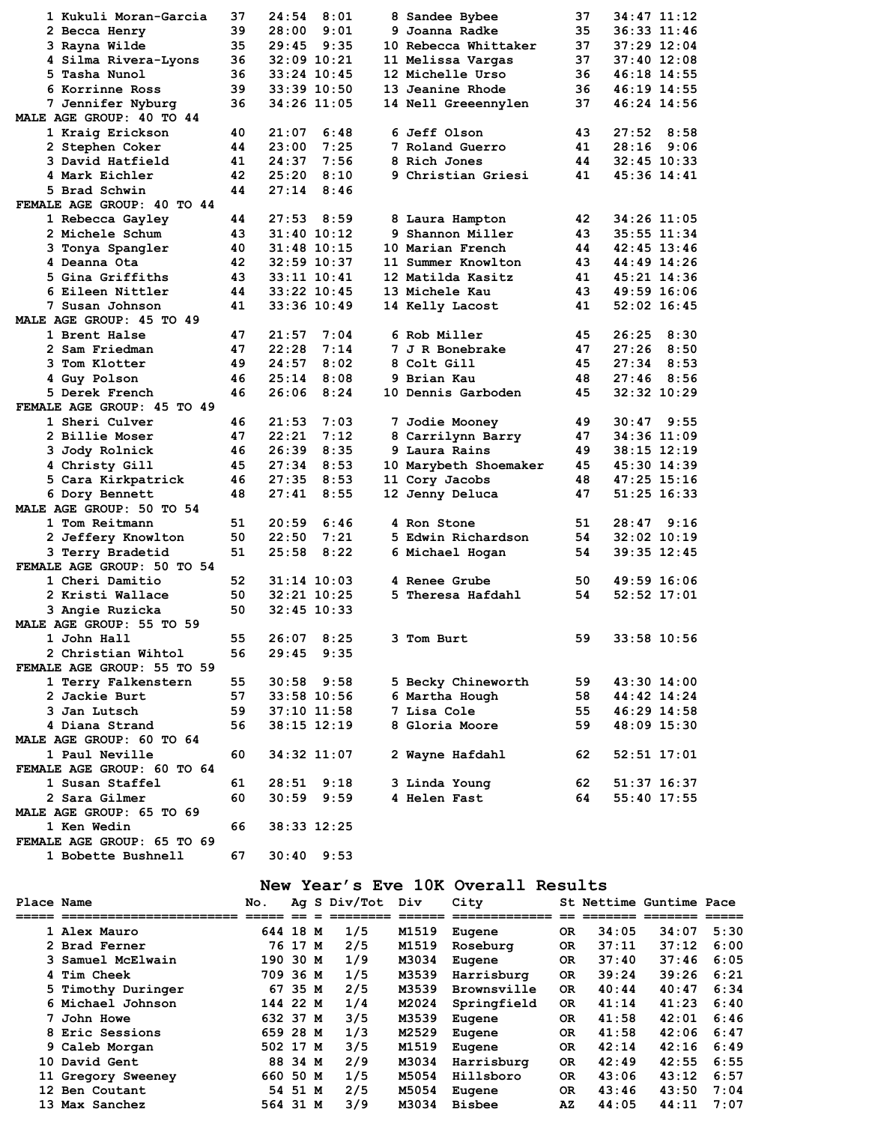| 1 Kukuli Moran-Garcia      | 37 | 24:54<br>8:01   |   | 8 Sandee Bybee        | 37 | 34:47 11:12     |
|----------------------------|----|-----------------|---|-----------------------|----|-----------------|
| 2 Becca Henry              | 39 | 28:00<br>9:01   |   | 9 Joanna Radke        | 35 | 36:33 11:46     |
| 3 Rayna Wilde              | 35 | 29:45<br>9:35   |   | 10 Rebecca Whittaker  | 37 | 37:29 12:04     |
| 4 Silma Rivera-Lyons       | 36 | $32:09$ $10:21$ |   | 11 Melissa Vargas     | 37 | $37:40$ 12:08   |
| 5 Tasha Nunol              | 36 | $33:24$ 10:45   |   | 12 Michelle Urso      | 36 | 46:18 14:55     |
| 6 Korrinne Ross            | 39 | $33:39$ 10:50   |   | 13 Jeanine Rhode      | 36 | 46:19 14:55     |
| 7 Jennifer Nyburg          | 36 | 34:26 11:05     |   | 14 Nell Greeennylen   | 37 | 46:24 14:56     |
| MALE AGE GROUP: 40 TO 44   |    |                 |   |                       |    |                 |
| 1 Kraig Erickson           | 40 | 21:07<br>6:48   |   | 6 Jeff Olson          | 43 | $27:52$ 8:58    |
| 2 Stephen Coker            | 44 | 23:00<br>7:25   |   | 7 Roland Guerro       | 41 | $28:16$ 9:06    |
| 3 David Hatfield           | 41 | 7:56<br>24:37   |   | 8 Rich Jones          | 44 | $32:45$ 10:33   |
| 4 Mark Eichler             | 42 | 25:20<br>8:10   |   | 9 Christian Griesi    | 41 | 45:36 14:41     |
| 5 Brad Schwin              | 44 | 27:14<br>8:46   |   |                       |    |                 |
| FEMALE AGE GROUP: 40 TO 44 |    |                 |   |                       |    |                 |
| 1 Rebecca Gayley           | 44 | $27:53$ $8:59$  |   | 8 Laura Hampton       | 42 | 34:26 11:05     |
| 2 Michele Schum            | 43 | $31:40$ $10:12$ |   | 9 Shannon Miller      | 43 | 35:55 11:34     |
| 3 Tonya Spangler           | 40 | 31:48 10:15     |   | 10 Marian French      | 44 | $42:45$ $13:46$ |
|                            |    |                 |   |                       |    |                 |
| 4 Deanna Ota               | 42 | $32:59$ 10:37   |   | 11 Summer Knowlton    | 43 | 44:49 14:26     |
| 5 Gina Griffiths           | 43 | $33:11$ $10:41$ |   | 12 Matilda Kasitz     | 41 | 45:21 14:36     |
| 6 Eileen Nittler           | 44 | $33:22$ 10:45   |   | 13 Michele Kau        | 43 | 49:59 16:06     |
| 7 Susan Johnson            | 41 | 33:36 10:49     |   | 14 Kelly Lacost       | 41 | $52:02$ 16:45   |
| MALE AGE GROUP: 45 TO 49   |    |                 |   |                       |    |                 |
| 1 Brent Halse              | 47 | 21:57<br>7:04   |   | 6 Rob Miller          | 45 | 26:25<br>8:30   |
| 2 Sam Friedman             | 47 | 22:28<br>7:14   |   | 7 J R Bonebrake       | 47 | 27:26<br>8:50   |
| 3 Tom Klotter              | 49 | 24:57<br>8:02   |   | 8 Colt Gill           | 45 | $27:34$ 8:53    |
| 4 Guy Polson               | 46 | 25:14<br>8:08   |   | 9 Brian Kau           | 48 | $27:46$ 8:56    |
| 5 Derek French             | 46 | 26:06<br>8:24   |   | 10 Dennis Garboden    | 45 | $32:32$ $10:29$ |
| FEMALE AGE GROUP: 45 TO 49 |    |                 |   |                       |    |                 |
| 1 Sheri Culver             | 46 | 21:53<br>7:03   |   | 7 Jodie Mooney        | 49 | $30:47$ $9:55$  |
| 2 Billie Moser             | 47 | 22:21<br>7:12   |   | 8 Carrilynn Barry     | 47 | 34:36 11:09     |
| 3 Jody Rolnick             | 46 | 26:39<br>8:35   |   | 9 Laura Rains         | 49 | $38:15$ $12:19$ |
| 4 Christy Gill             | 45 | 27:34<br>8:53   |   | 10 Marybeth Shoemaker | 45 | 45:30 14:39     |
| 5 Cara Kirkpatrick         | 46 | 27:35<br>8:53   |   | 11 Cory Jacobs        | 48 | 47:25 15:16     |
| 6 Dory Bennett             | 48 | 8:55<br>27:41   |   | 12 Jenny Deluca       | 47 | 51:25 16:33     |
| MALE AGE GROUP: 50 TO 54   |    |                 |   |                       |    |                 |
|                            |    |                 |   | 4 Ron Stone           |    |                 |
| 1 Tom Reitmann             | 51 | 20:59<br>6:46   |   |                       | 51 | $28:47$ $9:16$  |
| 2 Jeffery Knowlton         | 50 | 22:50<br>7:21   |   | 5 Edwin Richardson    | 54 | $32:02$ 10:19   |
| 3 Terry Bradetid           | 51 | 8:22<br>25:58   |   | 6 Michael Hogan       | 54 | 39:35 12:45     |
| FEMALE AGE GROUP: 50 TO 54 |    |                 |   |                       |    |                 |
| 1 Cheri Damitio            | 52 | $31:14$ 10:03   |   | 4 Renee Grube         | 50 | 49:59 16:06     |
| 2 Kristi Wallace           | 50 | $32:21$ $10:25$ |   | 5 Theresa Hafdahl     | 54 | $52:52$ 17:01   |
| 3 Angie Ruzicka            | 50 | $32:45$ 10:33   |   |                       |    |                 |
| MALE AGE GROUP: 55 TO 59   |    |                 |   |                       |    |                 |
| 1 John Hall                | 55 | $26:07$ 8:25    | 3 | Tom Burt              | 59 | 33:58 10:56     |
| 2 Christian Wihtol         | 56 | $29:45$ $9:35$  |   |                       |    |                 |
| FEMALE AGE GROUP: 55 TO 59 |    |                 |   |                       |    |                 |
| 1 Terry Falkenstern        | 55 | $30:58$ $9:58$  |   | 5 Becky Chineworth    | 59 | 43:30 14:00     |
| 2 Jackie Burt              | 57 | $33:58$ 10:56   |   | 6 Martha Hough        | 58 | 44:42 14:24     |
| 3 Jan Lutsch               | 59 | $37:10$ 11:58   |   | 7 Lisa Cole           | 55 | 46:29 14:58     |
| 4 Diana Strand             | 56 | $38:15$ $12:19$ |   | 8 Gloria Moore        | 59 | 48:09 15:30     |
| MALE AGE GROUP: 60 TO 64   |    |                 |   |                       |    |                 |
| 1 Paul Neville             | 60 | 34:32 11:07     |   | 2 Wayne Hafdahl       | 62 | $52:51$ $17:01$ |
| FEMALE AGE GROUP: 60 TO 64 |    |                 |   |                       |    |                 |
| 1 Susan Staffel            | 61 | $28:51$ $9:18$  |   | 3 Linda Young         | 62 | 51:37 16:37     |
| 2 Sara Gilmer              | 60 | $30:59$ $9:59$  |   | 4 Helen Fast          | 64 |                 |
|                            |    |                 |   |                       |    | 55:40 17:55     |
| MALE AGE GROUP: 65 TO 69   |    |                 |   |                       |    |                 |
| 1 Ken Wedin                | 66 | 38:33 12:25     |   |                       |    |                 |
| FEMALE AGE GROUP: 65 TO 69 |    |                 |   |                       |    |                 |
| 1 Bobette Bushnell         | 67 | $30:40$ 9:53    |   |                       |    |                 |

### **New Year's Eve 10K Overall Results**

| Place Name |                    | No.      |         | Ag S Div/Tot | Div   | City          |           |       | St Nettime Guntime Pace |      |
|------------|--------------------|----------|---------|--------------|-------|---------------|-----------|-------|-------------------------|------|
|            | ================== |          |         |              |       |               |           |       |                         |      |
|            | 1 Alex Mauro       | 644 18 M |         | 1/5          | M1519 | Eugene        | 0R        | 34:05 | 34:07                   | 5:30 |
|            | 2 Brad Ferner      |          | 76 17 M | 2/5          | M1519 | Roseburg      | 0R        | 37:11 | 37:12                   | 6:00 |
|            | 3 Samuel McElwain  | 190 30 M |         | 1/9          | M3034 | Eugene        | <b>OR</b> | 37:40 | 37:46                   | 6:05 |
|            | 4 Tim Cheek        | 709 36 M |         | 1/5          | M3539 | Harrisburg    | <b>OR</b> | 39:24 | 39:26                   | 6:21 |
|            | 5 Timothy Duringer |          | 67 35 M | 2/5          | M3539 | Brownsville   | <b>OR</b> | 40:44 | 40:47                   | 6:34 |
|            | 6 Michael Johnson  | 144 22 M |         | 1/4          | M2024 | Springfield   | <b>OR</b> | 41:14 | 41:23                   | 6:40 |
|            | 7 John Howe        | 632 37 M |         | 3/5          | M3539 | Eugene        | 0R        | 41:58 | 42:01                   | 6:46 |
|            | 8 Eric Sessions    | 659 28 M |         | 1/3          | M2529 | Eugene        | <b>OR</b> | 41:58 | 42:06                   | 6:47 |
|            | 9 Caleb Morgan     | 502 17 M |         | 3/5          | M1519 | Eugene        | <b>OR</b> | 42:14 | 42:16                   | 6:49 |
|            | 10 David Gent      |          | 88 34 M | 2/9          | M3034 | Harrisburg    | <b>OR</b> | 42:49 | 42:55                   | 6:55 |
|            | 11 Gregory Sweeney | 660 50 M |         | 1/5          | M5054 | Hillsboro     | <b>OR</b> | 43:06 | 43:12                   | 6:57 |
|            | 12 Ben Coutant     |          | 54 51 M | 2/5          | M5054 | Eugene        | <b>OR</b> | 43:46 | 43:50                   | 7:04 |
|            | 13 Max Sanchez     | 564 31 M |         | 3/9          | M3034 | <b>Bisbee</b> | AZ        | 44:05 | 44:11                   | 7:07 |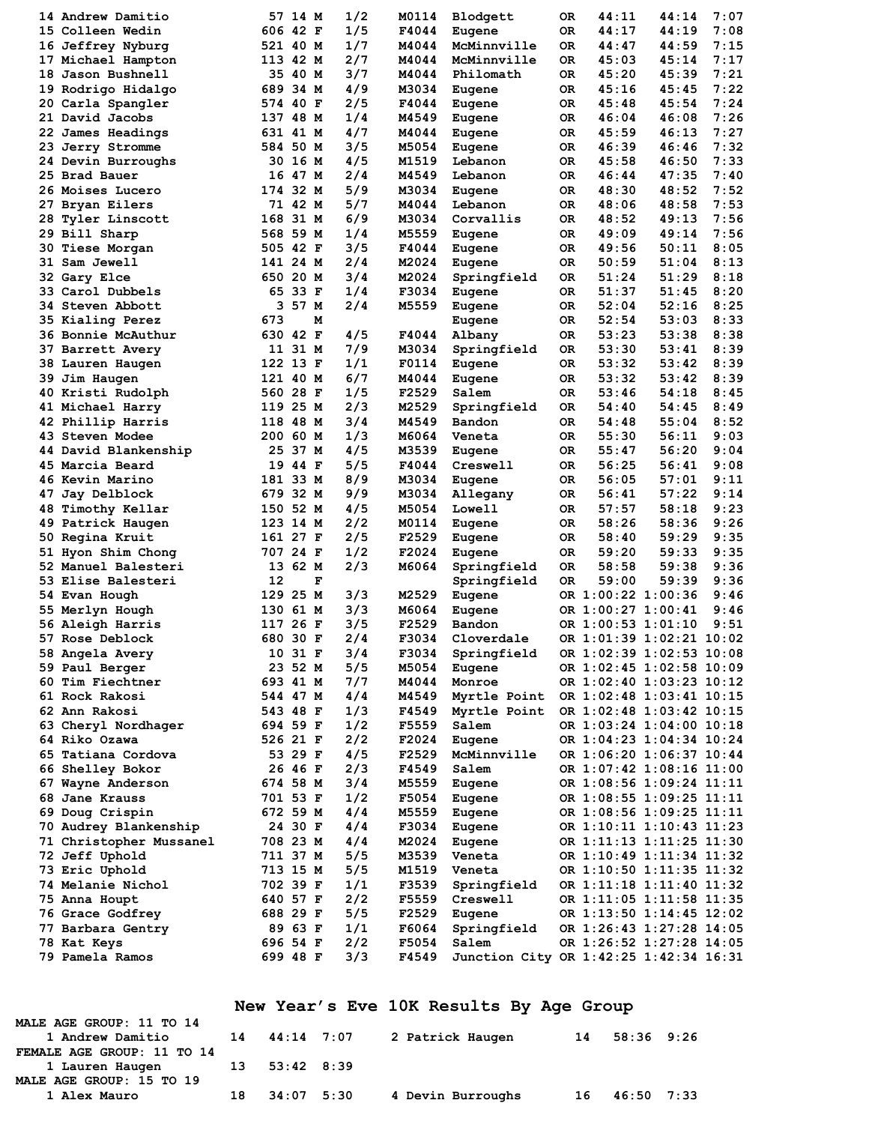| 14 Andrew Damitio                     |     | 57 14 M  | 1/2 | M0114 | Blodgett                               | 0R | 44:11              | 44:14                    | 7:07 |
|---------------------------------------|-----|----------|-----|-------|----------------------------------------|----|--------------------|--------------------------|------|
| 15 Colleen Wedin                      |     | 606 42 F | 1/5 | F4044 | Eugene                                 | 0R | 44:17              | 44:19                    | 7:08 |
| 16 Jeffrey Nyburg                     |     | 521 40 M | 1/7 | M4044 | McMinnville                            | 0R | 44:47              | 44:59                    | 7:15 |
| 17 Michael Hampton                    |     | 113 42 M | 2/7 | M4044 | McMinnville                            | 0R | 45:03              | 45:14                    | 7:17 |
| 18 Jason Bushnell                     |     | 35 40 M  | 3/7 | M4044 | Philomath                              | 0R | 45:20              | 45:39                    | 7:21 |
| 19 Rodrigo Hidalgo                    |     | 689 34 M | 4/9 | M3034 | Eugene                                 | 0R | 45:16              | 45:45                    | 7:22 |
| 20 Carla Spangler                     |     | 574 40 F | 2/5 | F4044 | Eugene                                 | 0R | 45:48              | 45:54                    | 7:24 |
| 21 David Jacobs                       |     | 137 48 M | 1/4 | M4549 | Eugene                                 | 0R | 46:04              | 46:08                    | 7:26 |
| 22 James Headings                     |     | 631 41 M | 4/7 | M4044 | Eugene                                 | 0R | 45:59              | 46:13                    | 7:27 |
| 23 Jerry Stromme                      |     | 584 50 M | 3/5 | M5054 | Eugene                                 | 0R | 46:39              | 46:46                    | 7:32 |
| 24 Devin Burroughs                    | 30. | 16 M     | 4/5 | M1519 | Lebanon                                | 0R | 45:58              | 46:50                    | 7:33 |
| 25 Brad Bauer                         |     | 16 47 M  | 2/4 | M4549 | Lebanon                                | 0R | 46:44              | 47:35                    | 7:40 |
| 26 Moises Lucero                      |     | 174 32 M | 5/9 | M3034 | Eugene                                 | 0R | 48:30              | 48:52                    | 7:52 |
| 27 Bryan Eilers                       |     | 71 42 M  | 5/7 | M4044 | Lebanon                                | 0R | 48:06              | 48:58                    | 7:53 |
| 28 Tyler Linscott                     | 168 | 31 M     | 6/9 | M3034 | Corvallis                              | OR | 48:52              | 49:13                    | 7:56 |
| 29 Bill Sharp                         |     | 568 59 M | 1/4 | M5559 | Eugene                                 | 0R | 49:09              | 49:14                    | 7:56 |
| 30 Tiese Morgan                       |     | 505 42 F | 3/5 | F4044 | Eugene                                 | 0R | 49:56              | 50:11                    | 8:05 |
| 31 Sam Jewell                         |     | 141 24 M | 2/4 | M2024 | Eugene                                 | 0R | 50:59              | 51:04                    | 8:13 |
| 32 Gary Elce                          |     | 650 20 M | 3/4 | M2024 | Springfield                            | 0R | 51:24              | 51:29                    | 8:18 |
| 33 Carol Dubbels                      |     | 65 33 F  | 1/4 | F3034 | Eugene                                 | OR | 51:37              | 51:45                    | 8:20 |
| 34 Steven Abbott                      | 3   | 57 M     | 2/4 | M5559 | Eugene                                 | 0R | 52:04              | 52:16                    | 8:25 |
| 35 Kialing Perez                      | 673 | м        |     |       | Eugene                                 | OR | 52:54              | 53:03                    | 8:33 |
| <b>36 Bonnie McAuthur</b>             |     | 630 42 F | 4/5 | F4044 | Albany                                 | OR | 53:23              | 53:38                    | 8:38 |
| 37 Barrett Avery                      |     | 11 31 M  | 7/9 | M3034 | Springfield                            | 0R | 53:30              | 53:41                    | 8:39 |
| 38 Lauren Haugen                      |     | 122 13 F | 1/1 | F0114 | Eugene                                 | 0R | 53:32              | 53:42                    | 8:39 |
| 39 Jim Haugen                         |     | 121 40 M | 6/7 | M4044 | Eugene                                 | 0R | 53:32              | 53:42                    | 8:39 |
| 40 Kristi Rudolph                     |     | 560 28 F | 1/5 | F2529 | Salem                                  | ОR | 53:46              | 54:18                    | 8:45 |
| 41 Michael Harry                      |     | 119 25 M | 2/3 | M2529 | Springfield                            | 0R | 54:40              | 54:45                    | 8:49 |
| 42 Phillip Harris                     |     | 118 48 M | 3/4 | M4549 | Bandon                                 | 0R | 54:48              | 55:04                    | 8:52 |
| 43 Steven Modee                       |     | 200 60 M | 1/3 | M6064 | Veneta                                 | OR | 55:30              | 56:11                    | 9:03 |
| 44 David Blankenship                  |     | 25 37 M  | 4/5 | M3539 | Eugene                                 | OR | 55:47              | 56:20                    | 9:04 |
| 45 Marcia Beard                       | 19  | 44 F     | 5/5 | F4044 | Creswell                               | 0R | 56:25              | 56:41                    | 9:08 |
| 46 Kevin Marino                       |     | 181 33 M | 8/9 | M3034 | Eugene                                 | 0R | 56:05              | 57:01                    | 9:11 |
| 47 Jay Delblock                       |     | 679 32 M | 9/9 | M3034 | Allegany                               | OR | 56:41              | 57:22                    | 9:14 |
| 48 Timothy Kellar                     |     | 150 52 M | 4/5 | M5054 | Lowell                                 | OR | 57:57              | 58:18                    | 9:23 |
| 49 Patrick Haugen                     |     | 123 14 M | 2/2 | M0114 | Eugene                                 | 0R | 58:26              | 58:36                    | 9:26 |
| 50 Regina Kruit                       |     | 161 27 F | 2/5 | F2529 | Eugene                                 | OR | 58:40              | 59:29                    | 9:35 |
| 51 Hyon Shim Chong                    |     | 707 24 F | 1/2 | F2024 | Eugene                                 | 0R | 59:20              | 59:33                    | 9:35 |
| 52 Manuel Balesteri                   |     | 13 62 M  | 2/3 | M6064 | Springfield                            | 0R | 58:58              | 59:38                    | 9:36 |
| 53 Elise Balesteri                    | 12  | F        |     |       | Springfield                            | 0R | 59:00              | 59:39                    | 9:36 |
| 54 Evan Hough                         | 129 | 25 M     | 3/3 | M2529 | Eugene                                 |    | OR 1:00:22 1:00:36 |                          | 9:46 |
| 55 Merlyn Hough                       |     | 130 61 M | 3/3 | M6064 | Eugene                                 |    | OR 1:00:27 1:00:41 |                          | 9:46 |
| 56 Aleigh Harris                      |     | 117 26 F | 3/5 | F2529 | Bandon                                 |    | OR 1:00:53 1:01:10 |                          | 9:51 |
| <b>57 Rose Deblock</b>                |     | 680 30 F | 2/4 | F3034 | Cloverdale                             |    |                    | OR 1:01:39 1:02:21 10:02 |      |
| 58 Angela Avery                       |     | 10 31 F  | 3/4 | F3034 | Springfield                            |    |                    | OR 1:02:39 1:02:53 10:08 |      |
| 59 Paul Berger                        |     | 23 52 M  | 5/5 | M5054 | Eugene                                 |    |                    | OR 1:02:45 1:02:58 10:09 |      |
| 60 Tim Fiechtner                      |     | 693 41 M | 7/7 | M4044 | Monroe                                 |    |                    | OR 1:02:40 1:03:23 10:12 |      |
| 61 Rock Rakosi                        |     | 544 47 M | 4/4 | M4549 | Myrtle Point                           |    |                    | OR 1:02:48 1:03:41 10:15 |      |
| 62 Ann Rakosi                         |     | 543 48 F | 1/3 | F4549 | Myrtle Point                           |    |                    | OR 1:02:48 1:03:42 10:15 |      |
|                                       |     | 694 59 F | 1/2 | F5559 | Salem                                  |    |                    | OR 1:03:24 1:04:00 10:18 |      |
| 63 Cheryl Nordhager<br>64 Riko Ozawa  |     | 526 21 F | 2/2 | F2024 |                                        |    |                    | OR 1:04:23 1:04:34 10:24 |      |
| 65 Tatiana Cordova                    |     | 53 29 F  | 4/5 | F2529 | Eugene<br>McMinnville                  |    |                    | OR 1:06:20 1:06:37 10:44 |      |
|                                       |     | 26 46 F  | 2/3 | F4549 |                                        |    |                    | OR 1:07:42 1:08:16 11:00 |      |
| 66 Shelley Bokor<br>67 Wayne Anderson |     |          | 3/4 |       | Salem                                  |    |                    |                          |      |
|                                       |     | 674 58 M |     | M5559 | Eugene                                 |    |                    | OR 1:08:56 1:09:24 11:11 |      |
| 68 Jane Krauss                        |     | 701 53 F | 1/2 | F5054 | Eugene                                 |    |                    | OR 1:08:55 1:09:25 11:11 |      |
| 69 Doug Crispin                       |     | 672 59 M | 4/4 | M5559 | Eugene                                 |    |                    | OR 1:08:56 1:09:25 11:11 |      |
| 70 Audrey Blankenship                 |     | 24 30 F  | 4/4 | F3034 | Eugene                                 |    |                    | OR 1:10:11 1:10:43 11:23 |      |
| 71 Christopher Mussanel               |     | 708 23 M | 4/4 | M2024 | Eugene                                 |    |                    | OR 1:11:13 1:11:25 11:30 |      |
| 72 Jeff Uphold                        |     | 711 37 M | 5/5 | M3539 | Veneta                                 |    |                    | OR 1:10:49 1:11:34 11:32 |      |
| 73 Eric Uphold                        |     | 713 15 M | 5/5 | M1519 | Veneta                                 |    |                    | OR 1:10:50 1:11:35 11:32 |      |
| 74 Melanie Nichol                     |     | 702 39 F | 1/1 | F3539 | Springfield                            |    |                    | OR 1:11:18 1:11:40 11:32 |      |
| 75 Anna Houpt                         |     | 640 57 F | 2/2 | F5559 | Creswell                               |    |                    | OR 1:11:05 1:11:58 11:35 |      |
| 76 Grace Godfrey                      |     | 688 29 F | 5/5 | F2529 | Eugene                                 |    |                    | OR 1:13:50 1:14:45 12:02 |      |
| 77 Barbara Gentry                     |     | 89 63 F  | 1/1 | F6064 | Springfield                            |    |                    | OR 1:26:43 1:27:28 14:05 |      |
| 78 Kat Keys                           |     | 696 54 F | 2/2 | F5054 | Salem                                  |    |                    | OR 1:26:52 1:27:28 14:05 |      |
| 79 Pamela Ramos                       |     | 699 48 F | 3/3 | F4549 | Junction City OR 1:42:25 1:42:34 16:31 |    |                    |                          |      |

# **New Year's Eve 10K Results By Age Group**

| MALE AGE GROUP: 11 TO 14      |               |                   |    |            |  |
|-------------------------------|---------------|-------------------|----|------------|--|
| 1 Andrew Damitio              | 14 44:14 7:07 | 2 Patrick Haugen  | 14 | 58:36 9:26 |  |
| FEMALE AGE GROUP: 11 TO 14    |               |                   |    |            |  |
| 1 Lauren Haugen 13 53:42 8:39 |               |                   |    |            |  |
| MALE AGE GROUP: 15 TO 19      |               |                   |    |            |  |
| 1 Alex Mauro                  | 18 34:07 5:30 | 4 Devin Burroughs | 16 | 46:50 7:33 |  |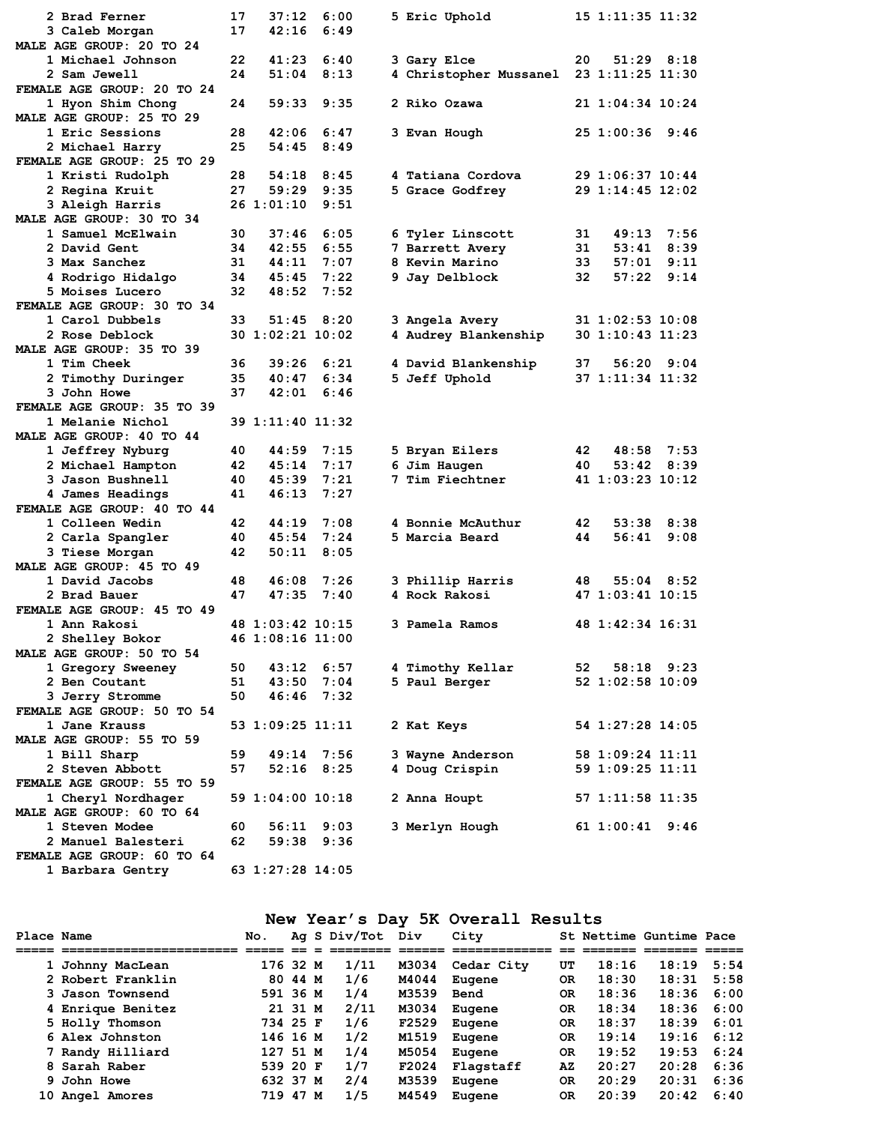| 2 Brad Ferner              | 17   | 37:12            | 6:00 |                                         |    | 15 1:11:35 11:32 |                |  |
|----------------------------|------|------------------|------|-----------------------------------------|----|------------------|----------------|--|
|                            |      |                  | 6:49 | 5 Eric Uphold                           |    |                  |                |  |
| 3 Caleb Morgan             | 17   | 42:16            |      |                                         |    |                  |                |  |
| MALE AGE GROUP: 20 TO 24   |      |                  |      |                                         |    |                  |                |  |
| 1 Michael Johnson          | 22   | 41:23            | 6:40 | 3 Gary Elce                             | 20 |                  | $51:29$ $8:18$ |  |
| 2 Sam Jewell               | 24   | 51:04            | 8:13 | 4 Christopher Mussanel 23 1:11:25 11:30 |    |                  |                |  |
| FEMALE AGE GROUP: 20 TO 24 |      |                  |      |                                         |    |                  |                |  |
| 1 Hyon Shim Chong          | 24   | 59:33            | 9:35 | 2 Riko Ozawa                            |    | 21 1:04:34 10:24 |                |  |
| MALE AGE GROUP: 25 TO 29   |      |                  |      |                                         |    |                  |                |  |
| 1 Eric Sessions            | 28   | 42:06            | 6:47 | 3 Evan Hough                            |    | 25 1:00:36 9:46  |                |  |
| 2 Michael Harry            | 25   | 54:45            | 8:49 |                                         |    |                  |                |  |
| FEMALE AGE GROUP: 25 TO 29 |      |                  |      |                                         |    |                  |                |  |
|                            |      |                  |      |                                         |    |                  |                |  |
| 1 Kristi Rudolph           | 28   | 54:18 8:45       |      | 4 Tatiana Cordova                       |    | 29 1:06:37 10:44 |                |  |
| 2 Regina Kruit             | 27   | 59:29            | 9:35 | 5 Grace Godfrey                         |    | 29 1:14:45 12:02 |                |  |
| 3 Aleigh Harris            |      | 26 1:01:10       | 9:51 |                                         |    |                  |                |  |
| MALE AGE GROUP: 30 TO 34   |      |                  |      |                                         |    |                  |                |  |
| 1 Samuel McElwain          | 30   | 37:46            | 6:05 | 6 Tyler Linscott                        | 31 | 49:13            | 7:56           |  |
| 2 David Gent               | 34   | 42:55            | 6:55 | 7 Barrett Avery                         | 31 | 53:41            | 8:39           |  |
| 3 Max Sanchez              | 31   | 44:11 7:07       |      | 8 Kevin Marino                          | 33 | 57:01            | 9:11           |  |
| 4 Rodrigo Hidalgo          | 34   | $45:45$ 7:22     |      | 9 Jay Delblock                          | 32 | 57:22            | 9:14           |  |
| 5 Moises Lucero            | 32   | 48:52            | 7:52 |                                         |    |                  |                |  |
| FEMALE AGE GROUP: 30 TO 34 |      |                  |      |                                         |    |                  |                |  |
|                            |      |                  |      |                                         |    |                  |                |  |
| 1 Carol Dubbels            | 33   | 51:45 8:20       |      | 3 Angela Avery                          |    | 31 1:02:53 10:08 |                |  |
| 2 Rose Deblock             |      | 30 1:02:21 10:02 |      | 4 Audrey Blankenship                    |    | 30 1:10:43 11:23 |                |  |
| MALE AGE GROUP: 35 TO 39   |      |                  |      |                                         |    |                  |                |  |
| 1 Tim Cheek                | 36   | 39:26            | 6:21 | 4 David Blankenship                     | 37 |                  | 56:20 9:04     |  |
| 2 Timothy Duringer         | 35   | 40:47            | 6:34 | 5 Jeff Uphold                           |    | 37 1:11:34 11:32 |                |  |
| <b>3 John Howe</b>         | 37   | 42:01            | 6:46 |                                         |    |                  |                |  |
| FEMALE AGE GROUP: 35 TO 39 |      |                  |      |                                         |    |                  |                |  |
| 1 Melanie Nichol           |      | 39 1:11:40 11:32 |      |                                         |    |                  |                |  |
| MALE AGE GROUP: 40 TO 44   |      |                  |      |                                         |    |                  |                |  |
|                            |      |                  |      |                                         |    |                  |                |  |
| 1 Jeffrey Nyburg           | 40   | 44:59            | 7:15 | 5 Bryan Eilers                          | 42 | 48:58            | 7:53           |  |
| 2 Michael Hampton          | 42   | $45:14$ 7:17     |      | 6 Jim Haugen                            | 40 |                  | $53:42$ $8:39$ |  |
| 3 Jason Bushnell           | 40   | 45:39            | 7:21 | 7 Tim Fiechtner                         |    | 41 1:03:23 10:12 |                |  |
| 4 James Headings           | 41   | 46:13            | 7:27 |                                         |    |                  |                |  |
| FEMALE AGE GROUP: 40 TO 44 |      |                  |      |                                         |    |                  |                |  |
| 1 Colleen Wedin            | 42   | 44:19            | 7:08 | 4 Bonnie McAuthur                       | 42 | 53:38            | 8:38           |  |
| 2 Carla Spangler           | 40   | 45:54            | 7:24 | 5 Marcia Beard                          | 44 | 56:41            | 9:08           |  |
| 3 Tiese Morgan             | 42   | 50:11            | 8:05 |                                         |    |                  |                |  |
| MALE AGE GROUP: 45 TO 49   |      |                  |      |                                         |    |                  |                |  |
| 1 David Jacobs             | 48   | 46:08            | 7:26 | 3 Phillip Harris                        | 48 |                  | $55:04$ 8:52   |  |
|                            |      |                  | 7:40 | 4 Rock Rakosi                           |    |                  |                |  |
| 2 Brad Bauer               | 47   | 47:35            |      |                                         |    | 47 1:03:41 10:15 |                |  |
| FEMALE AGE GROUP: 45 TO 49 |      |                  |      |                                         |    |                  |                |  |
| 1 Ann Rakosi               |      | 48 1:03:42 10:15 |      | 3 Pamela Ramos                          |    | 48 1:42:34 16:31 |                |  |
| 2 Shelley Bokor            |      | 46 1:08:16 11:00 |      |                                         |    |                  |                |  |
| MALE AGE GROUP: 50 TO 54   |      |                  |      |                                         |    |                  |                |  |
| 1 Gregory Sweeney          |      | 50 43:12 6:57    |      | 4 Timothy Kellar                        | 52 |                  | 58:18 9:23     |  |
| 2 Ben Coutant              |      | 51 43:50 7:04    |      | 5 Paul Berger                           |    | 52 1:02:58 10:09 |                |  |
| 3 Jerry Stromme            | 50.  | $46:46$ 7:32     |      |                                         |    |                  |                |  |
| FEMALE AGE GROUP: 50 TO 54 |      |                  |      |                                         |    |                  |                |  |
| 1 Jane Krauss              |      | 53 1:09:25 11:11 |      | 2 Kat Keys                              |    | 54 1:27:28 14:05 |                |  |
|                            |      |                  |      |                                         |    |                  |                |  |
| MALE AGE GROUP: 55 TO 59   |      |                  |      |                                         |    |                  |                |  |
| 1 Bill Sharp               | 59 — | 49:14 7:56       |      | 3 Wayne Anderson                        |    | 58 1:09:24 11:11 |                |  |
| 2 Steven Abbott            | 57   | $52:16$ $8:25$   |      | 4 Doug Crispin                          |    | 59 1:09:25 11:11 |                |  |
| FEMALE AGE GROUP: 55 TO 59 |      |                  |      |                                         |    |                  |                |  |
| 1 Cheryl Nordhager         |      | 59 1:04:00 10:18 |      | 2 Anna Houpt                            |    | 57 1:11:58 11:35 |                |  |
| MALE AGE GROUP: 60 TO 64   |      |                  |      |                                         |    |                  |                |  |
| 1 Steven Modee             | 60   | 56:11 9:03       |      | 3 Merlyn Hough                          |    | 61 1:00:41 9:46  |                |  |
| 2 Manuel Balesteri         | 62   | 59:38 9:36       |      |                                         |    |                  |                |  |
| FEMALE AGE GROUP: 60 TO 64 |      |                  |      |                                         |    |                  |                |  |
|                            |      | 63 1:27:28 14:05 |      |                                         |    |                  |                |  |
| 1 Barbara Gentry           |      |                  |      |                                         |    |                  |                |  |

### **New Year's Day 5K Overall Results**

| Place Name |                   | No.      |         | Ag S Div/Tot | Div   | City       |           |       | St Nettime Guntime Pace |      |
|------------|-------------------|----------|---------|--------------|-------|------------|-----------|-------|-------------------------|------|
|            |                   |          |         |              |       |            |           |       |                         |      |
|            | 1 Johnny MacLean  | 176 32 M |         | 1/11         | M3034 | Cedar City | UT        | 18:16 | 18:19                   | 5:54 |
|            | 2 Robert Franklin |          | 80 44 M | 1/6          | M4044 | Eugene     | OR        | 18:30 | 18:31                   | 5:58 |
|            | 3 Jason Townsend  | 591 36 M |         | 1/4          | M3539 | Bend       | <b>OR</b> | 18:36 | 18:36                   | 6:00 |
|            | 4 Enrique Benitez |          | 21 31 M | 2/11         | M3034 | Eugene     | 0R        | 18:34 | 18:36                   | 6:00 |
|            | 5 Holly Thomson   | 734 25 F |         | 1/6          | F2529 | Eugene     | OR        | 18:37 | 18:39                   | 6:01 |
|            | 6 Alex Johnston   | 146 16 M |         | 1/2          | M1519 | Eugene     | OR        | 19:14 | 19:16                   | 6:12 |
|            | 7 Randy Hilliard  | 127 51 M |         | 1/4          | M5054 | Eugene     | OR        | 19:52 | 19:53                   | 6:24 |
|            | 8 Sarah Raber     | 539 20 F |         | 1/7          | F2024 | Flagstaff  | ΑZ        | 20:27 | 20:28                   | 6:36 |
|            | 9 John Howe       | 632 37 M |         | 2/4          | M3539 | Eugene     | OR        | 20:29 | 20:31                   | 6:36 |
|            | 10 Angel Amores   | 719 47 M |         | 1/5          | M4549 | Eugene     | OR        | 20:39 | 20:42                   | 6:40 |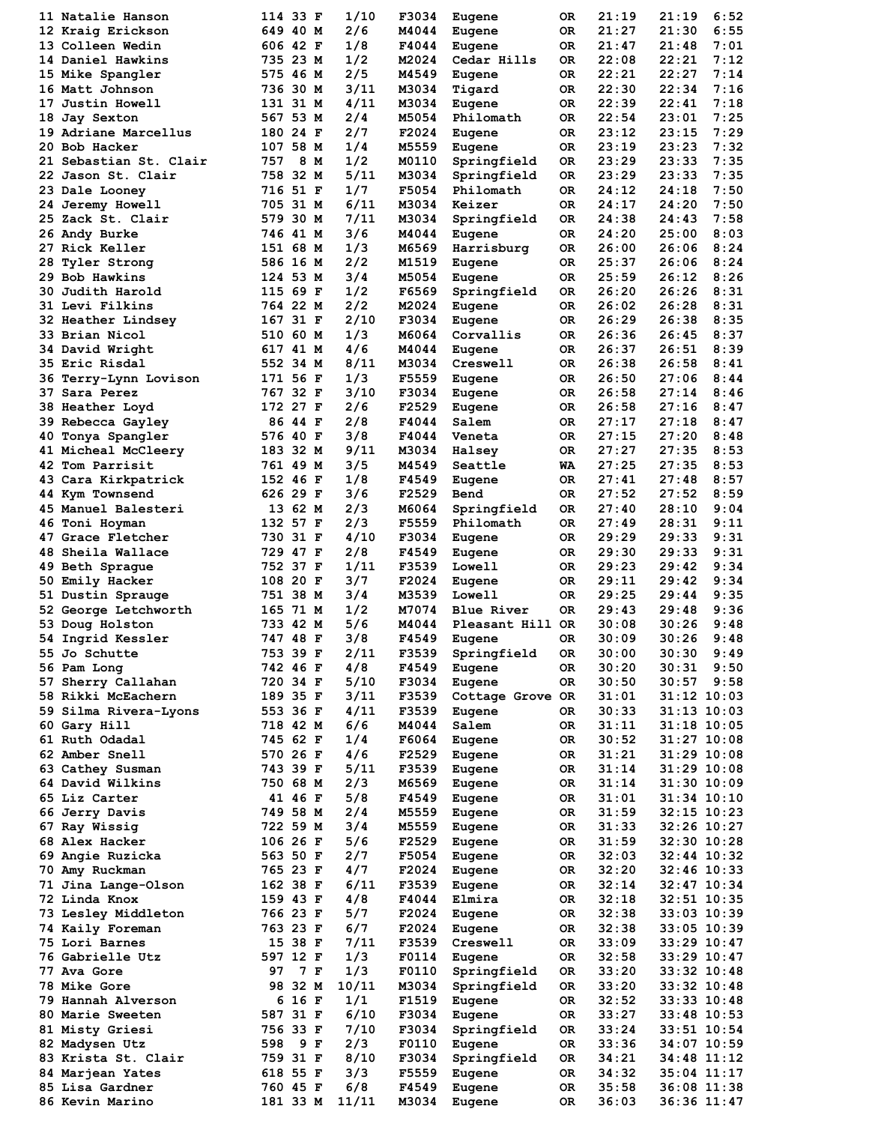| 11 Natalie Hanson                  |     | 114 33 F | 1/10  | F3034 | Eugene           | 0R  | 21:19 | 21:19           | 6:52 |
|------------------------------------|-----|----------|-------|-------|------------------|-----|-------|-----------------|------|
| 12 Kraig Erickson                  |     | 649 40 M | 2/6   | M4044 | Eugene           | 0R  | 21:27 | 21:30           | 6:55 |
| <b>13 Colleen Wedin</b>            |     | 606 42 F | 1/8   | F4044 | Eugene           | 0R  | 21:47 | 21:48           | 7:01 |
| 14 Daniel Hawkins                  |     | 735 23 M | 1/2   | M2024 | Cedar Hills      | 0R  | 22:08 | 22:21           | 7:12 |
| 15 Mike Spangler                   |     | 575 46 M | 2/5   | M4549 | Eugene           | 0R  | 22:21 | 22:27           | 7:14 |
| 16 Matt Johnson                    |     | 736 30 M | 3/11  | M3034 | Tigard           | 0R  | 22:30 | 22:34           | 7:16 |
| 17 Justin Howell                   |     | 131 31 M | 4/11  | M3034 | Eugene           | 0R  | 22:39 | 22:41           | 7:18 |
| 18 Jay Sexton                      |     | 567 53 M | 2/4   | M5054 | Philomath        | 0R  | 22:54 | 23:01           | 7:25 |
| 19 Adriane Marcellus               |     | 180 24 F | 2/7   | F2024 | Eugene           | 0R  | 23:12 | 23:15           | 7:29 |
| 20 Bob Hacker                      |     | 107 58 M | 1/4   | M5559 | Eugene           | 0R  | 23:19 | 23:23           | 7:32 |
| 21 Sebastian St. Clair             | 757 | 8 M      | 1/2   | M0110 | Springfield      | 0R  | 23:29 | 23:33           | 7:35 |
| 22 Jason St. Clair                 |     | 758 32 M | 5/11  | M3034 | Springfield      | 0R  | 23:29 | 23:33           | 7:35 |
|                                    |     | 716 51 F | 1/7   | F5054 | Philomath        | 0R  | 24:12 | 24:18           | 7:50 |
| 23 Dale Looney                     |     |          |       |       |                  |     |       |                 |      |
| <b>24 Jeremy Howell</b>            |     | 705 31 M | 6/11  | M3034 | Keizer           | 0R  | 24:17 | 24:20           | 7:50 |
| 25 Zack St. Clair                  |     | 579 30 M | 7/11  | M3034 | Springfield      | 0R  | 24:38 | 24:43           | 7:58 |
| 26 Andy Burke                      |     | 746 41 M | 3/6   | M4044 | Eugene           | 0R  | 24:20 | 25:00           | 8:03 |
| 27 Rick Keller                     |     | 151 68 M | 1/3   | M6569 | Harrisburg       | 0R  | 26:00 | 26:06           | 8:24 |
| 28 Tyler Strong                    |     | 586 16 M | 2/2   | M1519 | Eugene           | 0R  | 25:37 | 26:06           | 8:24 |
| 29 Bob Hawkins                     |     | 124 53 M | 3/4   | M5054 | Eugene           | 0R  | 25:59 | 26:12           | 8:26 |
| 30 Judith Harold                   | 115 | 69 F     | 1/2   | F6569 | Springfield      | 0R  | 26:20 | 26:26           | 8:31 |
| <b>31 Levi Filkins</b>             |     | 764 22 M | 2/2   | M2024 | Eugene           | 0R  | 26:02 | 26:28           | 8:31 |
| 32 Heather Lindsey                 |     | 167 31 F | 2/10  | F3034 | Eugene           | 0R  | 26:29 | 26:38           | 8:35 |
| 33 Brian Nicol                     |     | 510 60 M | 1/3   | M6064 | Corvallis        | 0R  | 26:36 | 26:45           | 8:37 |
| 34 David Wright                    |     | 617 41 M | 4/6   | M4044 | Eugene           | OR  | 26:37 | 26:51           | 8:39 |
| 35 Eric Risdal                     |     | 552 34 M | 8/11  | M3034 | Creswell         | 0R  | 26:38 | 26:58           | 8:41 |
| 36 Terry-Lynn Lovison              |     | 171 56 F | 1/3   | F5559 | Eugene           | 0R  | 26:50 | 27:06           | 8:44 |
|                                    |     |          |       |       |                  |     |       |                 |      |
| 37 Sara Perez                      | 767 | 32 F     | 3/10  | F3034 | Eugene           | 0R  | 26:58 | 27:14           | 8:46 |
| 38 Heather Loyd                    |     | 172 27 F | 2/6   | F2529 | Eugene           | 0R  | 26:58 | 27:16           | 8:47 |
| 39 Rebecca Gayley                  |     | 86 44 F  | 2/8   | F4044 | Salem            | 0R  | 27:17 | 27:18           | 8:47 |
| 40 Tonya Spangler                  |     | 576 40 F | 3/8   | F4044 | Veneta           | OR. | 27:15 | 27:20           | 8:48 |
| 41 Micheal McCleery                |     | 183 32 M | 9/11  | M3034 | Halsey           | 0R  | 27:27 | 27:35           | 8:53 |
| 42 Tom Parrisit                    |     | 761 49 M | 3/5   | M4549 | Seattle          | WA  | 27:25 | 27:35           | 8:53 |
| 43 Cara Kirkpatrick                |     | 152 46 F | 1/8   | F4549 | Eugene           | 0R  | 27:41 | 27:48           | 8:57 |
| 44 Kym Townsend                    |     | 626 29 F | 3/6   | F2529 | Bend             | 0R  | 27:52 | 27:52           | 8:59 |
| 45 Manuel Balesteri                |     | 13 62 M  | 2/3   | M6064 | Springfield      | 0R  | 27:40 | 28:10           | 9:04 |
| 46 Toni Hoyman                     |     | 132 57 F | 2/3   | F5559 | Philomath        | 0R  | 27:49 | 28:31           | 9:11 |
| 47 Grace Fletcher                  |     | 730 31 F | 4/10  | F3034 | Eugene           | 0R  | 29:29 | 29:33           | 9:31 |
| 48 Sheila Wallace                  |     | 729 47 F | 2/8   | F4549 | Eugene           | 0R  | 29:30 | 29:33           | 9:31 |
| 49 Beth Sprague                    |     | 752 37 F | 1/11  | F3539 | Lowell           | 0R  | 29:23 | 29:42           | 9:34 |
|                                    |     | 108 20 F | 3/7   | F2024 |                  |     | 29:11 | 29:42           | 9:34 |
| 50 Emily Hacker                    |     |          |       |       | Eugene<br>Lowell | 0R  |       |                 |      |
| 51 Dustin Sprauge                  |     | 751 38 M | 3/4   | M3539 |                  | 0R  | 29:25 | 29:44           | 9:35 |
| 52 George Letchworth               |     | 165 71 M | 1/2   | M7074 | Blue River       | 0R  | 29:43 | 29:48           | 9:36 |
| 53 Doug Holston                    |     | 733 42 M | 5/6   | M4044 | Pleasant Hill OR |     | 30:08 | 30:26           | 9:48 |
| 54 Ingrid Kessler                  |     | 747 48 F | 3/8   | F4549 | Eugene           | 0R  | 30:09 | 30:26           | 9:48 |
| 55 Jo Schutte                      |     | 753 39 F | 2/11  | F3539 | Springfield      | 0R  | 30:00 | 30:30           | 9:49 |
| 56 Pam Long                        |     | 742 46 F | 4/8   | F4549 | Eugene           | 0R  | 30:20 | 30:31           | 9:50 |
| 57 Sherry Callahan                 |     | 720 34 F | 5/10  | F3034 | Eugene           | OR  | 30:50 | 30:57           | 9:58 |
| 58 Rikki McEachern                 |     | 189 35 F | 3/11  | F3539 | Cottage Grove OR |     | 31:01 | $31:12$ $10:03$ |      |
| 59 Silma Rivera-Lyons              |     | 553 36 F | 4/11  | F3539 | Eugene           | 0R  | 30:33 | 31:13 10:03     |      |
| 60 Gary Hill                       |     | 718 42 M | 6/6   | M4044 | Salem            | OR  | 31:11 | $31:18$ 10:05   |      |
| 61 Ruth Odadal                     |     | 745 62 F | 1/4   | F6064 | Eugene           | 0R  | 30:52 | $31:27$ $10:08$ |      |
| 62 Amber Snell                     |     | 570 26 F | 4/6   | F2529 | Eugene           | OR  | 31:21 | 31:29 10:08     |      |
| 63 Cathey Susman                   |     | 743 39 F | 5/11  | F3539 | Eugene           | OR  | 31:14 | $31:29$ $10:08$ |      |
| 64 David Wilkins                   |     | 750 68 M | 2/3   | M6569 | Eugene           | OR  | 31:14 | $31:30$ $10:09$ |      |
| 65 Liz Carter                      |     | 41 46 F  | 5/8   | F4549 | Eugene           | OR  | 31:01 | 31:34 10:10     |      |
| 66 Jerry Davis                     |     | 749 58 M |       |       |                  |     |       |                 |      |
|                                    |     |          | 2/4   | M5559 | Eugene           | OR  | 31:59 | $32:15$ $10:23$ |      |
| 67 Ray Wissig                      |     | 722 59 M | 3/4   | M5559 | Eugene           | OR  | 31:33 | 32:26 10:27     |      |
| 68 Alex Hacker                     |     | 106 26 F | 5/6   | F2529 | Eugene           | OR  | 31:59 | 32:30 10:28     |      |
| 69 Angie Ruzicka                   |     | 563 50 F | 2/7   | F5054 | Eugene           | OR  | 32:03 | 32:44 10:32     |      |
| 70 Amy Ruckman                     |     | 765 23 F | 4/7   | F2024 | Eugene           | OR  | 32:20 | 32:46 10:33     |      |
| 71 Jina Lange-Olson                |     | 162 38 F | 6/11  | F3539 | Eugene           | 0R  | 32:14 | 32:47 10:34     |      |
| 72 Linda Knox                      |     | 159 43 F | 4/8   | F4044 | Elmira           | OR  | 32:18 | 32:51 10:35     |      |
| 73 Lesley Middleton                |     | 766 23 F | 5/7   | F2024 | Eugene           | OR  | 32:38 | 33:03 10:39     |      |
| 74 Kaily Foreman                   |     | 763 23 F | 6/7   | F2024 | Eugene           | OR  | 32:38 | 33:05 10:39     |      |
| 75 Lori Barnes                     |     | 15 38 F  | 7/11  | F3539 | Creswell         | OR  | 33:09 | 33:29 10:47     |      |
| 76 Gabrielle Utz                   |     | 597 12 F | 1/3   | F0114 | Eugene           | 0R  | 32:58 | 33:29 10:47     |      |
| 77 Ava Gore                        | 97  | 7 F      | 1/3   | F0110 | Springfield      | OR  | 33:20 | $33:32$ $10:48$ |      |
| <b>78 Mike Gore</b>                |     | 98 32 M  | 10/11 | M3034 | Springfield      | OR  | 33:20 | 33:32 10:48     |      |
| 79 Hannah Alverson                 |     | 16 F     | 1/1   | F1519 |                  | OR  | 32:52 | 33:33 10:48     |      |
|                                    | 6   |          |       |       | Eugene           |     |       |                 |      |
| 80 Marie Sweeten                   |     | 587 31 F | 6/10  | F3034 | Eugene           | OR  | 33:27 | $33:48$ 10:53   |      |
| <b>81 Misty Griesi</b>             |     | 756 33 F | 7/10  | F3034 | Springfield      | OR  | 33:24 | 33:51 10:54     |      |
| 82 Madysen Utz                     | 598 | 9 F      | 2/3   | F0110 | Eugene           | OR  | 33:36 | 34:07 10:59     |      |
| 83 Krista St. Clair                |     | 759 31 F | 8/10  | F3034 | Springfield      | OR  | 34:21 | 34:48 11:12     |      |
| 84 Marjean Yates                   |     | 618 55 F | 3/3   | F5559 | Eugene           | OR  | 34:32 | $35:04$ 11:17   |      |
|                                    |     | 760 45 F | 6/8   | F4549 | Eugene           | OR  | 35:58 | 36:08 11:38     |      |
| 85 Lisa Gardner<br>86 Kevin Marino |     | 181 33 M | 11/11 | M3034 |                  | 0R  | 36:03 | 36:36 11:47     |      |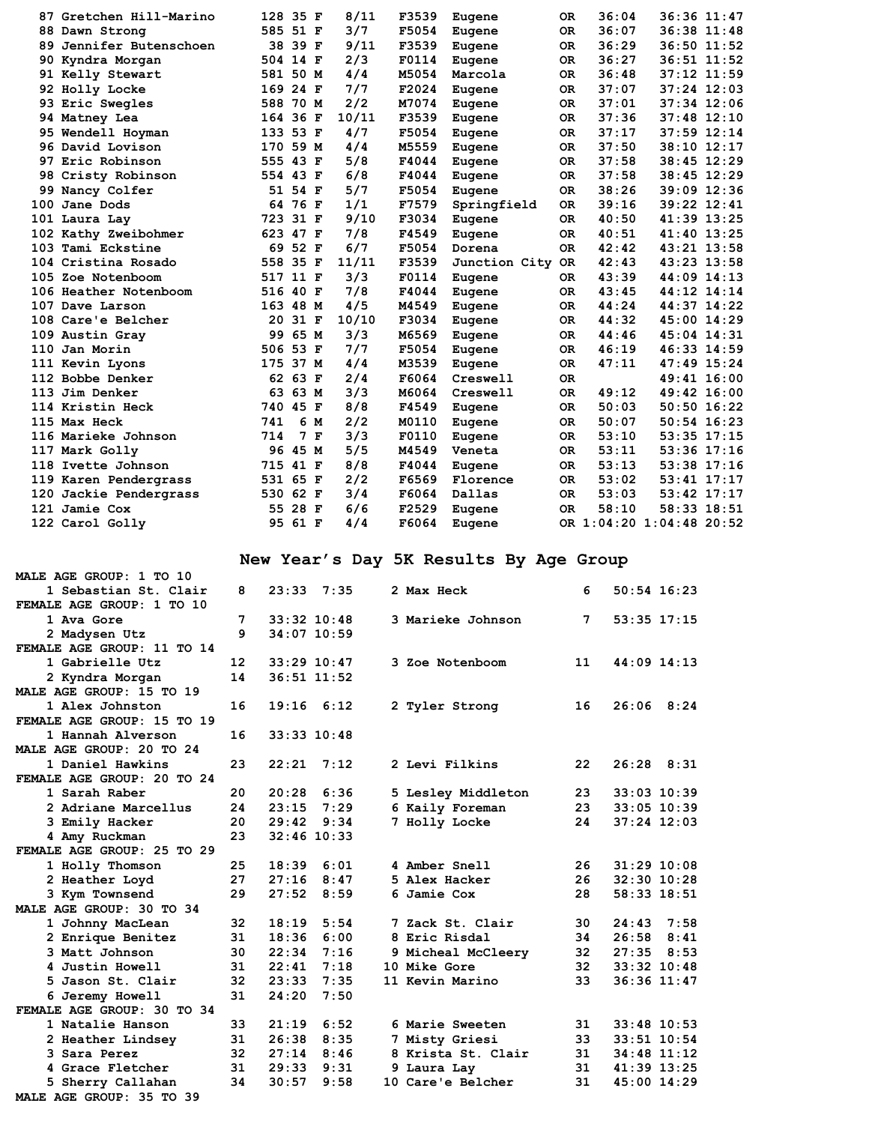| 87 Gretchen Hill-Marino   | 128 35 F |         |     | 8/11  | F3539 | Eugene           | 0R        | 36:04 | 36:36 11:47              |             |
|---------------------------|----------|---------|-----|-------|-------|------------------|-----------|-------|--------------------------|-------------|
| 88 Dawn Strong            | 585 51 F |         |     | 3/7   | F5054 | Eugene           | 0R        | 36:07 | $36:38$ $11:48$          |             |
| 89 Jennifer Butenschoen   |          | 38 39 F |     | 9/11  | F3539 | Eugene           | 0R        | 36:29 |                          | 36:50 11:52 |
| 90 Kyndra Morgan          | 504 14 F |         |     | 2/3   | F0114 | Eugene           | 0R        | 36:27 | 36:51 11:52              |             |
| 91 Kelly Stewart          | 581 50 M |         |     | 4/4   | M5054 | Marcola          | <b>OR</b> | 36:48 | $37:12$ 11:59            |             |
| 92 Holly Locke            | 169 24 F |         |     | 7/7   | F2024 | Eugene           | <b>OR</b> | 37:07 | $37:24$ 12:03            |             |
| 93 Eric Swegles           | 588 70 M |         |     | 2/2   | M7074 | Eugene           | OR.       | 37:01 | $37:34$ 12:06            |             |
| 94 Matney Lea             | 164 36 F |         |     | 10/11 | F3539 | Eugene           | <b>OR</b> | 37:36 | $37:48$ 12:10            |             |
| 95 Wendell Hoyman         | 133 53 F |         |     | 4/7   | F5054 | Eugene           | 0R        | 37:17 | $37:59$ $12:14$          |             |
| 96 David Lovison          | 170 59 M |         |     | 4/4   | M5559 | Eugene           | 0R        | 37:50 | 38:10 12:17              |             |
| 97 Eric Robinson          | 555 43 F |         |     | 5/8   | F4044 | Eugene           | 0R        | 37:58 | 38:45 12:29              |             |
| 98 Cristy Robinson        | 554 43 F |         |     | 6/8   | F4044 | Eugene           | 0R        | 37:58 | 38:45 12:29              |             |
| 99 Nancy Colfer           |          | 51 54 F |     | 5/7   | F5054 | Eugene           | <b>OR</b> | 38:26 | 39:09 12:36              |             |
| 100 Jane Dods             |          | 64 76 F |     | 1/1   | F7579 | Springfield      | <b>OR</b> | 39:16 | 39:22 12:41              |             |
| 101 Laura Lay             | 723 31 F |         |     | 9/10  | F3034 | Eugene           | <b>OR</b> | 40:50 | 41:39 13:25              |             |
| 102 Kathy Zweibohmer      | 623 47 F |         |     | 7/8   | F4549 | Eugene           | <b>OR</b> | 40:51 | 41:40 13:25              |             |
| 103 Tami Eckstine         |          | 69 52 F |     | 6/7   | F5054 | Dorena           | <b>OR</b> | 42:42 | 43:21 13:58              |             |
| 104 Cristina Rosado       | 558 35 F |         |     | 11/11 | F3539 | Junction City OR |           | 42:43 | 43:23 13:58              |             |
| 105 Zoe Notenboom         | 517 11 F |         |     | 3/3   | F0114 | Eugene           | 0R        | 43:39 | 44:09 14:13              |             |
| 106 Heather Notenboom     | 516 40 F |         |     | 7/8   | F4044 | Eugene           | <b>OR</b> | 43:45 | 44:12 14:14              |             |
| 107 Dave Larson           | 163 48 M |         |     | 4/5   | M4549 | Eugene           | <b>OR</b> | 44:24 | 44:37 14:22              |             |
| <b>108 Care'e Belcher</b> | 20       | 31 F    |     | 10/10 | F3034 | Eugene           | <b>OR</b> | 44:32 | 45:00 14:29              |             |
| 109 Austin Gray           | 99       | 65 M    |     | 3/3   | M6569 | Eugene           | OR.       | 44:46 | 45:04 14:31              |             |
| 110 Jan Morin             | 506 53 F |         |     | 7/7   | F5054 | Eugene           | 0R        | 46:19 | 46:33 14:59              |             |
| 111 Kevin Lyons           | 175 37 M |         |     | 4/4   | M3539 | Eugene           | <b>OR</b> | 47:11 | 47:49 15:24              |             |
| 112 Bobbe Denker          |          | 62 63 F |     | 2/4   | F6064 | Creswell         | 0R        |       | 49:41 16:00              |             |
| 113 Jim Denker            | 63       | 63 M    |     | 3/3   | M6064 | Creswell         | 0R        | 49:12 | 49:42 16:00              |             |
| 114 Kristin Heck          | 740 45 F |         |     | 8/8   | F4549 | Eugene           | <b>OR</b> | 50:03 | $50:50$ 16:22            |             |
| 115 Max Heck              | 741      |         | 6 M | 2/2   | M0110 | Eugene           | <b>OR</b> | 50:07 | $50:54$ 16:23            |             |
| 116 Marieke Johnson       | 714      |         | 7 F | 3/3   | F0110 | Eugene           | OR.       | 53:10 | 53:35 17:15              |             |
| 117 Mark Golly            |          | 96 45 M |     | 5/5   | M4549 | Veneta           | 0R        | 53:11 | $53:36$ $17:16$          |             |
| 118 Ivette Johnson        | 715 41 F |         |     | 8/8   | F4044 | Eugene           | 0R        | 53:13 | $53:38$ $17:16$          |             |
| 119 Karen Pendergrass     | 531 65 F |         |     | 2/2   | F6569 | Florence         | 0R        | 53:02 |                          | 53:41 17:17 |
| 120 Jackie Pendergrass    | 530 62 F |         |     | 3/4   | F6064 | Dallas           | 0R        | 53:03 | 53:42 17:17              |             |
| 121 Jamie Cox             |          | 55 28 F |     | 6/6   | F2529 | Eugene           | <b>OR</b> | 58:10 | 58:33 18:51              |             |
| 122 Carol Golly           |          | 95 61 F |     | 4/4   | F6064 | Eugene           |           |       | OR 1:04:20 1:04:48 20:52 |             |
|                           |          |         |     |       |       |                  |           |       |                          |             |

# **New Year's Day 5K Results By Age Group**

| MALE AGE GROUP: 1 TO 10    |                   |                    |      |                     |                 |                 |  |
|----------------------------|-------------------|--------------------|------|---------------------|-----------------|-----------------|--|
| 1 Sebastian St. Clair      | 8                 | $23:33 \quad 7:35$ |      | 2 Max Heck          | 6               | $50:54$ 16:23   |  |
| FEMALE AGE GROUP: 1 TO 10  |                   |                    |      |                     |                 |                 |  |
| 1 Ava Gore                 | 7                 | $33:32$ 10:48      |      | 3 Marieke Johnson   | 7               | 53:35 17:15     |  |
| 2 Madysen Utz              | 9                 | 34:07 10:59        |      |                     |                 |                 |  |
| FEMALE AGE GROUP: 11 TO 14 |                   |                    |      |                     |                 |                 |  |
| 1 Gabrielle Utz            | $12 \overline{ }$ | 33:29 10:47        |      | 3 Zoe Notenboom     | 11              | $44:09$ 14:13   |  |
| 2 Kyndra Morgan            | 14                | $36:51$ $11:52$    |      |                     |                 |                 |  |
| MALE AGE GROUP: 15 TO 19   |                   |                    |      |                     |                 |                 |  |
| 1 Alex Johnston            | 16                | $19:16$ $6:12$     |      | 2 Tyler Strong      | 16              | $26:06$ 8:24    |  |
| FEMALE AGE GROUP: 15 TO 19 |                   |                    |      |                     |                 |                 |  |
| 1 Hannah Alverson          | 16                | $33:33$ $10:48$    |      |                     |                 |                 |  |
| MALE AGE GROUP: 20 TO 24   |                   |                    |      |                     |                 |                 |  |
| 1 Daniel Hawkins           | 23                | $22:21$ 7:12       |      | 2 Levi Filkins      | 22              | $26:28$ $8:31$  |  |
| FEMALE AGE GROUP: 20 TO 24 |                   |                    |      |                     |                 |                 |  |
| 1 Sarah Raber              | 20                | 20:28              | 6:36 | 5 Lesley Middleton  | 23              | 33:03 10:39     |  |
| 2 Adriane Marcellus        | 24                | 23:15              | 7:29 | 6 Kaily Foreman     | 23              | 33:05 10:39     |  |
| 3 Emily Hacker             | 20                | $29:42$ $9:34$     |      | 7 Holly Locke       | 24              | $37:24$ 12:03   |  |
| 4 Amy Ruckman              | 23                | $32:46$ 10:33      |      |                     |                 |                 |  |
| FEMALE AGE GROUP: 25 TO 29 |                   |                    |      |                     |                 |                 |  |
| 1 Holly Thomson            | 25                | 18:39              | 6:01 | 4 Amber Snell       | 26              | $31:29$ 10:08   |  |
| 2 Heather Loyd             | 27                | $27:16$ 8:47       |      | 5 Alex Hacker       | 26              | $32:30$ 10:28   |  |
| 3 Kym Townsend             | 29                | 27:52 8:59         |      | 6 Jamie Cox         | 28              | 58:33 18:51     |  |
| MALE AGE GROUP: 30 TO 34   |                   |                    |      |                     |                 |                 |  |
| 1 Johnny MacLean           | 32                | 18:19              | 5:54 | 7 Zack St. Clair    | 30              | $24:43$ 7:58    |  |
| 2 Enrique Benitez          | 31                | 18:36              | 6:00 | 8 Eric Risdal       | 34              | $26:58$ $8:41$  |  |
| 3 Matt Johnson             | 30                | $22:34$ 7:16       |      | 9 Micheal McCleery  | 32 <sub>2</sub> | $27:35$ 8:53    |  |
| 4 Justin Howell            | 31                | $22:41$ 7:18       |      | <b>10 Mike Gore</b> | 32              | 33:32 10:48     |  |
| 5 Jason St. Clair          | 32                | $23:33$ 7:35       |      | 11 Kevin Marino     | 33              | $36:36$ $11:47$ |  |
| 6 Jeremy Howell            | 31                | 24:20              | 7:50 |                     |                 |                 |  |
| FEMALE AGE GROUP: 30 TO 34 |                   |                    |      |                     |                 |                 |  |
| 1 Natalie Hanson           | 33                | 21:19              | 6:52 | 6 Marie Sweeten     | 31              | $33:48$ 10:53   |  |
| 2 Heather Lindsey          | 31                | 26:38              | 8:35 | 7 Misty Griesi      | 33              | 33:51 10:54     |  |
| 3 Sara Perez               | 32                | $27:14$ 8:46       |      | 8 Krista St. Clair  | 31              | 34:48 11:12     |  |
| 4 Grace Fletcher           | 31                | 29:33 9:31         |      | 9 Laura Lay         | 31              | 41:39 13:25     |  |
| 5 Sherry Callahan          | 34                | 30:57              | 9:58 | 10 Care'e Belcher   | 31              | 45:00 14:29     |  |
| MALE AGE GROUP: 35 TO 39   |                   |                    |      |                     |                 |                 |  |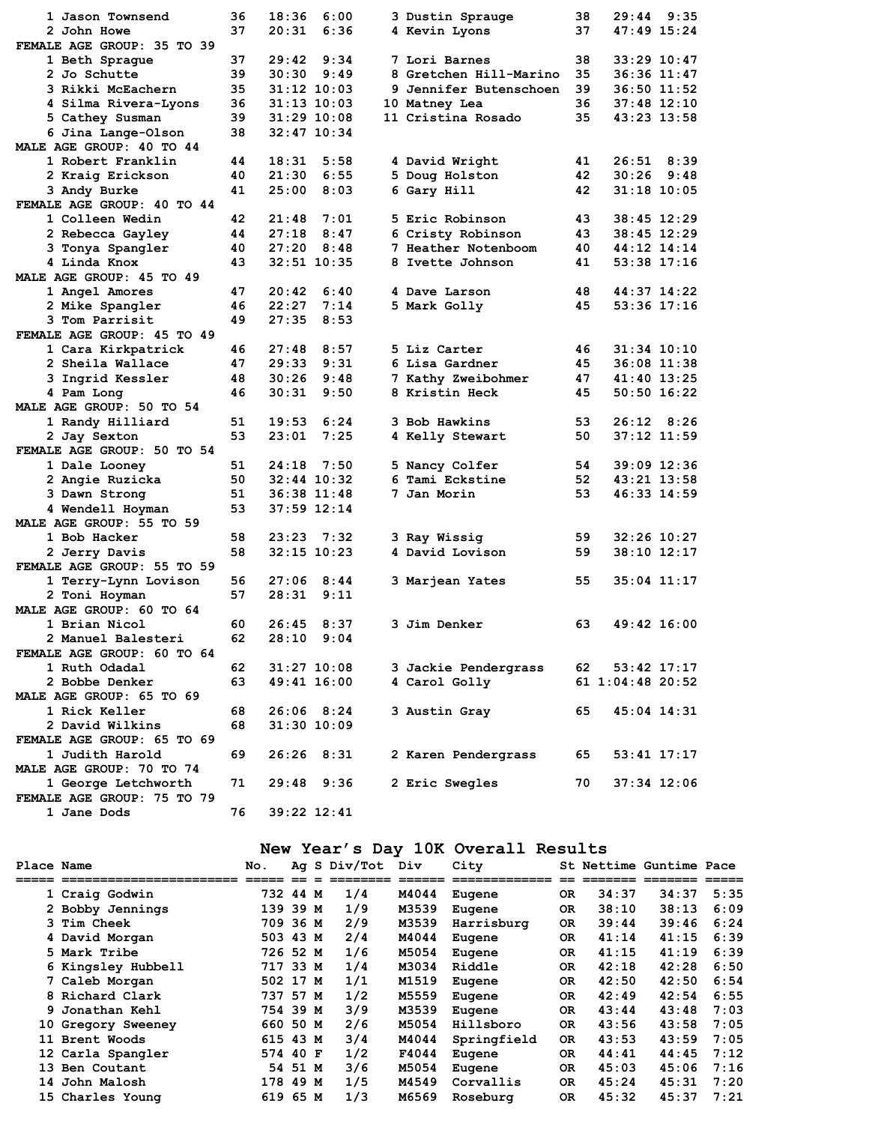| 1 Jason Townsend           | 36 | 18:36           | 6:00 | 3 Dustin Sprauge              | 38 |                  | $29:44$ 9:35    |  |
|----------------------------|----|-----------------|------|-------------------------------|----|------------------|-----------------|--|
| 2 John Howe                | 37 | 20:31           | 6:36 | 4 Kevin Lyons                 | 37 |                  | 47:49 15:24     |  |
| FEMALE AGE GROUP: 35 TO 39 |    |                 |      |                               |    |                  |                 |  |
| 1 Beth Sprague             | 37 | $29:42$ $9:34$  |      | 7 Lori Barnes                 | 38 |                  | $33:29$ $10:47$ |  |
| 2 Jo Schutte               | 39 | 30:30           | 9:49 | 8 Gretchen Hill-Marino        | 35 |                  | 36:36 11:47     |  |
| 3 Rikki McEachern          | 35 | $31:12$ $10:03$ |      | <b>9 Jennifer Butenschoen</b> | 39 |                  | $36:50$ 11:52   |  |
| 4 Silma Rivera-Lyons       | 36 | $31:13$ $10:03$ |      | 10 Matney Lea                 | 36 |                  | $37:48$ 12:10   |  |
| 5 Cathey Susman            | 39 | $31:29$ 10:08   |      | 11 Cristina Rosado            | 35 |                  | 43:23 13:58     |  |
| 6 Jina Lange-Olson         | 38 | $32:47$ $10:34$ |      |                               |    |                  |                 |  |
| MALE AGE GROUP: 40 TO 44   |    |                 |      |                               |    |                  |                 |  |
| 1 Robert Franklin          | 44 | 18:31           | 5:58 | 4 David Wright                | 41 |                  | $26:51$ $8:39$  |  |
| 2 Kraig Erickson           | 40 | 21:30           | 6:55 | 5 Doug Holston                | 42 |                  | $30:26$ 9:48    |  |
| 3 Andy Burke               | 41 | 25:00           | 8:03 | 6 Gary Hill                   | 42 |                  | $31:18$ 10:05   |  |
| FEMALE AGE GROUP: 40 TO 44 |    |                 |      |                               |    |                  |                 |  |
| 1 Colleen Wedin            | 42 | 21:48           | 7:01 | 5 Eric Robinson               | 43 |                  | $38:45$ 12:29   |  |
| 2 Rebecca Gayley           | 44 | 27:18           | 8:47 | 6 Cristy Robinson             | 43 |                  | $38:45$ 12:29   |  |
| 3 Tonya Spangler           | 40 | 27:20           | 8:48 | 7 Heather Notenboom           | 40 |                  | 44:12 14:14     |  |
| 4 Linda Knox               | 43 | $32:51$ $10:35$ |      | 8 Ivette Johnson              | 41 |                  | 53:38 17:16     |  |
| MALE AGE GROUP: 45 TO 49   |    |                 |      |                               |    |                  |                 |  |
| 1 Angel Amores             | 47 | 20:42           | 6:40 | 4 Dave Larson                 | 48 |                  | 44:37 14:22     |  |
| 2 Mike Spangler            | 46 | 22:27           | 7:14 | 5 Mark Golly                  | 45 |                  | 53:36 17:16     |  |
| 3 Tom Parrisit             | 49 | 27:35           | 8:53 |                               |    |                  |                 |  |
| FEMALE AGE GROUP: 45 TO 49 |    |                 |      |                               |    |                  |                 |  |
| 1 Cara Kirkpatrick         | 46 | 27:48           | 8:57 | 5 Liz Carter                  | 46 |                  | 31:34 10:10     |  |
| 2 Sheila Wallace           | 47 | 29:33           | 9:31 | 6 Lisa Gardner                | 45 |                  | 36:08 11:38     |  |
| 3 Ingrid Kessler           | 48 | 30:26           | 9:48 | 7 Kathy Zweibohmer            | 47 |                  | 41:40 13:25     |  |
| 4 Pam Long                 | 46 | 30:31           | 9:50 | 8 Kristin Heck                | 45 |                  | $50:50$ 16:22   |  |
| MALE AGE GROUP: 50 TO 54   |    |                 |      |                               |    |                  |                 |  |
| 1 Randy Hilliard           | 51 | 19:53           | 6:24 | 3 Bob Hawkins                 | 53 |                  | $26:12$ $8:26$  |  |
| 2 Jay Sexton               | 53 | 23:01           | 7:25 | 4 Kelly Stewart               | 50 |                  | $37:12$ $11:59$ |  |
| FEMALE AGE GROUP: 50 TO 54 |    |                 |      |                               |    |                  |                 |  |
| 1 Dale Looney              | 51 | 24:18           | 7:50 | 5 Nancy Colfer                | 54 |                  | 39:09 12:36     |  |
| 2 Angie Ruzicka            | 50 | $32:44$ $10:32$ |      | 6 Tami Eckstine               | 52 |                  | 43:21 13:58     |  |
| 3 Dawn Strong              | 51 | 36:38 11:48     |      | 7 Jan Morin                   | 53 |                  | 46:33 14:59     |  |
| 4 Wendell Hoyman           | 53 | $37:59$ $12:14$ |      |                               |    |                  |                 |  |
| MALE AGE GROUP: 55 TO 59   |    |                 |      |                               |    |                  |                 |  |
| 1 Bob Hacker               | 58 | 23:23           | 7:32 | 3 Ray Wissig                  | 59 |                  | 32:26 10:27     |  |
| 2 Jerry Davis              | 58 | $32:15$ 10:23   |      | 4 David Lovison               | 59 |                  | 38:10 12:17     |  |
| FEMALE AGE GROUP: 55 TO 59 |    |                 |      |                               |    |                  |                 |  |
| 1 Terry-Lynn Lovison       | 56 | $27:06$ 8:44    |      | 3 Marjean Yates               | 55 |                  | $35:04$ 11:17   |  |
| 2 Toni Hoyman              | 57 | $28:31$ $9:11$  |      |                               |    |                  |                 |  |
| MALE AGE GROUP: 60 TO 64   |    |                 |      |                               |    |                  |                 |  |
| 1 Brian Nicol              | 60 | 26:45           | 8:37 | 3 Jim Denker                  | 63 |                  | 49:42 16:00     |  |
| 2 Manuel Balesteri         | 62 | $28:10$ $9:04$  |      |                               |    |                  |                 |  |
| FEMALE AGE GROUP: 60 TO 64 |    |                 |      |                               |    |                  |                 |  |
| 1 Ruth Odadal              | 62 | $31:27$ $10:08$ |      | 3 Jackie Pendergrass          |    | 62 53:42 17:17   |                 |  |
| 2 Bobbe Denker             | 63 | 49:41 16:00     |      | 4 Carol Golly                 |    | 61 1:04:48 20:52 |                 |  |
| MALE AGE GROUP: 65 TO 69   |    |                 |      |                               |    |                  |                 |  |
| 1 Rick Keller              | 68 | $26:06$ 8:24    |      | 3 Austin Gray                 | 65 |                  | $45:04$ 14:31   |  |
| 2 David Wilkins            | 68 | $31:30$ $10:09$ |      |                               |    |                  |                 |  |
| FEMALE AGE GROUP: 65 TO 69 |    |                 |      |                               |    |                  |                 |  |
| 1 Judith Harold            | 69 | $26:26$ $8:31$  |      | 2 Karen Pendergrass           | 65 |                  | $53:41$ $17:17$ |  |
| MALE AGE GROUP: 70 TO 74   |    |                 |      |                               |    |                  |                 |  |
| 1 George Letchworth        | 71 | $29:48$ $9:36$  |      | 2 Eric Swegles                | 70 |                  | $37:34$ 12:06   |  |
| FEMALE AGE GROUP: 75 TO 79 |    |                 |      |                               |    |                  |                 |  |
| 1 Jane Dods                | 76 | 39:22 12:41     |      |                               |    |                  |                 |  |
|                            |    |                 |      |                               |    |                  |                 |  |

# **New Year's Day 10K Overall Results**

| Place Name |                     | No.      |         | Ag S Div/Tot | Div   | City        |           | St Nettime Guntime Pace |       |      |
|------------|---------------------|----------|---------|--------------|-------|-------------|-----------|-------------------------|-------|------|
|            | =================== |          |         |              |       |             |           |                         |       |      |
|            | 1 Craig Godwin      | 732 44 M |         | 1/4          | M4044 | Eugene      | 0R        | 34:37                   | 34:37 | 5:35 |
|            | 2 Bobby Jennings    | 139      | 39 M    | 1/9          | M3539 | Eugene      | 0R        | 38:10                   | 38:13 | 6:09 |
|            | 3 Tim Cheek         | 709 36 M |         | 2/9          | M3539 | Harrisburg  | 0R        | 39:44                   | 39:46 | 6:24 |
|            | 4 David Morgan      | 503 43 M |         | 2/4          | M4044 | Eugene      | <b>OR</b> | 41:14                   | 41:15 | 6:39 |
|            | 5 Mark Tribe        | 726 52 M |         | 1/6          | M5054 | Eugene      | 0R        | 41:15                   | 41:19 | 6:39 |
|            | 6 Kingsley Hubbell  | 717 33 M |         | 1/4          | M3034 | Riddle      | <b>OR</b> | 42:18                   | 42:28 | 6:50 |
|            | 7 Caleb Morgan      | 502 17 M |         | 1/1          | M1519 | Eugene      | <b>OR</b> | 42:50                   | 42:50 | 6:54 |
|            | 8 Richard Clark     | 737 57 M |         | 1/2          | M5559 | Eugene      | 0R        | 42:49                   | 42:54 | 6:55 |
|            | 9 Jonathan Kehl     | 754 39 M |         | 3/9          | M3539 | Eugene      | 0R        | 43:44                   | 43:48 | 7:03 |
|            | 10 Gregory Sweeney  | 660 50 M |         | 2/6          | M5054 | Hillsboro   | OR.       | 43:56                   | 43:58 | 7:05 |
|            | 11 Brent Woods      | 615 43 M |         | 3/4          | M4044 | Springfield | OR.       | 43:53                   | 43:59 | 7:05 |
|            | 12 Carla Spangler   | 574 40 F |         | 1/2          | F4044 | Eugene      | <b>OR</b> | 44:41                   | 44:45 | 7:12 |
|            | 13 Ben Coutant      |          | 54 51 M | 3/6          | M5054 | Eugene      | OR.       | 45:03                   | 45:06 | 7:16 |
|            | 14 John Malosh      | 178 49 M |         | 1/5          | M4549 | Corvallis   | OR.       | 45:24                   | 45:31 | 7:20 |
|            | 15 Charles Young    | 619      | 65 M    | 1/3          | M6569 | Roseburg    | 0R        | 45:32                   | 45:37 | 7:21 |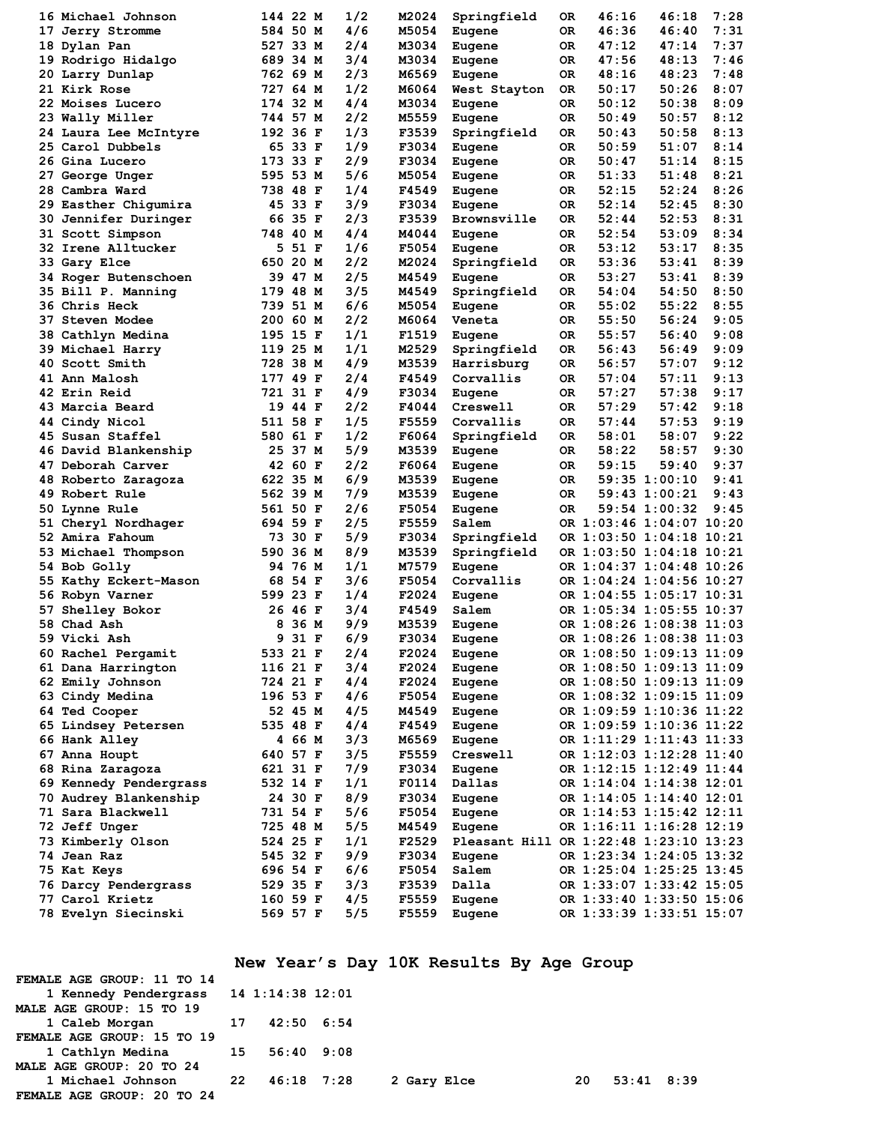| 16 Michael Johnson          |     | 144 22 M | 1/2 | M2024 | Springfield                            | 0R  | 46:16                    | 46:18         | 7:28 |
|-----------------------------|-----|----------|-----|-------|----------------------------------------|-----|--------------------------|---------------|------|
| 17 Jerry Stromme            |     | 584 50 M | 4/6 | M5054 | Eugene                                 | 0R  | 46:36                    | 46:40         | 7:31 |
| 18 Dylan Pan                |     | 527 33 M | 2/4 | M3034 | Eugene                                 | 0R  | 47:12                    | 47:14         | 7:37 |
| 19 Rodrigo Hidalgo          |     | 689 34 M | 3/4 | M3034 | Eugene                                 | OR  | 47:56                    | 48:13         | 7:46 |
| 20 Larry Dunlap             |     | 762 69 M | 2/3 | M6569 |                                        | 0R  | 48:16                    | 48:23         | 7:48 |
| 21 Kirk Rose                |     | 727 64 M | 1/2 | M6064 | Eugene                                 | 0R  | 50:17                    | 50:26         | 8:07 |
|                             |     |          |     |       | West Stayton                           |     |                          |               |      |
| 22 Moises Lucero            |     | 174 32 M | 4/4 | M3034 | Eugene                                 | 0R  | 50:12                    | 50:38         | 8:09 |
| 23 Wally Miller             |     | 744 57 M | 2/2 | M5559 | Eugene                                 | 0R  | 50:49                    | 50:57         | 8:12 |
| 24 Laura Lee McIntyre       |     | 192 36 F | 1/3 | F3539 | Springfield                            | 0R  | 50:43                    | 50:58         | 8:13 |
| 25 Carol Dubbels            |     | 65 33 F  | 1/9 | F3034 | Eugene                                 | ОR  | 50:59                    | 51:07         | 8:14 |
| 26 Gina Lucero              |     | 173 33 F | 2/9 | F3034 | Eugene                                 | 0R  | 50:47                    | 51:14         | 8:15 |
| 27 George Unger             |     | 595 53 M | 5/6 | M5054 | Eugene                                 | 0R  | 51:33                    | 51:48         | 8:21 |
| 28 Cambra Ward              |     | 738 48 F | 1/4 | F4549 | Eugene                                 | 0R  | 52:15                    | 52:24         | 8:26 |
| 29 Easther Chigumira        |     | 45 33 F  | 3/9 | F3034 | Eugene                                 | ОR  | 52:14                    | 52:45         | 8:30 |
| <b>30 Jennifer Duringer</b> |     | 66 35 F  | 2/3 | F3539 | <b>Brownsville</b>                     | 0R  | 52:44                    | 52:53         | 8:31 |
| 31 Scott Simpson            |     | 748 40 M | 4/4 | M4044 | Eugene                                 | 0R  | 52:54                    | 53:09         | 8:34 |
| 32 Irene Alltucker          | 5   | 51 F     | 1/6 | F5054 | Eugene                                 | 0R  | 53:12                    | 53:17         | 8:35 |
| 33 Gary Elce                | 650 | 20 M     | 2/2 | M2024 | Springfield                            | 0R  | 53:36                    | 53:41         | 8:39 |
| 34 Roger Butenschoen        |     | 39 47 M  | 2/5 | M4549 | Eugene                                 | ОR  | 53:27                    | 53:41         | 8:39 |
| 35 Bill P. Manning          |     | 179 48 M | 3/5 | M4549 | Springfield                            | ОR  | 54:04                    | 54:50         | 8:50 |
| <b>36 Chris Heck</b>        |     | 739 51 M | 6/6 |       |                                        |     |                          | 55:22         | 8:55 |
|                             |     |          |     | M5054 | Eugene                                 | 0R  | 55:02                    |               |      |
| <b>37 Steven Modee</b>      | 200 | 60 M     | 2/2 | M6064 | Veneta                                 | 0R  | 55:50                    | 56:24         | 9:05 |
| 38 Cathlyn Medina           |     | 195 15 F | 1/1 | F1519 | Eugene                                 | 0R  | 55:57                    | 56:40         | 9:08 |
| 39 Michael Harry            |     | 119 25 M | 1/1 | M2529 | Springfield                            | OR  | 56:43                    | 56:49         | 9:09 |
| 40 Scott Smith              | 728 | 38 M     | 4/9 | M3539 | Harrisburg                             | ОR  | 56:57                    | 57:07         | 9:12 |
| 41 Ann Malosh               |     | 177 49 F | 2/4 | F4549 | Corvallis                              | 0R  | 57:04                    | 57:11         | 9:13 |
| 42 Erin Reid                |     | 721 31 F | 4/9 | F3034 | Eugene                                 | 0R  | 57:27                    | 57:38         | 9:17 |
| 43 Marcia Beard             | 19  | 44 F     | 2/2 | F4044 | Creswell                               | 0R  | 57:29                    | 57:42         | 9:18 |
| 44 Cindy Nicol              |     | 511 58 F | 1/5 | F5559 | Corvallis                              | 0R  | 57:44                    | 57:53         | 9:19 |
| 45 Susan Staffel            |     | 580 61 F | 1/2 | F6064 | Springfield                            | ОR  | 58:01                    | 58:07         | 9:22 |
| 46 David Blankenship        | 25  | 37 M     | 5/9 | M3539 | Eugene                                 | ОR  | 58:22                    | 58:57         | 9:30 |
| 47 Deborah Carver           |     | 42 60 F  | 2/2 | F6064 | Eugene                                 | 0R  | 59:15                    | 59:40         | 9:37 |
| 48 Roberto Zaragoza         |     | 622 35 M | 6/9 | M3539 | Eugene                                 | 0R  |                          | 59:35 1:00:10 | 9:41 |
| 49 Robert Rule              |     | 562 39 M | 7/9 | M3539 | Eugene                                 | OR. |                          | 59:43 1:00:21 | 9:43 |
| 50 Lynne Rule               |     | 561 50 F | 2/6 | F5054 |                                        | 0R. |                          | 59:54 1:00:32 | 9:45 |
|                             |     |          |     | F5559 | Eugene                                 |     |                          |               |      |
| 51 Cheryl Nordhager         |     | 694 59 F | 2/5 |       | Salem                                  |     | OR 1:03:46 1:04:07 10:20 |               |      |
| 52 Amira Fahoum             |     | 73 30 F  | 5/9 | F3034 | Springfield                            |     | OR 1:03:50 1:04:18 10:21 |               |      |
| 53 Michael Thompson         | 590 | 36 M     | 8/9 | M3539 | Springfield                            |     | OR 1:03:50 1:04:18 10:21 |               |      |
| 54 Bob Golly                |     | 94 76 M  | 1/1 | M7579 | Eugene                                 |     | OR 1:04:37 1:04:48 10:26 |               |      |
| 55 Kathy Eckert-Mason       | 68  | 54 F     | 3/6 | F5054 | Corvallis                              |     | OR 1:04:24 1:04:56 10:27 |               |      |
| 56 Robyn Varner             |     | 599 23 F | 1/4 | F2024 | Eugene                                 |     | OR 1:04:55 1:05:17 10:31 |               |      |
| 57 Shelley Bokor            |     | 26 46 F  | 3/4 | F4549 | Salem                                  |     | OR 1:05:34 1:05:55 10:37 |               |      |
| 58 Chad Ash                 | 8   | 36 M     | 9/9 | M3539 | Eugene                                 |     | OR 1:08:26 1:08:38 11:03 |               |      |
| 59 Vicki Ash                | 9   | 31 F     | 6/9 | F3034 | Eugene                                 |     | OR 1:08:26 1:08:38 11:03 |               |      |
| 60 Rachel Pergamit          |     | 533 21 F | 2/4 | F2024 | Eugene                                 |     | OR 1:08:50 1:09:13 11:09 |               |      |
| 61 Dana Harrington          |     | 116 21 F | 3/4 | F2024 | Eugene                                 |     | OR 1:08:50 1:09:13 11:09 |               |      |
| 62 Emily Johnson            |     | 724 21 F | 4/4 | F2024 | Eugene                                 |     | OR 1:08:50 1:09:13 11:09 |               |      |
| 63 Cindy Medina             |     | 196 53 F | 4/6 | F5054 | Eugene                                 |     | OR 1:08:32 1:09:15 11:09 |               |      |
| 64 Ted Cooper               |     | 52 45 M  | 4/5 | M4549 | Eugene                                 |     | OR 1:09:59 1:10:36 11:22 |               |      |
| 65 Lindsey Petersen         |     | 535 48 F | 4/4 | F4549 | Eugene                                 |     | OR 1:09:59 1:10:36 11:22 |               |      |
|                             |     |          | 3/3 |       |                                        |     |                          |               |      |
| 66 Hank Alley               |     | 4 66 M   |     | M6569 | Eugene                                 |     | OR 1:11:29 1:11:43 11:33 |               |      |
| 67 Anna Houpt               |     | 640 57 F | 3/5 | F5559 | Creswell                               |     | OR 1:12:03 1:12:28 11:40 |               |      |
| 68 Rina Zaragoza            |     | 621 31 F | 7/9 | F3034 | Eugene                                 |     | OR 1:12:15 1:12:49 11:44 |               |      |
| 69 Kennedy Pendergrass      |     | 532 14 F | 1/1 | F0114 | Dallas                                 |     | OR 1:14:04 1:14:38 12:01 |               |      |
| 70 Audrey Blankenship       |     | 24 30 F  | 8/9 | F3034 | Eugene                                 |     | OR 1:14:05 1:14:40 12:01 |               |      |
| 71 Sara Blackwell           |     | 731 54 F | 5/6 | F5054 | Eugene                                 |     | OR 1:14:53 1:15:42 12:11 |               |      |
| 72 Jeff Unger               |     | 725 48 M | 5/5 | M4549 | Eugene                                 |     | OR 1:16:11 1:16:28 12:19 |               |      |
| 73 Kimberly Olson           |     | 524 25 F | 1/1 | F2529 | Pleasant Hill OR 1:22:48 1:23:10 13:23 |     |                          |               |      |
| 74 Jean Raz                 |     | 545 32 F | 9/9 | F3034 | Eugene                                 |     | OR 1:23:34 1:24:05 13:32 |               |      |
| 75 Kat Keys                 |     | 696 54 F | 6/6 | F5054 | Salem                                  |     | OR 1:25:04 1:25:25 13:45 |               |      |
| 76 Darcy Pendergrass        |     | 529 35 F | 3/3 | F3539 | Dalla                                  |     | OR 1:33:07 1:33:42 15:05 |               |      |
| 77 Carol Krietz             |     | 160 59 F | 4/5 | F5559 | Eugene                                 |     | OR 1:33:40 1:33:50 15:06 |               |      |
| 78 Evelyn Siecinski         |     | 569 57 F | 5/5 | F5559 | Eugene                                 |     | OR 1:33:39 1:33:51 15:07 |               |      |
|                             |     |          |     |       |                                        |     |                          |               |      |

**New Year's Day 10K Results By Age Group**

| FEMALE AGE GROUP: 11 TO 14             |               |             |     |                |  |
|----------------------------------------|---------------|-------------|-----|----------------|--|
| 1 Kennedy Pendergrass 14 1:14:38 12:01 |               |             |     |                |  |
| MALE AGE GROUP: 15 TO 19               |               |             |     |                |  |
| 1 Caleb Morgan 17 42:50 6:54           |               |             |     |                |  |
| FEMALE AGE GROUP: 15 TO 19             |               |             |     |                |  |
| 1 Cathlyn Medina 15 56:40 9:08         |               |             |     |                |  |
| MALE AGE GROUP: 20 TO 24               |               |             |     |                |  |
| 1 Michael Johnson                      | 22 46:18 7:28 | 2 Gary Elce | -20 | $53:41$ $8:39$ |  |
| FEMALE AGE GROUP: 20 TO 24             |               |             |     |                |  |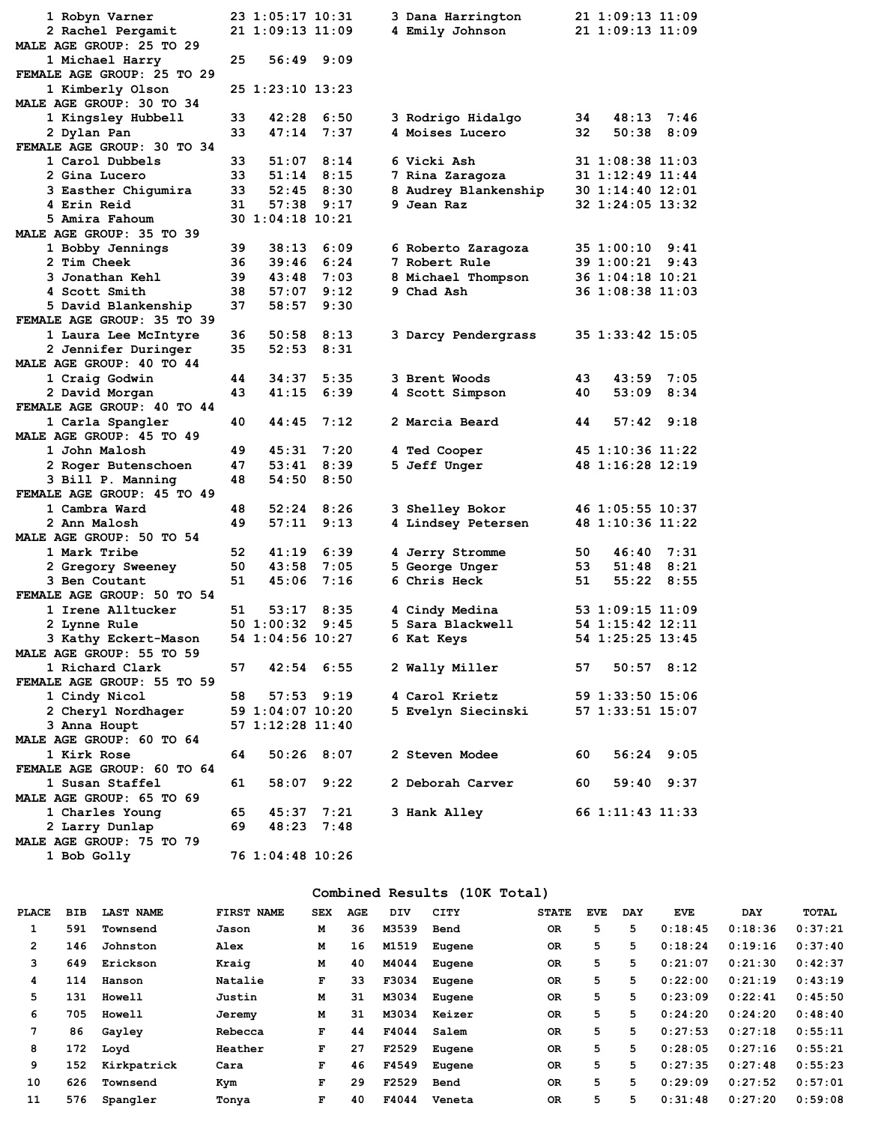| 1 Robyn Varner                                   |      | 23 1:05:17 10:31 |      | 3 Dana Harrington    |     | 21 1:09:13 11:09 |                |
|--------------------------------------------------|------|------------------|------|----------------------|-----|------------------|----------------|
| 2 Rachel Pergamit                                |      | 21 1:09:13 11:09 |      | 4 Emily Johnson      |     | 21 1:09:13 11:09 |                |
| MALE AGE GROUP: 25 TO 29                         |      |                  |      |                      |     |                  |                |
| 1 Michael Harry                                  | 25   | 56:49 9:09       |      |                      |     |                  |                |
| FEMALE AGE GROUP: 25 TO 29                       |      |                  |      |                      |     |                  |                |
| 1 Kimberly Olson                                 |      | 25 1:23:10 13:23 |      |                      |     |                  |                |
| MALE AGE GROUP: 30 TO 34                         |      |                  |      |                      |     |                  |                |
| 1 Kingsley Hubbell                               | 33   | 42:28            | 6:50 | 3 Rodrigo Hidalgo    | 34  | 48:13            | 7:46           |
| 2 Dylan Pan                                      | 33   | 47:14            | 7:37 | 4 Moises Lucero      | 32. | 50:38            | 8:09           |
| FEMALE AGE GROUP: 30 TO 34                       |      |                  |      |                      |     |                  |                |
| 1 Carol Dubbels                                  | 33   | $51:07$ $8:14$   |      | 6 Vicki Ash          |     | 31 1:08:38 11:03 |                |
| 2 Gina Lucero                                    | 33   | 51:14            | 8:15 | 7 Rina Zaragoza      |     | 31 1:12:49 11:44 |                |
| 3 Easther Chigumira                              | 33   | $52:45$ $8:30$   |      | 8 Audrey Blankenship |     | 30 1:14:40 12:01 |                |
| 4 Erin Reid                                      | 31   | 57:38            | 9:17 | 9 Jean Raz           |     | 32 1:24:05 13:32 |                |
| 5 Amira Fahoum                                   |      | 30 1:04:18 10:21 |      |                      |     |                  |                |
| MALE AGE GROUP: 35 TO 39                         |      |                  |      |                      |     |                  |                |
| 1 Bobby Jennings                                 | 39   | 38:13            | 6:09 | 6 Roberto Zaragoza   |     | 35 1:00:10 9:41  |                |
| 2 Tim Cheek                                      | 36   | 39:46            | 6:24 | 7 Robert Rule        |     | 39 1:00:21       | 9:43           |
| 3 Jonathan Kehl                                  | 39   | 43:48            | 7:03 | 8 Michael Thompson   |     | 36 1:04:18 10:21 |                |
| 4 Scott Smith                                    | 38   | 57:07            | 9:12 | 9 Chad Ash           |     | 36 1:08:38 11:03 |                |
| 5 David Blankenship                              | 37   | 58:57            | 9:30 |                      |     |                  |                |
| FEMALE AGE GROUP: 35 TO 39                       |      |                  |      |                      |     |                  |                |
| 1 Laura Lee McIntyre                             | 36.  | 50:58            | 8:13 | 3 Darcy Pendergrass  |     | 35 1:33:42 15:05 |                |
| 2 Jennifer Duringer                              | 35   | 52:53            | 8:31 |                      |     |                  |                |
| MALE AGE GROUP: 40 TO 44                         |      |                  |      |                      |     |                  |                |
| 1 Craig Godwin                                   | 44   | 34:37            | 5:35 | 3 Brent Woods        | 43  |                  | 43:59 7:05     |
| 2 David Morgan                                   | 43   | 41:15            | 6:39 | 4 Scott Simpson      | 40  | 53:09            | 8:34           |
| FEMALE AGE GROUP: 40 TO 44                       |      |                  |      |                      |     |                  |                |
| 1 Carla Spangler                                 | 40   | 44:45            | 7:12 | 2 Marcia Beard       | 44  |                  | $57:42$ $9:18$ |
| MALE AGE GROUP: 45 TO 49                         |      |                  |      |                      |     |                  |                |
| 1 John Malosh                                    | 49   | 45:31            | 7:20 | 4 Ted Cooper         |     | 45 1:10:36 11:22 |                |
| 2 Roger Butenschoen                              | 47   | 53:41            | 8:39 | 5 Jeff Unger         |     | 48 1:16:28 12:19 |                |
| 3 Bill P. Manning                                | 48   | 54:50            | 8:50 |                      |     |                  |                |
| FEMALE AGE GROUP: 45 TO 49                       |      |                  |      |                      |     |                  |                |
| 1 Cambra Ward                                    | 48   | 52:24            | 8:26 | 3 Shelley Bokor      |     | 46 1:05:55 10:37 |                |
| 2 Ann Malosh                                     | 49   | 57:11            | 9:13 | 4 Lindsey Petersen   |     | 48 1:10:36 11:22 |                |
| MALE AGE GROUP: 50 TO 54                         |      |                  |      |                      |     |                  |                |
| 1 Mark Tribe                                     | 52   | 41:19            | 6:39 | 4 Jerry Stromme      | 50  |                  | $46:40$ 7:31   |
| 2 Gregory Sweeney                                | 50   | 43:58            | 7:05 | 5 George Unger       | 53  |                  | $51:48$ $8:21$ |
| 3 Ben Coutant                                    | 51   | 45:06            | 7:16 | 6 Chris Heck         | 51  |                  | $55:22$ 8:55   |
| FEMALE AGE GROUP: 50 TO 54                       |      |                  |      |                      |     |                  |                |
| 1 Irene Alltucker                                | 51   | 53:17            | 8:35 | 4 Cindy Medina       |     | 53 1:09:15 11:09 |                |
| 2 Lynne Rule                                     |      | 50 1:00:32       | 9:45 | 5 Sara Blackwell     |     | 54 1:15:42 12:11 |                |
|                                                  |      | 54 1:04:56 10:27 |      | 6 Kat Keys           |     |                  |                |
| 3 Kathy Eckert-Mason<br>MALE AGE GROUP: 55 TO 59 |      |                  |      |                      |     | 54 1:25:25 13:45 |                |
|                                                  |      |                  |      |                      |     |                  |                |
| 1 Richard Clark                                  | 57   | $42:54$ 6:55     |      | 2 Wally Miller       |     | 57 50:57 8:12    |                |
| FEMALE AGE GROUP: 55 TO 59                       |      |                  |      |                      |     |                  |                |
| 1 Cindy Nicol                                    | 58 — | $57:53$ $9:19$   |      | 4 Carol Krietz       |     | 59 1:33:50 15:06 |                |
| 2 Cheryl Nordhager                               |      | 59 1:04:07 10:20 |      | 5 Evelyn Siecinski   |     | 57 1:33:51 15:07 |                |
| 3 Anna Houpt                                     |      | 57 1:12:28 11:40 |      |                      |     |                  |                |
| MALE AGE GROUP: 60 TO 64                         |      |                  |      |                      |     |                  |                |
| 1 Kirk Rose                                      | 64   | $50:26$ 8:07     |      | 2 Steven Modee       | 60. |                  | 56:24 9:05     |
| FEMALE AGE GROUP: 60 TO 64                       |      |                  |      |                      |     |                  |                |
| 1 Susan Staffel                                  | 61   | $58:07$ $9:22$   |      | 2 Deborah Carver 60  |     |                  | $59:40$ $9:37$ |
| MALE AGE GROUP: 65 TO 69                         |      |                  |      |                      |     |                  |                |
| 1 Charles Young                                  | 65 — | $45:37$ $7:21$   |      | 3 Hank Alley         |     | 66 1:11:43 11:33 |                |
| 2 Larry Dunlap                                   | 69   | 48:23 7:48       |      |                      |     |                  |                |
| MALE AGE GROUP: 75 TO 79                         |      |                  |      |                      |     |                  |                |

### **Combined Results (10K Total)**

**1 Bob Golly 76 1:04:48 10:26**

| PLACE | <b>BIB</b> | <b>LAST NAME</b> | FIRST NAME | <b>SEX</b> | AGE | DIV   | CITY   | <b>STATE</b> | <b>EVE</b> | <b>DAY</b> | <b>EVE</b> | <b>DAY</b> | <b>TOTAL</b> |
|-------|------------|------------------|------------|------------|-----|-------|--------|--------------|------------|------------|------------|------------|--------------|
|       | 591        | Townsend         | Jason      | м          | 36  | M3539 | Bend   | 0R           | 5          | 5          | 0:18:45    | 0:18:36    | 0:37:21      |
| 2     | 146        | Johnston         | Alex       | М          | 16  | M1519 | Eugene | 0R           | 5          | 5          | 0:18:24    | 0:19:16    | 0:37:40      |
| 3     | 649        | Erickson         | Kraig      | м          | 40  | M4044 | Eugene | 0R           | 5          | 5          | 0:21:07    | 0:21:30    | 0:42:37      |
| 4     | 114        | Hanson           | Natalie    | F          | 33  | F3034 | Eugene | <b>OR</b>    | 5          | 5          | 0:22:00    | 0:21:19    | 0:43:19      |
| 5.    | 131        | <b>Howell</b>    | Justin     | м          | 31  | M3034 | Eugene | 0R           | 5          | 5          | 0:23:09    | 0:22:41    | 0:45:50      |
| 6     | 705        | <b>Howell</b>    | Jeremy     | м          | 31  | M3034 | Keizer | 0R           | 5          | 5          | 0:24:20    | 0:24:20    | 0:48:40      |
| 7     | 86         | Gayley           | Rebecca    | F          | 44  | F4044 | Salem  | <b>OR</b>    | 5          | 5          | 0:27:53    | 0:27:18    | 0:55:11      |
| 8     | 172        | Loyd             | Heather    | F          | 27  | F2529 | Eugene | 0R           | 5          | 5          | 0:28:05    | 0:27:16    | 0:55:21      |
| 9     | 152        | Kirkpatrick      | Cara       | F          | 46  | F4549 | Eugene | 0R           | 5          | 5          | 0:27:35    | 0:27:48    | 0:55:23      |
| 10    | 626        | Townsend         | Kym        | F          | 29  | F2529 | Bend   | <b>OR</b>    | 5          | 5          | 0:29:09    | 0:27:52    | 0:57:01      |
| 11    | 576        | Spangler         | Tonya      | F          | 40  | F4044 | Veneta | <b>OR</b>    | 5          | 5          | 0:31:48    | 0:27:20    | 0:59:08      |